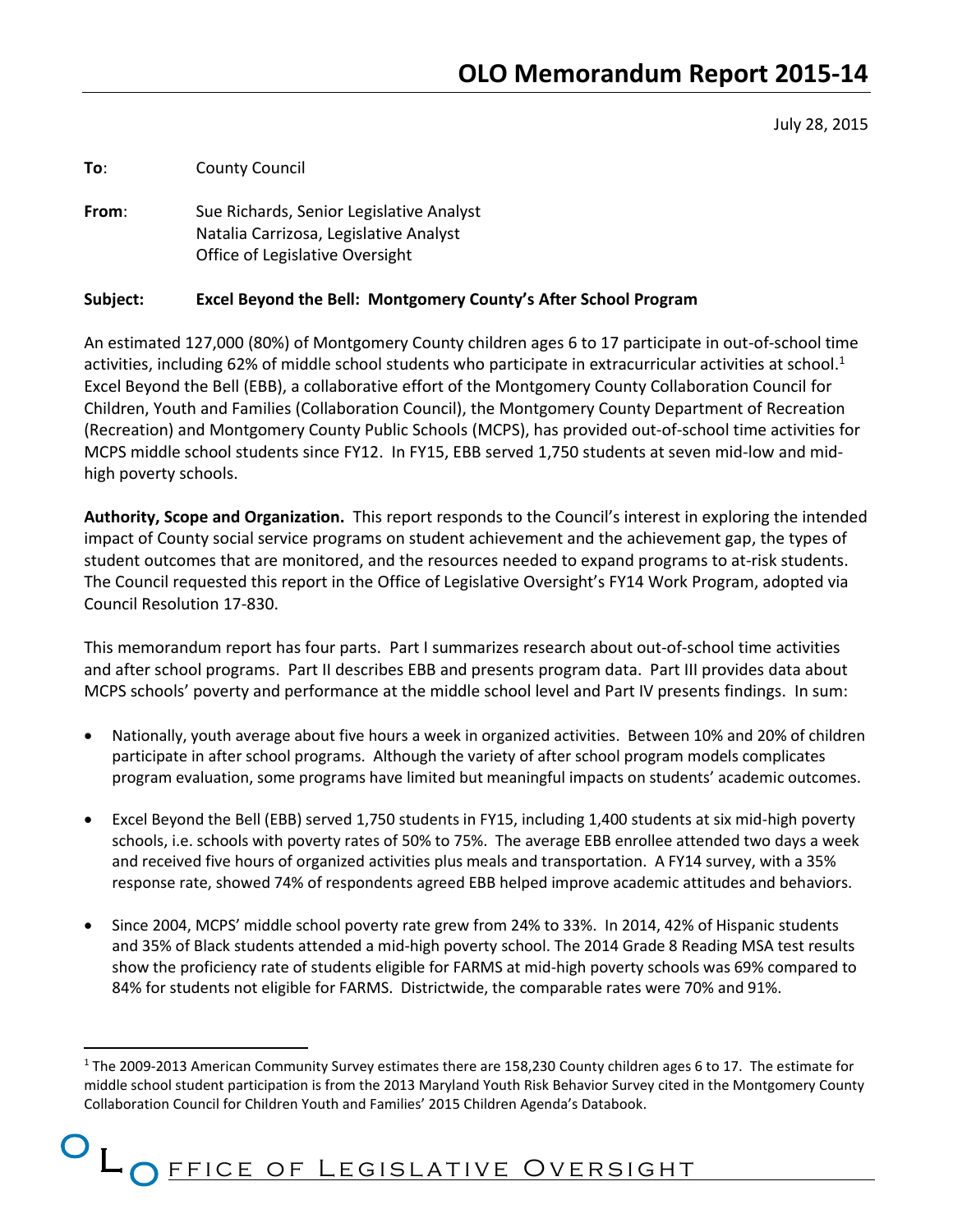July 28, 2015

**To**: County Council

 $\overline{a}$ 

**From**: Sue Richards, Senior Legislative Analyst Natalia Carrizosa, Legislative Analyst Office of Legislative Oversight

#### **Subject: Excel Beyond the Bell: Montgomery County's After School Program**

An estimated 127,000 (80%) of Montgomery County children ages 6 to 17 participate in out-of-school time activities, including 62% of middle school students who participate in extracurricular activities at school.<sup>1</sup> Excel Beyond the Bell (EBB), a collaborative effort of the Montgomery County Collaboration Council for Children, Youth and Families (Collaboration Council), the Montgomery County Department of Recreation (Recreation) and Montgomery County Public Schools (MCPS), has provided out-of-school time activities for MCPS middle school students since FY12. In FY15, EBB served 1,750 students at seven mid-low and midhigh poverty schools.

**Authority, Scope and Organization.** This report responds to the Council's interest in exploring the intended impact of County social service programs on student achievement and the achievement gap, the types of student outcomes that are monitored, and the resources needed to expand programs to at-risk students. The Council requested this report in the Office of Legislative Oversight's FY14 Work Program, adopted via Council Resolution 17-830.

This memorandum report has four parts. Part I summarizes research about out-of-school time activities and after school programs. Part II describes EBB and presents program data. Part III provides data about MCPS schools' poverty and performance at the middle school level and Part IV presents findings. In sum:

- Nationally, youth average about five hours a week in organized activities. Between 10% and 20% of children participate in after school programs. Although the variety of after school program models complicates program evaluation, some programs have limited but meaningful impacts on students' academic outcomes.
- Excel Beyond the Bell (EBB) served 1,750 students in FY15, including 1,400 students at six mid-high poverty schools, i.e. schools with poverty rates of 50% to 75%. The average EBB enrollee attended two days a week and received five hours of organized activities plus meals and transportation. A FY14 survey, with a 35% response rate, showed 74% of respondents agreed EBB helped improve academic attitudes and behaviors.
- Since 2004, MCPS' middle school poverty rate grew from 24% to 33%. In 2014, 42% of Hispanic students and 35% of Black students attended a mid-high poverty school. The 2014 Grade 8 Reading MSA test results show the proficiency rate of students eligible for FARMS at mid-high poverty schools was 69% compared to 84% for students not eligible for FARMS. Districtwide, the comparable rates were 70% and 91%.

<sup>1</sup> The 2009-2013 American Community Survey estimates there are 158,230 County children ages 6 to 17. The estimate for middle school student participation is from the 2013 Maryland Youth Risk Behavior Survey cited in the Montgomery County Collaboration Council for Children Youth and Families' 2015 Children Agenda's Databook.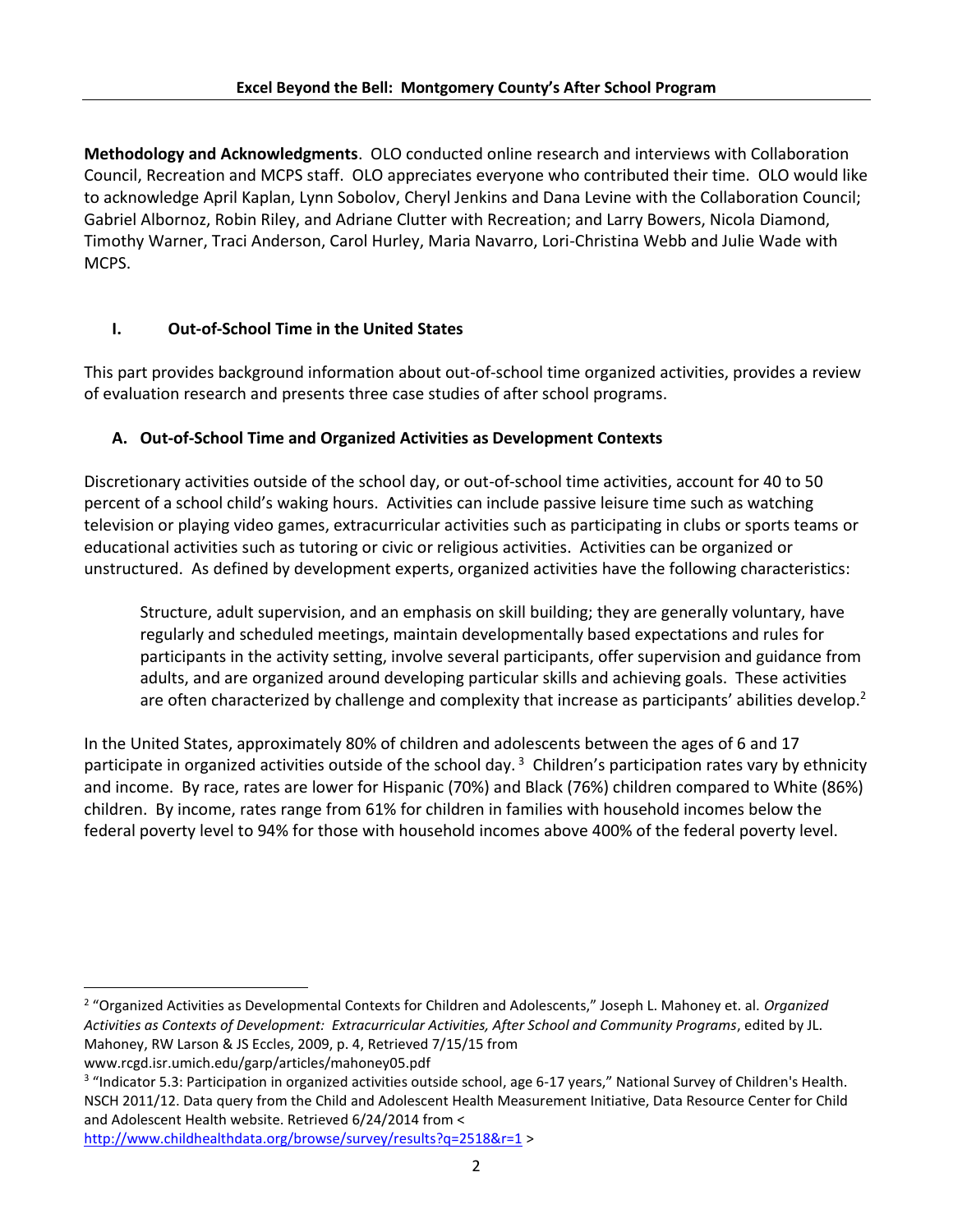**Methodology and Acknowledgments**. OLO conducted online research and interviews with Collaboration Council, Recreation and MCPS staff. OLO appreciates everyone who contributed their time. OLO would like to acknowledge April Kaplan, Lynn Sobolov, Cheryl Jenkins and Dana Levine with the Collaboration Council; Gabriel Albornoz, Robin Riley, and Adriane Clutter with Recreation; and Larry Bowers, Nicola Diamond, Timothy Warner, Traci Anderson, Carol Hurley, Maria Navarro, Lori-Christina Webb and Julie Wade with MCPS.

# **I. Out-of-School Time in the United States**

This part provides background information about out-of-school time organized activities, provides a review of evaluation research and presents three case studies of after school programs.

# **A. Out-of-School Time and Organized Activities as Development Contexts**

Discretionary activities outside of the school day, or out-of-school time activities, account for 40 to 50 percent of a school child's waking hours. Activities can include passive leisure time such as watching television or playing video games, extracurricular activities such as participating in clubs or sports teams or educational activities such as tutoring or civic or religious activities. Activities can be organized or unstructured. As defined by development experts, organized activities have the following characteristics:

Structure, adult supervision, and an emphasis on skill building; they are generally voluntary, have regularly and scheduled meetings, maintain developmentally based expectations and rules for participants in the activity setting, involve several participants, offer supervision and guidance from adults, and are organized around developing particular skills and achieving goals. These activities are often characterized by challenge and complexity that increase as participants' abilities develop.<sup>2</sup>

In the United States, approximately 80% of children and adolescents between the ages of 6 and 17 participate in organized activities outside of the school day.<sup>3</sup> Children's participation rates vary by ethnicity and income. By race, rates are lower for Hispanic (70%) and Black (76%) children compared to White (86%) children. By income, rates range from 61% for children in families with household incomes below the federal poverty level to 94% for those with household incomes above 400% of the federal poverty level.

www.rcgd.isr.umich.edu/garp/articles/mahoney05.pdf

 $\overline{\phantom{a}}$ 

<sup>2</sup> "Organized Activities as Developmental Contexts for Children and Adolescents," Joseph L. Mahoney et. al. *Organized Activities as Contexts of Development: Extracurricular Activities, After School and Community Programs*, edited by JL. Mahoney, RW Larson & JS Eccles, 2009, p. 4, Retrieved 7/15/15 from

<sup>&</sup>lt;sup>3</sup> "Indicator 5.3: Participation in organized activities outside school, age 6-17 years," National Survey of Children's Health. NSCH 2011/12. Data query from the Child and Adolescent Health Measurement Initiative, Data Resource Center for Child and Adolescent Health website. Retrieved 6/24/2014 from <

<http://www.childhealthdata.org/browse/survey/results?q=2518&r=1> >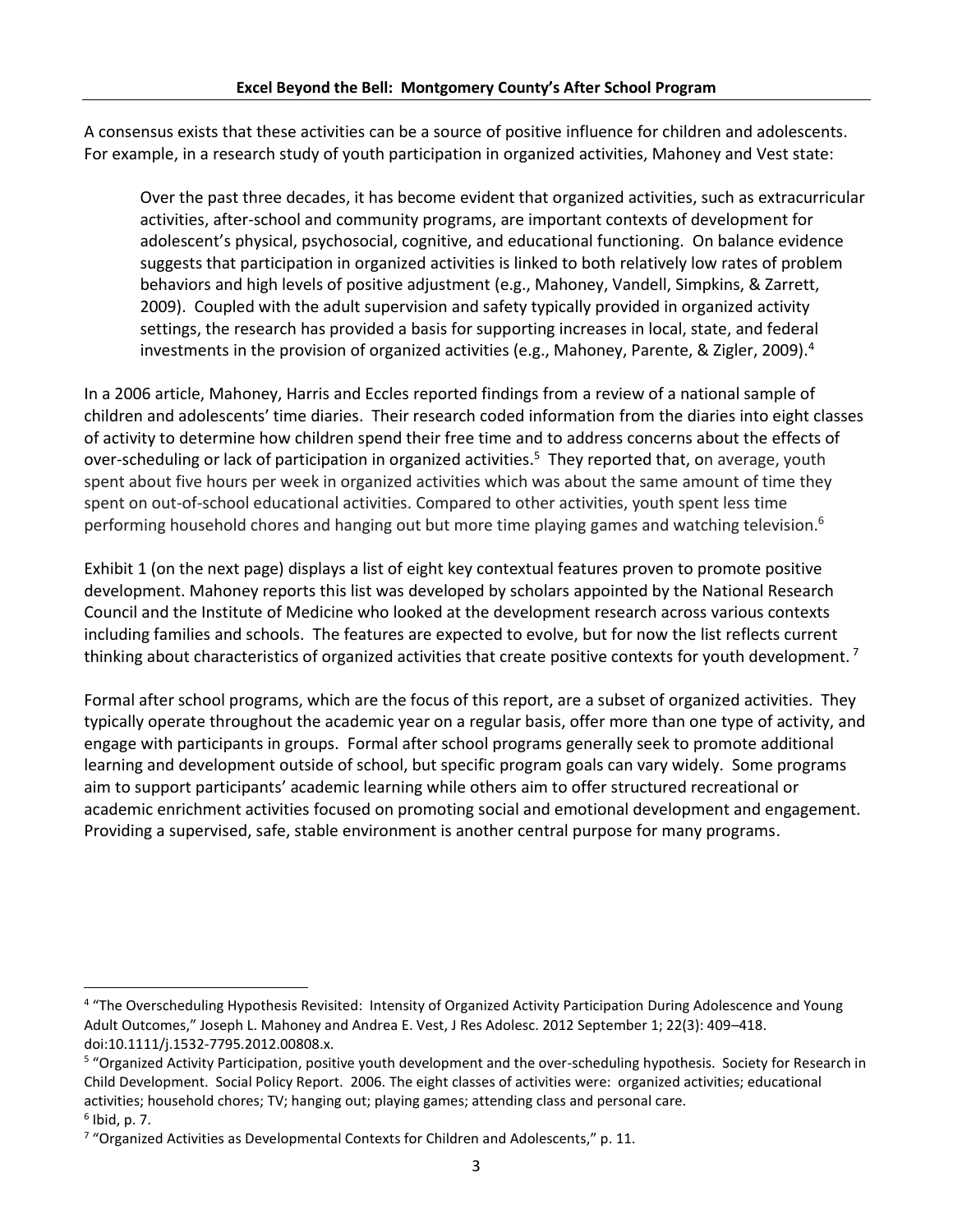A consensus exists that these activities can be a source of positive influence for children and adolescents. For example, in a research study of youth participation in organized activities, Mahoney and Vest state:

Over the past three decades, it has become evident that organized activities, such as extracurricular activities, after-school and community programs, are important contexts of development for adolescent's physical, psychosocial, cognitive, and educational functioning. On balance evidence suggests that participation in organized activities is linked to both relatively low rates of problem behaviors and high levels of positive adjustment (e.g., Mahoney, Vandell, Simpkins, & Zarrett, 2009). Coupled with the adult supervision and safety typically provided in organized activity settings, the research has provided a basis for supporting increases in local, state, and federal investments in the provision of organized activities (e.g., Mahoney, Parente, & Zigler, 2009).<sup>4</sup>

In a 2006 article, Mahoney, Harris and Eccles reported findings from a review of a national sample of children and adolescents' time diaries. Their research coded information from the diaries into eight classes of activity to determine how children spend their free time and to address concerns about the effects of over-scheduling or lack of participation in organized activities.<sup>5</sup> They reported that, on average, youth spent about five hours per week in organized activities which was about the same amount of time they spent on out-of-school educational activities. Compared to other activities, youth spent less time performing household chores and hanging out but more time playing games and watching television.<sup>6</sup>

Exhibit 1 (on the next page) displays a list of eight key contextual features proven to promote positive development. Mahoney reports this list was developed by scholars appointed by the National Research Council and the Institute of Medicine who looked at the development research across various contexts including families and schools. The features are expected to evolve, but for now the list reflects current thinking about characteristics of organized activities that create positive contexts for youth development.<sup>7</sup>

Formal after school programs, which are the focus of this report, are a subset of organized activities. They typically operate throughout the academic year on a regular basis, offer more than one type of activity, and engage with participants in groups. Formal after school programs generally seek to promote additional learning and development outside of school, but specific program goals can vary widely. Some programs aim to support participants' academic learning while others aim to offer structured recreational or academic enrichment activities focused on promoting social and emotional development and engagement. Providing a supervised, safe, stable environment is another central purpose for many programs.

 $\overline{\phantom{a}}$ 

<sup>&</sup>lt;sup>4</sup> "The Overscheduling Hypothesis Revisited: Intensity of Organized Activity Participation During Adolescence and Young Adult Outcomes," Joseph L. Mahoney and Andrea E. Vest, J Res Adolesc. 2012 September 1; 22(3): 409–418. doi:10.1111/j.1532-7795.2012.00808.x.

<sup>&</sup>lt;sup>5</sup> "Organized Activity Participation, positive youth development and the over-scheduling hypothesis. Society for Research in Child Development. Social Policy Report. 2006. The eight classes of activities were: organized activities; educational activities; household chores; TV; hanging out; playing games; attending class and personal care.

<sup>6</sup> Ibid, p. 7.

<sup>&</sup>lt;sup>7</sup> "Organized Activities as Developmental Contexts for Children and Adolescents," p. 11.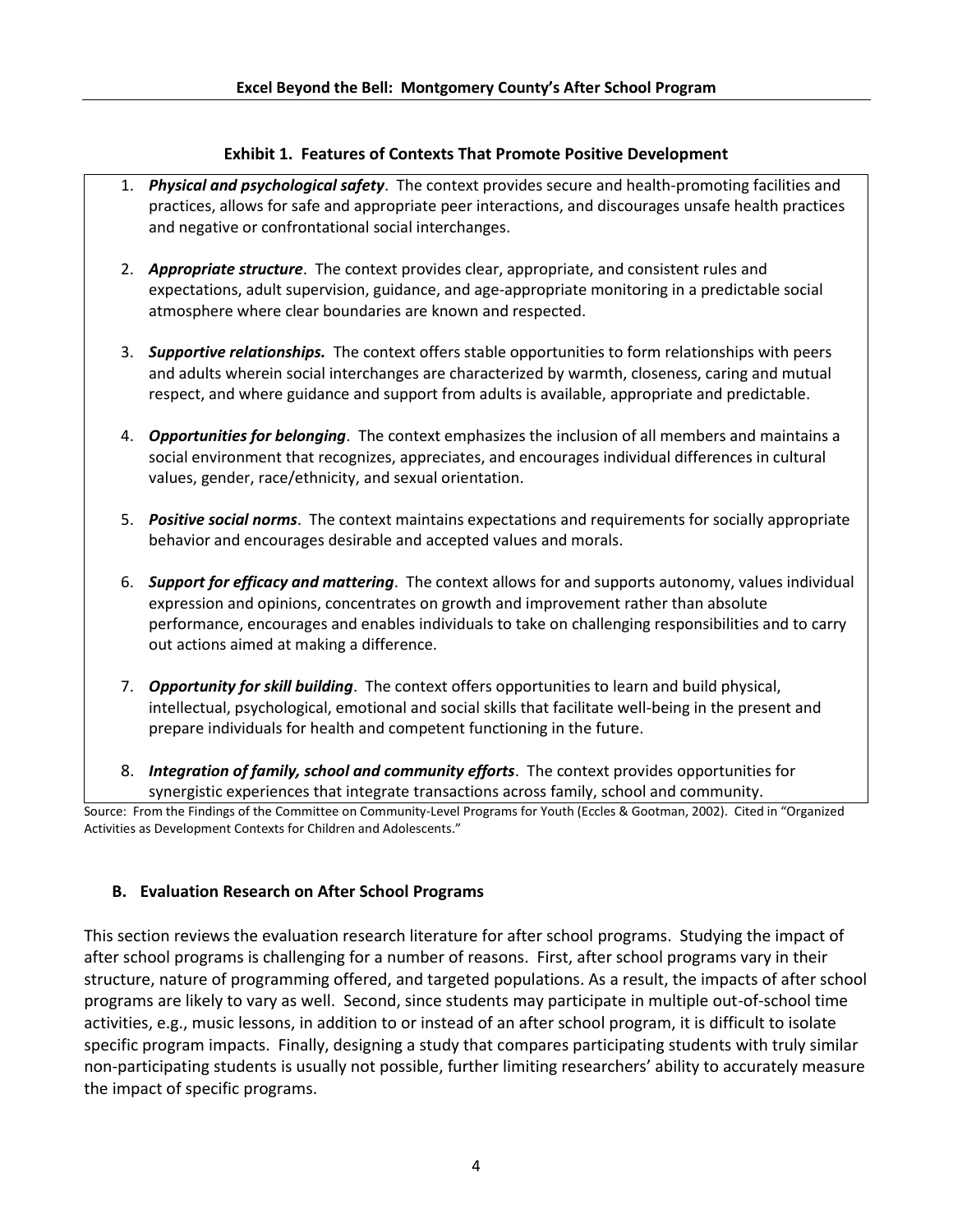#### **Exhibit 1. Features of Contexts That Promote Positive Development**

- 1. *Physical and psychological safety*. The context provides secure and health-promoting facilities and practices, allows for safe and appropriate peer interactions, and discourages unsafe health practices and negative or confrontational social interchanges.
- 2. *Appropriate structure*. The context provides clear, appropriate, and consistent rules and expectations, adult supervision, guidance, and age-appropriate monitoring in a predictable social atmosphere where clear boundaries are known and respected.
- 3. *Supportive relationships.* The context offers stable opportunities to form relationships with peers and adults wherein social interchanges are characterized by warmth, closeness, caring and mutual respect, and where guidance and support from adults is available, appropriate and predictable.
- 4. *Opportunities for belonging*. The context emphasizes the inclusion of all members and maintains a social environment that recognizes, appreciates, and encourages individual differences in cultural values, gender, race/ethnicity, and sexual orientation.
- 5. *Positive social norms*. The context maintains expectations and requirements for socially appropriate behavior and encourages desirable and accepted values and morals.
- 6. *Support for efficacy and mattering*. The context allows for and supports autonomy, values individual expression and opinions, concentrates on growth and improvement rather than absolute performance, encourages and enables individuals to take on challenging responsibilities and to carry out actions aimed at making a difference.
- 7. *Opportunity for skill building*. The context offers opportunities to learn and build physical, intellectual, psychological, emotional and social skills that facilitate well-being in the present and prepare individuals for health and competent functioning in the future.
- 8. *Integration of family, school and community efforts*. The context provides opportunities for synergistic experiences that integrate transactions across family, school and community.

Source: From the Findings of the Committee on Community-Level Programs for Youth (Eccles & Gootman, 2002). Cited in "Organized Activities as Development Contexts for Children and Adolescents."

#### **B. Evaluation Research on After School Programs**

This section reviews the evaluation research literature for after school programs. Studying the impact of after school programs is challenging for a number of reasons. First, after school programs vary in their structure, nature of programming offered, and targeted populations. As a result, the impacts of after school programs are likely to vary as well. Second, since students may participate in multiple out-of-school time activities, e.g., music lessons, in addition to or instead of an after school program, it is difficult to isolate specific program impacts. Finally, designing a study that compares participating students with truly similar non-participating students is usually not possible, further limiting researchers' ability to accurately measure the impact of specific programs.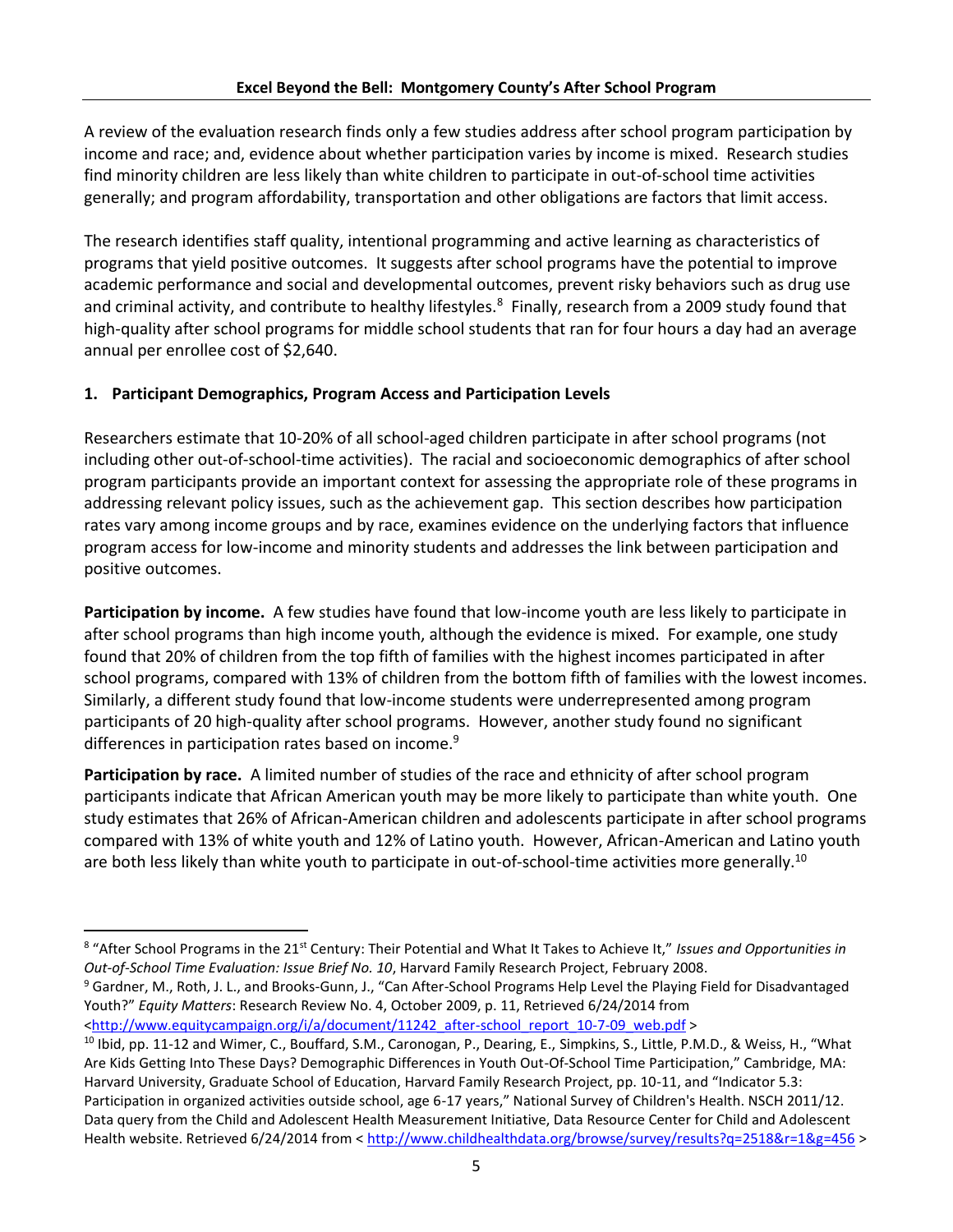A review of the evaluation research finds only a few studies address after school program participation by income and race; and, evidence about whether participation varies by income is mixed. Research studies find minority children are less likely than white children to participate in out-of-school time activities generally; and program affordability, transportation and other obligations are factors that limit access.

The research identifies staff quality, intentional programming and active learning as characteristics of programs that yield positive outcomes. It suggests after school programs have the potential to improve academic performance and social and developmental outcomes, prevent risky behaviors such as drug use and criminal activity, and contribute to healthy lifestyles.<sup>8</sup> Finally, research from a 2009 study found that high-quality after school programs for middle school students that ran for four hours a day had an average annual per enrollee cost of \$2,640.

# **1. Participant Demographics, Program Access and Participation Levels**

Researchers estimate that 10-20% of all school-aged children participate in after school programs (not including other out-of-school-time activities). The racial and socioeconomic demographics of after school program participants provide an important context for assessing the appropriate role of these programs in addressing relevant policy issues, such as the achievement gap. This section describes how participation rates vary among income groups and by race, examines evidence on the underlying factors that influence program access for low-income and minority students and addresses the link between participation and positive outcomes.

**Participation by income.** A few studies have found that low-income youth are less likely to participate in after school programs than high income youth, although the evidence is mixed. For example, one study found that 20% of children from the top fifth of families with the highest incomes participated in after school programs, compared with 13% of children from the bottom fifth of families with the lowest incomes. Similarly, a different study found that low-income students were underrepresented among program participants of 20 high-quality after school programs. However, another study found no significant differences in participation rates based on income.<sup>9</sup>

**Participation by race.** A limited number of studies of the race and ethnicity of after school program participants indicate that African American youth may be more likely to participate than white youth. One study estimates that 26% of African-American children and adolescents participate in after school programs compared with 13% of white youth and 12% of Latino youth. However, African-American and Latino youth are both less likely than white youth to participate in out-of-school-time activities more generally.<sup>10</sup>

<sup>9</sup> Gardner, M., Roth, J. L., and Brooks-Gunn, J., "Can After-School Programs Help Level the Playing Field for Disadvantaged Youth?" *Equity Matters*: Research Review No. 4, October 2009, p. 11, Retrieved 6/24/2014 from

[<http://www.equitycampaign.org/i/a/document/11242\\_after-school\\_report\\_10-7-09\\_web.pdf](http://www.equitycampaign.org/i/a/document/11242_after-school_report_10-7-09_web.pdf) >

<sup>&</sup>lt;sup>8</sup> "After School Programs in the 21<sup>st</sup> Century: Their Potential and What It Takes to Achieve It," *Issues and Opportunities in Out-of-School Time Evaluation: Issue Brief No. 10*, Harvard Family Research Project, February 2008.

<sup>&</sup>lt;sup>10</sup> Ibid, pp. 11-12 and Wimer, C., Bouffard, S.M., Caronogan, P., Dearing, E., Simpkins, S., Little, P.M.D., & Weiss, H., "What Are Kids Getting Into These Days? Demographic Differences in Youth Out-Of-School Time Participation," Cambridge, MA: Harvard University, Graduate School of Education, Harvard Family Research Project, pp. 10-11, and "Indicator 5.3: Participation in organized activities outside school, age 6-17 years," National Survey of Children's Health. NSCH 2011/12. Data query from the Child and Adolescent Health Measurement Initiative, Data Resource Center for Child and Adolescent Health website. Retrieved 6/24/2014 from <<http://www.childhealthdata.org/browse/survey/results?q=2518&r=1&g=456> >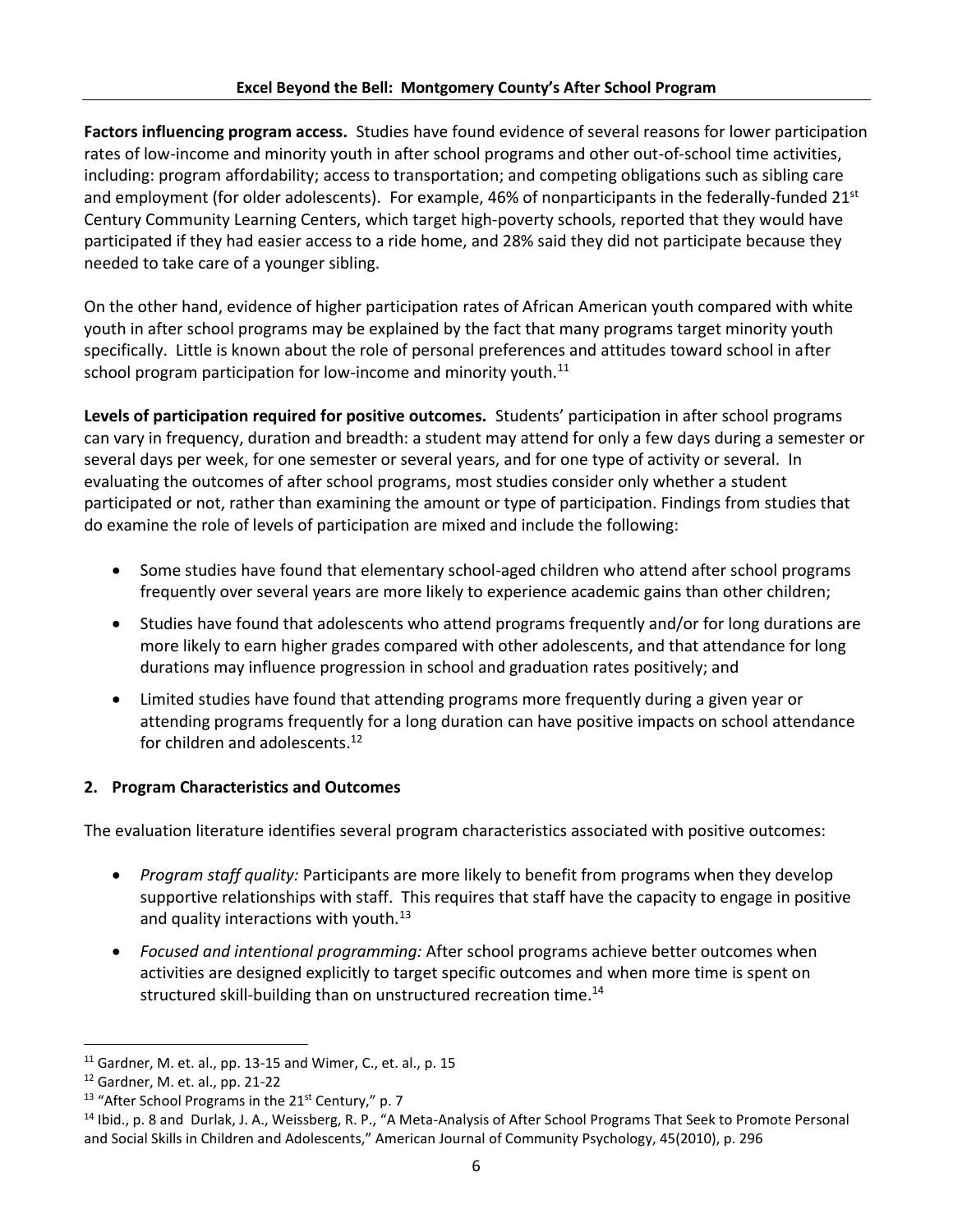**Factors influencing program access.** Studies have found evidence of several reasons for lower participation rates of low-income and minority youth in after school programs and other out-of-school time activities, including: program affordability; access to transportation; and competing obligations such as sibling care and employment (for older adolescents). For example, 46% of nonparticipants in the federally-funded  $21<sup>st</sup>$ Century Community Learning Centers, which target high-poverty schools, reported that they would have participated if they had easier access to a ride home, and 28% said they did not participate because they needed to take care of a younger sibling.

On the other hand, evidence of higher participation rates of African American youth compared with white youth in after school programs may be explained by the fact that many programs target minority youth specifically. Little is known about the role of personal preferences and attitudes toward school in after school program participation for low-income and minority youth. $^{11}$ 

**Levels of participation required for positive outcomes.** Students' participation in after school programs can vary in frequency, duration and breadth: a student may attend for only a few days during a semester or several days per week, for one semester or several years, and for one type of activity or several. In evaluating the outcomes of after school programs, most studies consider only whether a student participated or not, rather than examining the amount or type of participation. Findings from studies that do examine the role of levels of participation are mixed and include the following:

- Some studies have found that elementary school-aged children who attend after school programs frequently over several years are more likely to experience academic gains than other children;
- Studies have found that adolescents who attend programs frequently and/or for long durations are more likely to earn higher grades compared with other adolescents, and that attendance for long durations may influence progression in school and graduation rates positively; and
- Limited studies have found that attending programs more frequently during a given year or attending programs frequently for a long duration can have positive impacts on school attendance for children and adolescents.<sup>12</sup>

# **2. Program Characteristics and Outcomes**

The evaluation literature identifies several program characteristics associated with positive outcomes:

- *Program staff quality:* Participants are more likely to benefit from programs when they develop supportive relationships with staff. This requires that staff have the capacity to engage in positive and quality interactions with youth. $13$
- *Focused and intentional programming:* After school programs achieve better outcomes when activities are designed explicitly to target specific outcomes and when more time is spent on structured skill-building than on unstructured recreation time.<sup>14</sup>

l

 $11$  Gardner, M. et. al., pp. 13-15 and Wimer, C., et. al., p. 15

<sup>12</sup> Gardner, M. et. al., pp. 21-22

<sup>&</sup>lt;sup>13</sup> "After School Programs in the  $21<sup>st</sup>$  Century," p. 7

<sup>&</sup>lt;sup>14</sup> Ibid., p. 8 and Durlak, J. A., Weissberg, R. P., "A Meta-Analysis of After School Programs That Seek to Promote Personal and Social Skills in Children and Adolescents," American Journal of Community Psychology, 45(2010), p. 296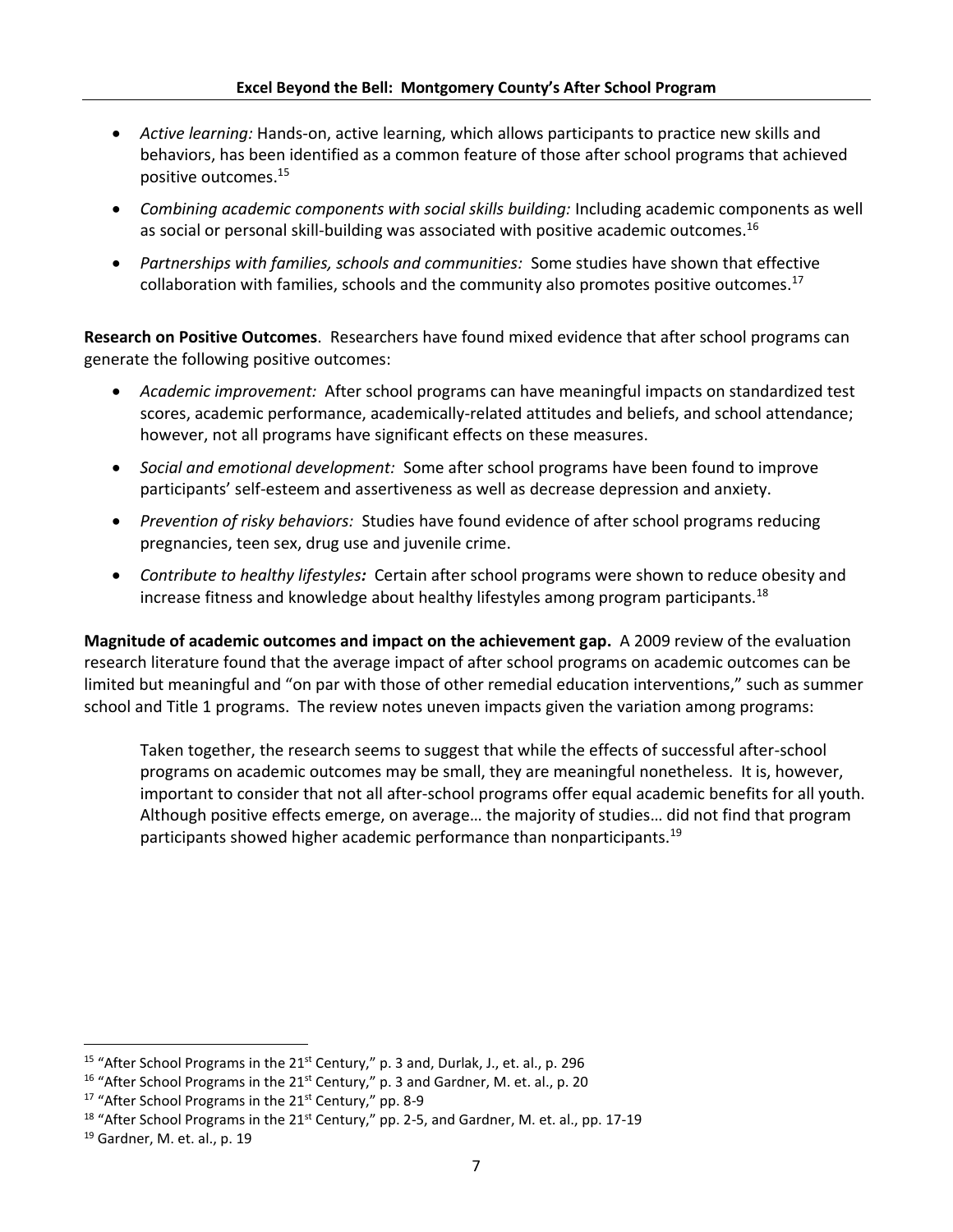- *Active learning:* Hands-on, active learning, which allows participants to practice new skills and behaviors, has been identified as a common feature of those after school programs that achieved positive outcomes.<sup>15</sup>
- *Combining academic components with social skills building:* Including academic components as well as social or personal skill-building was associated with positive academic outcomes.<sup>16</sup>
- *Partnerships with families, schools and communities:* Some studies have shown that effective collaboration with families, schools and the community also promotes positive outcomes.<sup>17</sup>

**Research on Positive Outcomes**. Researchers have found mixed evidence that after school programs can generate the following positive outcomes:

- *Academic improvement:* After school programs can have meaningful impacts on standardized test scores, academic performance, academically-related attitudes and beliefs, and school attendance; however, not all programs have significant effects on these measures.
- *Social and emotional development:* Some after school programs have been found to improve participants' self-esteem and assertiveness as well as decrease depression and anxiety.
- *Prevention of risky behaviors:* Studies have found evidence of after school programs reducing pregnancies, teen sex, drug use and juvenile crime.
- *Contribute to healthy lifestyles:* Certain after school programs were shown to reduce obesity and increase fitness and knowledge about healthy lifestyles among program participants.<sup>18</sup>

**Magnitude of academic outcomes and impact on the achievement gap.** A 2009 review of the evaluation research literature found that the average impact of after school programs on academic outcomes can be limited but meaningful and "on par with those of other remedial education interventions," such as summer school and Title 1 programs. The review notes uneven impacts given the variation among programs:

Taken together, the research seems to suggest that while the effects of successful after-school programs on academic outcomes may be small, they are meaningful nonetheless. It is, however, important to consider that not all after-school programs offer equal academic benefits for all youth. Although positive effects emerge, on average… the majority of studies… did not find that program participants showed higher academic performance than nonparticipants.<sup>19</sup>

l

<sup>&</sup>lt;sup>15</sup> "After School Programs in the  $21<sup>st</sup>$  Century," p. 3 and, Durlak, J., et. al., p. 296

<sup>&</sup>lt;sup>16</sup> "After School Programs in the  $21<sup>st</sup>$  Century," p. 3 and Gardner, M. et. al., p. 20

<sup>&</sup>lt;sup>17</sup> "After School Programs in the 21<sup>st</sup> Century," pp. 8-9

 $18$  "After School Programs in the 21<sup>st</sup> Century," pp. 2-5, and Gardner, M. et. al., pp. 17-19

<sup>19</sup> Gardner, M. et. al., p. 19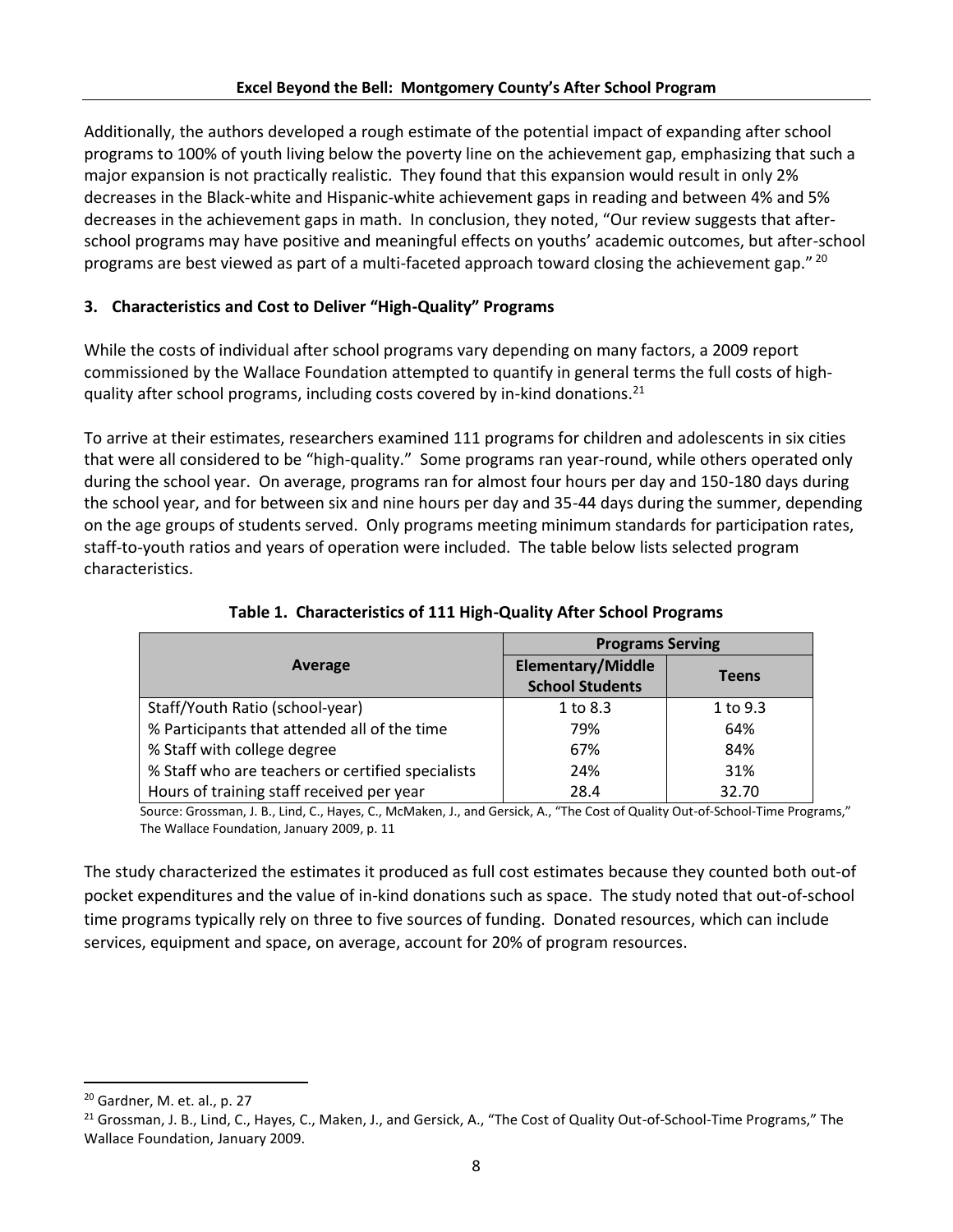Additionally, the authors developed a rough estimate of the potential impact of expanding after school programs to 100% of youth living below the poverty line on the achievement gap, emphasizing that such a major expansion is not practically realistic. They found that this expansion would result in only 2% decreases in the Black-white and Hispanic-white achievement gaps in reading and between 4% and 5% decreases in the achievement gaps in math. In conclusion, they noted, "Our review suggests that afterschool programs may have positive and meaningful effects on youths' academic outcomes, but after-school programs are best viewed as part of a multi-faceted approach toward closing the achievement gap."  $^{20}$ 

# **3. Characteristics and Cost to Deliver "High-Quality" Programs**

While the costs of individual after school programs vary depending on many factors, a 2009 report commissioned by the Wallace Foundation attempted to quantify in general terms the full costs of highquality after school programs, including costs covered by in-kind donations.<sup>21</sup>

To arrive at their estimates, researchers examined 111 programs for children and adolescents in six cities that were all considered to be "high-quality." Some programs ran year-round, while others operated only during the school year. On average, programs ran for almost four hours per day and 150-180 days during the school year, and for between six and nine hours per day and 35-44 days during the summer, depending on the age groups of students served. Only programs meeting minimum standards for participation rates, staff-to-youth ratios and years of operation were included. The table below lists selected program characteristics.

|                                                   | <b>Programs Serving</b>                            |              |  |  |  |
|---------------------------------------------------|----------------------------------------------------|--------------|--|--|--|
| Average                                           | <b>Elementary/Middle</b><br><b>School Students</b> | <b>Teens</b> |  |  |  |
| Staff/Youth Ratio (school-year)                   | 1 to 8.3                                           | 1 to 9.3     |  |  |  |
| % Participants that attended all of the time      | 79%                                                | 64%          |  |  |  |
| % Staff with college degree                       | 67%                                                | 84%          |  |  |  |
| % Staff who are teachers or certified specialists | 24%                                                | 31%          |  |  |  |
| Hours of training staff received per year         | 28.4                                               | 32.70        |  |  |  |

**Table 1. Characteristics of 111 High-Quality After School Programs**

Source: Grossman, J. B., Lind, C., Hayes, C., McMaken, J., and Gersick, A., "The Cost of Quality Out-of-School-Time Programs," The Wallace Foundation, January 2009, p. 11

The study characterized the estimates it produced as full cost estimates because they counted both out-of pocket expenditures and the value of in-kind donations such as space. The study noted that out-of-school time programs typically rely on three to five sources of funding. Donated resources, which can include services, equipment and space, on average, account for 20% of program resources.

 $\overline{\phantom{a}}$ 

<sup>20</sup> Gardner, M. et. al., p. 27

<sup>&</sup>lt;sup>21</sup> Grossman, J. B., Lind, C., Hayes, C., Maken, J., and Gersick, A., "The Cost of Quality Out-of-School-Time Programs," The Wallace Foundation, January 2009.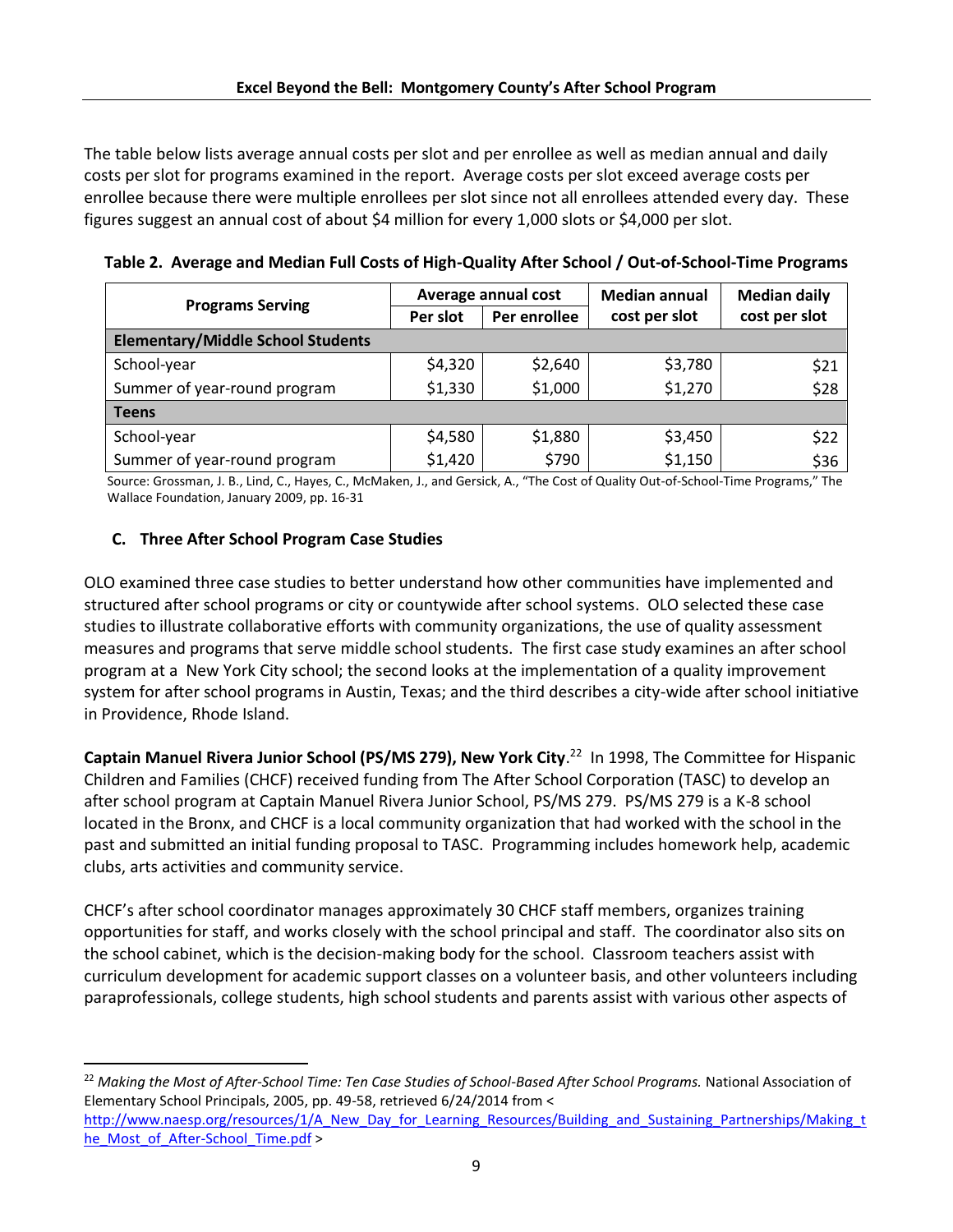The table below lists average annual costs per slot and per enrollee as well as median annual and daily costs per slot for programs examined in the report. Average costs per slot exceed average costs per enrollee because there were multiple enrollees per slot since not all enrollees attended every day. These figures suggest an annual cost of about \$4 million for every 1,000 slots or \$4,000 per slot.

|  | Table 2. Average and Median Full Costs of High-Quality After School / Out-of-School-Time Programs |  |  |  |
|--|---------------------------------------------------------------------------------------------------|--|--|--|
|--|---------------------------------------------------------------------------------------------------|--|--|--|

| <b>Programs Serving</b>                  |          | Average annual cost | <b>Median annual</b> | <b>Median daily</b> |  |
|------------------------------------------|----------|---------------------|----------------------|---------------------|--|
|                                          | Per slot | Per enrollee        | cost per slot        | cost per slot       |  |
| <b>Elementary/Middle School Students</b> |          |                     |                      |                     |  |
| School-year                              | \$4,320  | \$2,640             | \$3,780              | \$21                |  |
| Summer of year-round program             | \$1,330  | \$1,000             | \$1,270              | \$28                |  |
| <b>Teens</b>                             |          |                     |                      |                     |  |
| School-year                              | \$4,580  | \$1,880             | \$3,450              | \$22                |  |
| Summer of year-round program             | \$1,420  | \$790               | \$1,150              | \$36                |  |

Source: Grossman, J. B., Lind, C., Hayes, C., McMaken, J., and Gersick, A., "The Cost of Quality Out-of-School-Time Programs," The Wallace Foundation, January 2009, pp. 16-31

# **C. Three After School Program Case Studies**

OLO examined three case studies to better understand how other communities have implemented and structured after school programs or city or countywide after school systems. OLO selected these case studies to illustrate collaborative efforts with community organizations, the use of quality assessment measures and programs that serve middle school students. The first case study examines an after school program at a New York City school; the second looks at the implementation of a quality improvement system for after school programs in Austin, Texas; and the third describes a city-wide after school initiative in Providence, Rhode Island.

**Captain Manuel Rivera Junior School (PS/MS 279), New York City**. 22 In 1998, The Committee for Hispanic Children and Families (CHCF) received funding from The After School Corporation (TASC) to develop an after school program at Captain Manuel Rivera Junior School, PS/MS 279. PS/MS 279 is a K-8 school located in the Bronx, and CHCF is a local community organization that had worked with the school in the past and submitted an initial funding proposal to TASC. Programming includes homework help, academic clubs, arts activities and community service.

CHCF's after school coordinator manages approximately 30 CHCF staff members, organizes training opportunities for staff, and works closely with the school principal and staff. The coordinator also sits on the school cabinet, which is the decision-making body for the school. Classroom teachers assist with curriculum development for academic support classes on a volunteer basis, and other volunteers including paraprofessionals, college students, high school students and parents assist with various other aspects of

<sup>22</sup> *Making the Most of After-School Time: Ten Case Studies of School-Based After School Programs.* National Association of Elementary School Principals, 2005, pp. 49-58, retrieved 6/24/2014 from < [http://www.naesp.org/resources/1/A\\_New\\_Day\\_for\\_Learning\\_Resources/Building\\_and\\_Sustaining\\_Partnerships/Making\\_t](http://www.naesp.org/resources/1/A_New_Day_for_Learning_Resources/Building_and_Sustaining_Partnerships/Making_the_Most_of_After-School_Time.pdf)

[he\\_Most\\_of\\_After-School\\_Time.pdf](http://www.naesp.org/resources/1/A_New_Day_for_Learning_Resources/Building_and_Sustaining_Partnerships/Making_the_Most_of_After-School_Time.pdf) >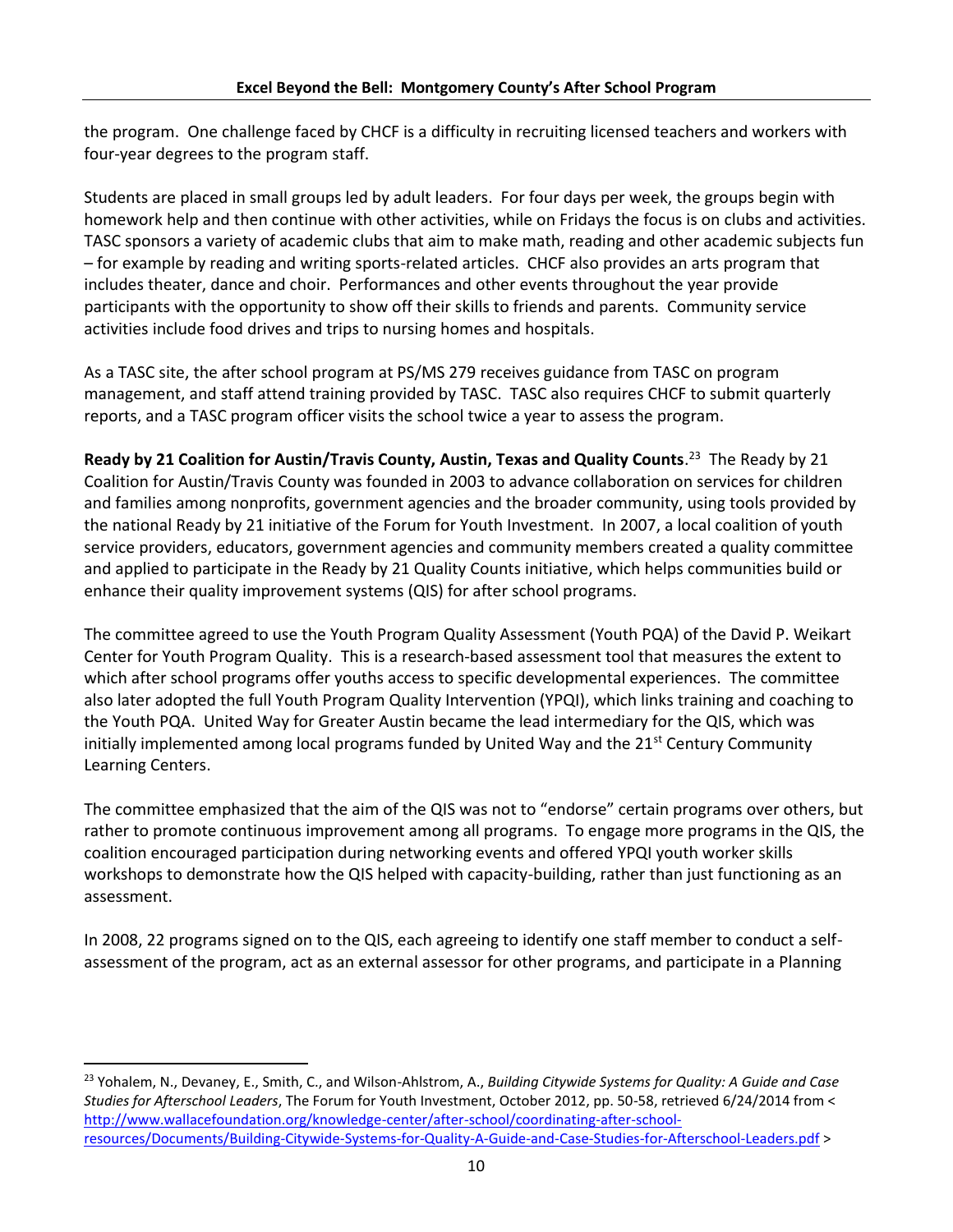the program. One challenge faced by CHCF is a difficulty in recruiting licensed teachers and workers with four-year degrees to the program staff.

Students are placed in small groups led by adult leaders. For four days per week, the groups begin with homework help and then continue with other activities, while on Fridays the focus is on clubs and activities. TASC sponsors a variety of academic clubs that aim to make math, reading and other academic subjects fun – for example by reading and writing sports-related articles. CHCF also provides an arts program that includes theater, dance and choir. Performances and other events throughout the year provide participants with the opportunity to show off their skills to friends and parents. Community service activities include food drives and trips to nursing homes and hospitals.

As a TASC site, the after school program at PS/MS 279 receives guidance from TASC on program management, and staff attend training provided by TASC. TASC also requires CHCF to submit quarterly reports, and a TASC program officer visits the school twice a year to assess the program.

**Ready by 21 Coalition for Austin/Travis County, Austin, Texas and Quality Counts**. 23 The Ready by 21 Coalition for Austin/Travis County was founded in 2003 to advance collaboration on services for children and families among nonprofits, government agencies and the broader community, using tools provided by the national Ready by 21 initiative of the Forum for Youth Investment. In 2007, a local coalition of youth service providers, educators, government agencies and community members created a quality committee and applied to participate in the Ready by 21 Quality Counts initiative, which helps communities build or enhance their quality improvement systems (QIS) for after school programs.

The committee agreed to use the Youth Program Quality Assessment (Youth PQA) of the David P. Weikart Center for Youth Program Quality. This is a research-based assessment tool that measures the extent to which after school programs offer youths access to specific developmental experiences. The committee also later adopted the full Youth Program Quality Intervention (YPQI), which links training and coaching to the Youth PQA. United Way for Greater Austin became the lead intermediary for the QIS, which was initially implemented among local programs funded by United Way and the  $21<sup>st</sup>$  Century Community Learning Centers.

The committee emphasized that the aim of the QIS was not to "endorse" certain programs over others, but rather to promote continuous improvement among all programs. To engage more programs in the QIS, the coalition encouraged participation during networking events and offered YPQI youth worker skills workshops to demonstrate how the QIS helped with capacity-building, rather than just functioning as an assessment.

In 2008, 22 programs signed on to the QIS, each agreeing to identify one staff member to conduct a selfassessment of the program, act as an external assessor for other programs, and participate in a Planning

<sup>23</sup> Yohalem, N., Devaney, E., Smith, C., and Wilson-Ahlstrom, A., *Building Citywide Systems for Quality: A Guide and Case Studies for Afterschool Leaders*, The Forum for Youth Investment, October 2012, pp. 50-58, retrieved 6/24/2014 from < [http://www.wallacefoundation.org/knowledge-center/after-school/coordinating-after-school](http://www.wallacefoundation.org/knowledge-center/after-school/coordinating-after-school-resources/Documents/Building-Citywide-Systems-for-Quality-A-Guide-and-Case-Studies-for-Afterschool-Leaders.pdf)[resources/Documents/Building-Citywide-Systems-for-Quality-A-Guide-and-Case-Studies-for-Afterschool-Leaders.pdf](http://www.wallacefoundation.org/knowledge-center/after-school/coordinating-after-school-resources/Documents/Building-Citywide-Systems-for-Quality-A-Guide-and-Case-Studies-for-Afterschool-Leaders.pdf) >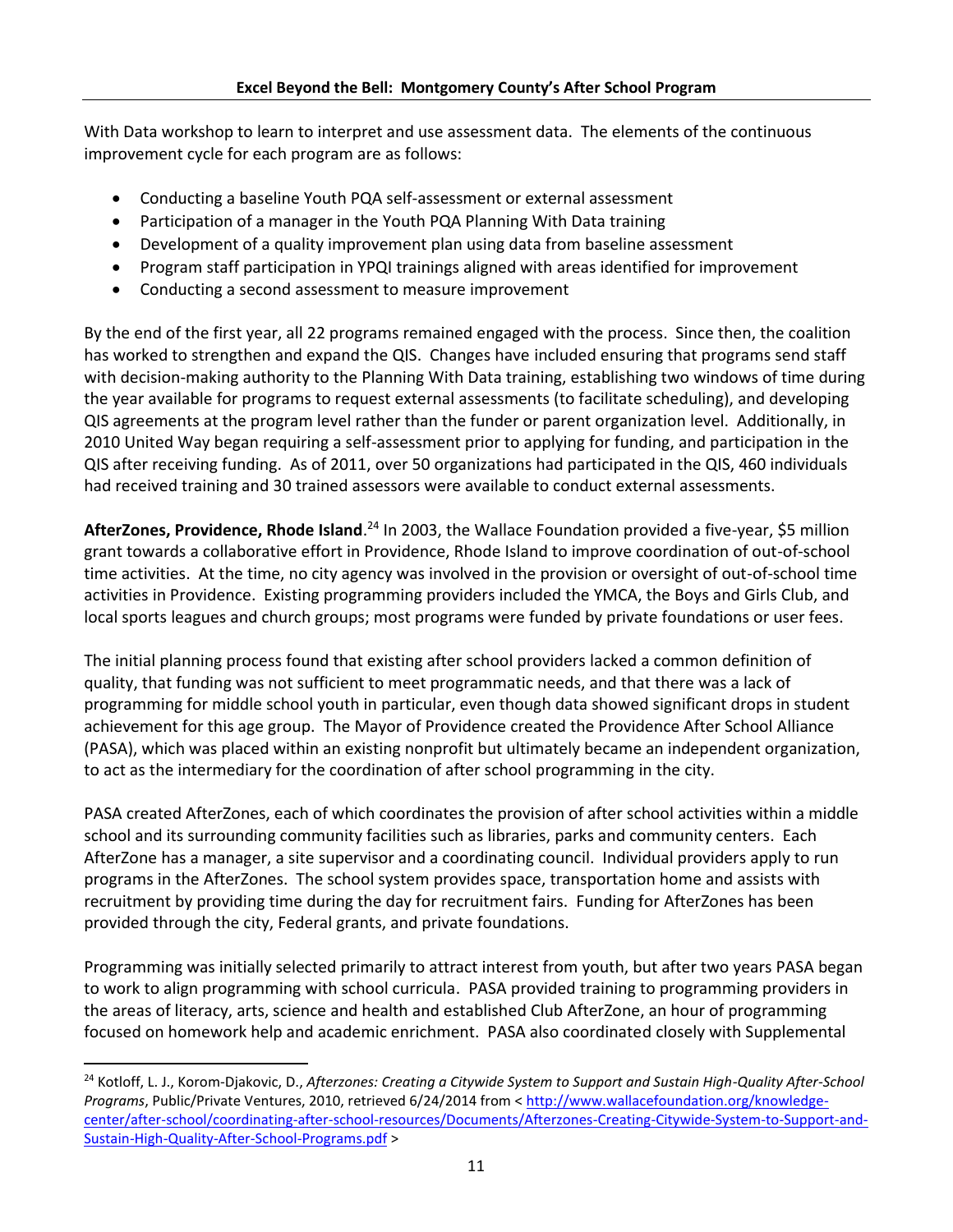With Data workshop to learn to interpret and use assessment data. The elements of the continuous improvement cycle for each program are as follows:

- Conducting a baseline Youth PQA self-assessment or external assessment
- Participation of a manager in the Youth PQA Planning With Data training
- Development of a quality improvement plan using data from baseline assessment
- Program staff participation in YPQI trainings aligned with areas identified for improvement
- Conducting a second assessment to measure improvement

By the end of the first year, all 22 programs remained engaged with the process. Since then, the coalition has worked to strengthen and expand the QIS. Changes have included ensuring that programs send staff with decision-making authority to the Planning With Data training, establishing two windows of time during the year available for programs to request external assessments (to facilitate scheduling), and developing QIS agreements at the program level rather than the funder or parent organization level. Additionally, in 2010 United Way began requiring a self-assessment prior to applying for funding, and participation in the QIS after receiving funding. As of 2011, over 50 organizations had participated in the QIS, 460 individuals had received training and 30 trained assessors were available to conduct external assessments.

AfterZones, Providence, Rhode Island.<sup>24</sup> In 2003, the Wallace Foundation provided a five-year, \$5 million grant towards a collaborative effort in Providence, Rhode Island to improve coordination of out-of-school time activities. At the time, no city agency was involved in the provision or oversight of out-of-school time activities in Providence. Existing programming providers included the YMCA, the Boys and Girls Club, and local sports leagues and church groups; most programs were funded by private foundations or user fees.

The initial planning process found that existing after school providers lacked a common definition of quality, that funding was not sufficient to meet programmatic needs, and that there was a lack of programming for middle school youth in particular, even though data showed significant drops in student achievement for this age group. The Mayor of Providence created the Providence After School Alliance (PASA), which was placed within an existing nonprofit but ultimately became an independent organization, to act as the intermediary for the coordination of after school programming in the city.

PASA created AfterZones, each of which coordinates the provision of after school activities within a middle school and its surrounding community facilities such as libraries, parks and community centers. Each AfterZone has a manager, a site supervisor and a coordinating council. Individual providers apply to run programs in the AfterZones. The school system provides space, transportation home and assists with recruitment by providing time during the day for recruitment fairs. Funding for AfterZones has been provided through the city, Federal grants, and private foundations.

Programming was initially selected primarily to attract interest from youth, but after two years PASA began to work to align programming with school curricula. PASA provided training to programming providers in the areas of literacy, arts, science and health and established Club AfterZone, an hour of programming focused on homework help and academic enrichment. PASA also coordinated closely with Supplemental

<sup>24</sup> Kotloff, L. J., Korom-Djakovic, D., *Afterzones: Creating a Citywide System to Support and Sustain High-Quality After-School Programs*, Public/Private Ventures, 2010, retrieved 6/24/2014 from < [http://www.wallacefoundation.org/knowledge](http://www.wallacefoundation.org/knowledge-center/after-school/coordinating-after-school-resources/Documents/Afterzones-Creating-Citywide-System-to-Support-and-Sustain-High-Quality-After-School-Programs.pdf)[center/after-school/coordinating-after-school-resources/Documents/Afterzones-Creating-Citywide-System-to-Support-and-](http://www.wallacefoundation.org/knowledge-center/after-school/coordinating-after-school-resources/Documents/Afterzones-Creating-Citywide-System-to-Support-and-Sustain-High-Quality-After-School-Programs.pdf)[Sustain-High-Quality-After-School-Programs.pdf](http://www.wallacefoundation.org/knowledge-center/after-school/coordinating-after-school-resources/Documents/Afterzones-Creating-Citywide-System-to-Support-and-Sustain-High-Quality-After-School-Programs.pdf) >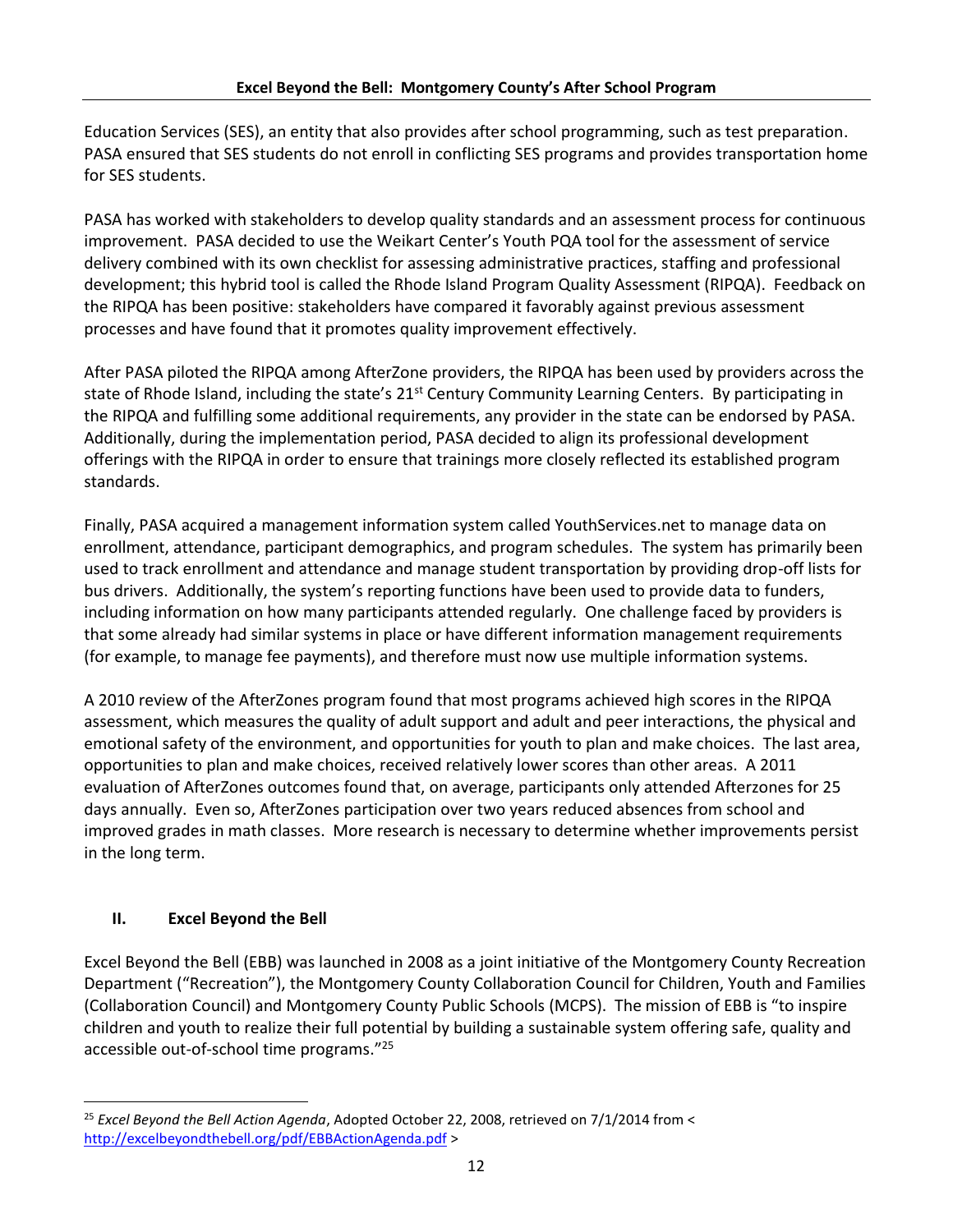Education Services (SES), an entity that also provides after school programming, such as test preparation. PASA ensured that SES students do not enroll in conflicting SES programs and provides transportation home for SES students.

PASA has worked with stakeholders to develop quality standards and an assessment process for continuous improvement. PASA decided to use the Weikart Center's Youth PQA tool for the assessment of service delivery combined with its own checklist for assessing administrative practices, staffing and professional development; this hybrid tool is called the Rhode Island Program Quality Assessment (RIPQA). Feedback on the RIPQA has been positive: stakeholders have compared it favorably against previous assessment processes and have found that it promotes quality improvement effectively.

After PASA piloted the RIPQA among AfterZone providers, the RIPQA has been used by providers across the state of Rhode Island, including the state's 21<sup>st</sup> Century Community Learning Centers. By participating in the RIPQA and fulfilling some additional requirements, any provider in the state can be endorsed by PASA. Additionally, during the implementation period, PASA decided to align its professional development offerings with the RIPQA in order to ensure that trainings more closely reflected its established program standards.

Finally, PASA acquired a management information system called YouthServices.net to manage data on enrollment, attendance, participant demographics, and program schedules. The system has primarily been used to track enrollment and attendance and manage student transportation by providing drop-off lists for bus drivers. Additionally, the system's reporting functions have been used to provide data to funders, including information on how many participants attended regularly. One challenge faced by providers is that some already had similar systems in place or have different information management requirements (for example, to manage fee payments), and therefore must now use multiple information systems.

A 2010 review of the AfterZones program found that most programs achieved high scores in the RIPQA assessment, which measures the quality of adult support and adult and peer interactions, the physical and emotional safety of the environment, and opportunities for youth to plan and make choices. The last area, opportunities to plan and make choices, received relatively lower scores than other areas. A 2011 evaluation of AfterZones outcomes found that, on average, participants only attended Afterzones for 25 days annually. Even so, AfterZones participation over two years reduced absences from school and improved grades in math classes. More research is necessary to determine whether improvements persist in the long term.

# **II. Excel Beyond the Bell**

Excel Beyond the Bell (EBB) was launched in 2008 as a joint initiative of the Montgomery County Recreation Department ("Recreation"), the Montgomery County Collaboration Council for Children, Youth and Families (Collaboration Council) and Montgomery County Public Schools (MCPS). The mission of EBB is "to inspire children and youth to realize their full potential by building a sustainable system offering safe, quality and accessible out-of-school time programs."<sup>25</sup>

l <sup>25</sup> *Excel Beyond the Bell Action Agenda*, Adopted October 22, 2008, retrieved on 7/1/2014 from < <http://excelbeyondthebell.org/pdf/EBBActionAgenda.pdf> >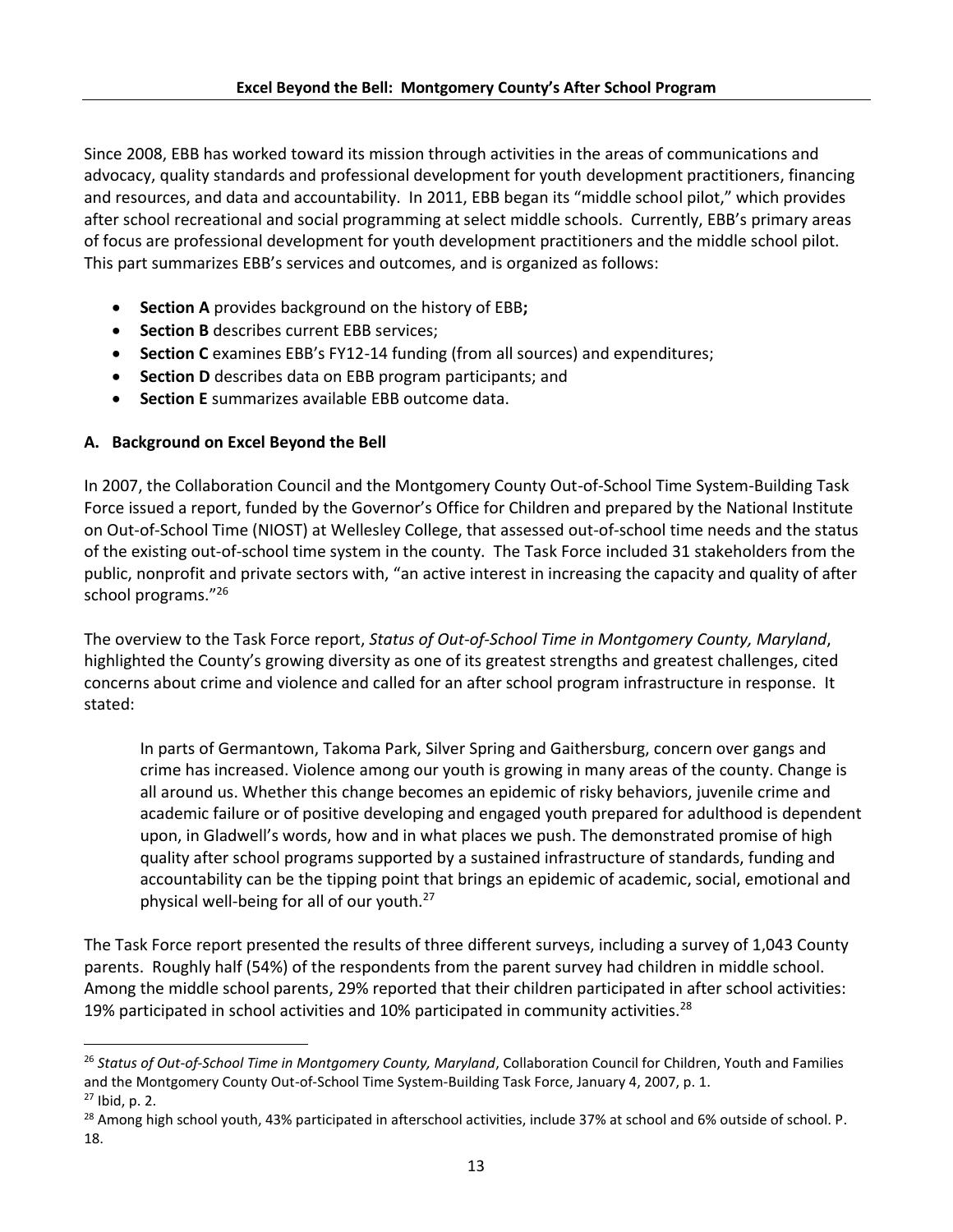Since 2008, EBB has worked toward its mission through activities in the areas of communications and advocacy, quality standards and professional development for youth development practitioners, financing and resources, and data and accountability. In 2011, EBB began its "middle school pilot," which provides after school recreational and social programming at select middle schools. Currently, EBB's primary areas of focus are professional development for youth development practitioners and the middle school pilot. This part summarizes EBB's services and outcomes, and is organized as follows:

- **Section A** provides background on the history of EBB**;**
- **Section B** describes current EBB services;
- **Section C** examines EBB's FY12-14 funding (from all sources) and expenditures;
- **Section D** describes data on EBB program participants; and
- **Section E** summarizes available EBB outcome data.

# **A. Background on Excel Beyond the Bell**

In 2007, the Collaboration Council and the Montgomery County Out-of-School Time System-Building Task Force issued a report, funded by the Governor's Office for Children and prepared by the National Institute on Out-of-School Time (NIOST) at Wellesley College, that assessed out-of-school time needs and the status of the existing out-of-school time system in the county. The Task Force included 31 stakeholders from the public, nonprofit and private sectors with, "an active interest in increasing the capacity and quality of after school programs."<sup>26</sup>

The overview to the Task Force report, *Status of Out-of-School Time in Montgomery County, Maryland*, highlighted the County's growing diversity as one of its greatest strengths and greatest challenges, cited concerns about crime and violence and called for an after school program infrastructure in response. It stated:

In parts of Germantown, Takoma Park, Silver Spring and Gaithersburg, concern over gangs and crime has increased. Violence among our youth is growing in many areas of the county. Change is all around us. Whether this change becomes an epidemic of risky behaviors, juvenile crime and academic failure or of positive developing and engaged youth prepared for adulthood is dependent upon, in Gladwell's words, how and in what places we push. The demonstrated promise of high quality after school programs supported by a sustained infrastructure of standards, funding and accountability can be the tipping point that brings an epidemic of academic, social, emotional and physical well-being for all of our youth.<sup>27</sup>

The Task Force report presented the results of three different surveys, including a survey of 1,043 County parents. Roughly half (54%) of the respondents from the parent survey had children in middle school. Among the middle school parents, 29% reported that their children participated in after school activities: 19% participated in school activities and 10% participated in community activities.<sup>28</sup>

 $27$  Ibid, p. 2.

l

<sup>26</sup> *Status of Out-of-School Time in Montgomery County, Maryland*, Collaboration Council for Children, Youth and Families and the Montgomery County Out-of-School Time System-Building Task Force, January 4, 2007, p. 1.

<sup>&</sup>lt;sup>28</sup> Among high school youth, 43% participated in afterschool activities, include 37% at school and 6% outside of school. P. 18.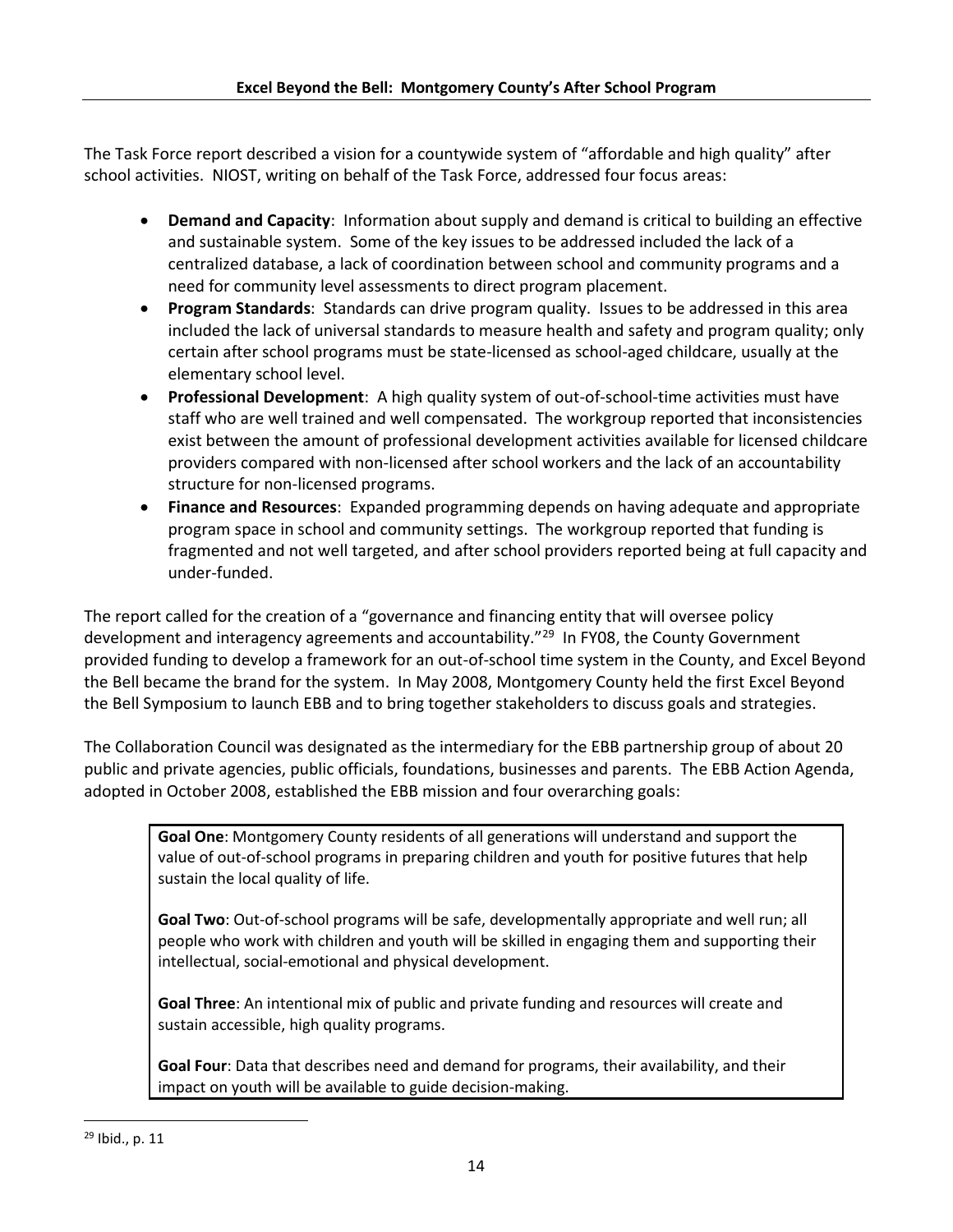The Task Force report described a vision for a countywide system of "affordable and high quality" after school activities. NIOST, writing on behalf of the Task Force, addressed four focus areas:

- **Demand and Capacity**: Information about supply and demand is critical to building an effective and sustainable system. Some of the key issues to be addressed included the lack of a centralized database, a lack of coordination between school and community programs and a need for community level assessments to direct program placement.
- **Program Standards**: Standards can drive program quality. Issues to be addressed in this area included the lack of universal standards to measure health and safety and program quality; only certain after school programs must be state-licensed as school-aged childcare, usually at the elementary school level.
- **Professional Development**: A high quality system of out-of-school-time activities must have staff who are well trained and well compensated. The workgroup reported that inconsistencies exist between the amount of professional development activities available for licensed childcare providers compared with non-licensed after school workers and the lack of an accountability structure for non-licensed programs.
- **Finance and Resources**: Expanded programming depends on having adequate and appropriate program space in school and community settings. The workgroup reported that funding is fragmented and not well targeted, and after school providers reported being at full capacity and under-funded.

The report called for the creation of a "governance and financing entity that will oversee policy development and interagency agreements and accountability."<sup>29</sup> In FY08, the County Government provided funding to develop a framework for an out-of-school time system in the County, and Excel Beyond the Bell became the brand for the system. In May 2008, Montgomery County held the first Excel Beyond the Bell Symposium to launch EBB and to bring together stakeholders to discuss goals and strategies.

The Collaboration Council was designated as the intermediary for the EBB partnership group of about 20 public and private agencies, public officials, foundations, businesses and parents. The EBB Action Agenda, adopted in October 2008, established the EBB mission and four overarching goals:

**Goal One**: Montgomery County residents of all generations will understand and support the value of out-of-school programs in preparing children and youth for positive futures that help sustain the local quality of life.

**Goal Two**: Out-of-school programs will be safe, developmentally appropriate and well run; all people who work with children and youth will be skilled in engaging them and supporting their intellectual, social-emotional and physical development.

**Goal Three**: An intentional mix of public and private funding and resources will create and sustain accessible, high quality programs.

**Goal Four**: Data that describes need and demand for programs, their availability, and their impact on youth will be available to guide decision-making.

 $\overline{\phantom{a}}$ 

<sup>29</sup> Ibid., p. 11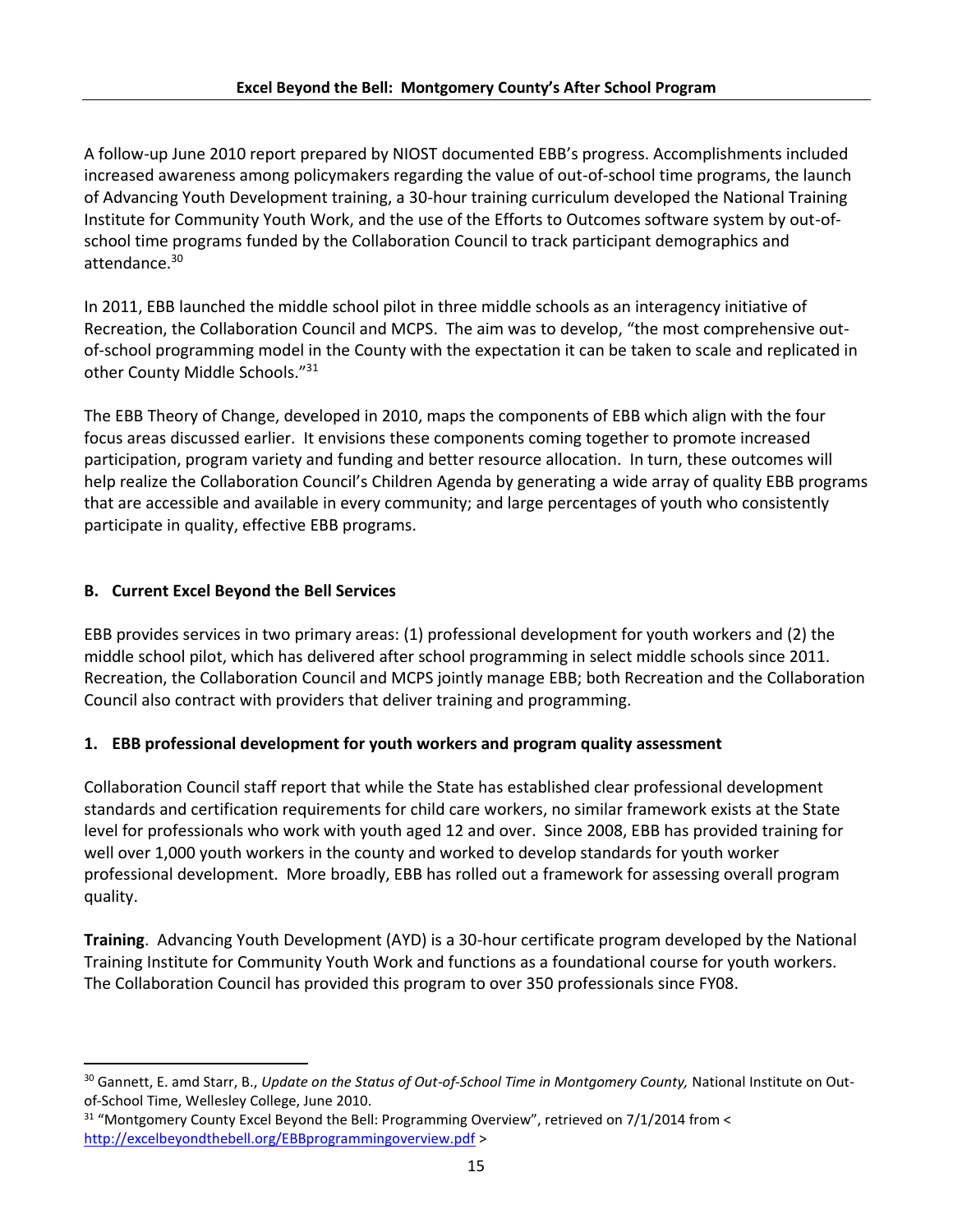A follow-up June 2010 report prepared by NIOST documented EBB's progress. Accomplishments included increased awareness among policymakers regarding the value of out-of-school time programs, the launch of Advancing Youth Development training, a 30-hour training curriculum developed the National Training Institute for Community Youth Work, and the use of the Efforts to Outcomes software system by out-ofschool time programs funded by the Collaboration Council to track participant demographics and attendance.<sup>30</sup>

In 2011, EBB launched the middle school pilot in three middle schools as an interagency initiative of Recreation, the Collaboration Council and MCPS. The aim was to develop, "the most comprehensive outof-school programming model in the County with the expectation it can be taken to scale and replicated in other County Middle Schools."<sup>31</sup>

The EBB Theory of Change, developed in 2010, maps the components of EBB which align with the four focus areas discussed earlier. It envisions these components coming together to promote increased participation, program variety and funding and better resource allocation. In turn, these outcomes will help realize the Collaboration Council's Children Agenda by generating a wide array of quality EBB programs that are accessible and available in every community; and large percentages of youth who consistently participate in quality, effective EBB programs.

# **B. Current Excel Beyond the Bell Services**

 $\overline{a}$ 

EBB provides services in two primary areas: (1) professional development for youth workers and (2) the middle school pilot, which has delivered after school programming in select middle schools since 2011. Recreation, the Collaboration Council and MCPS jointly manage EBB; both Recreation and the Collaboration Council also contract with providers that deliver training and programming.

# **1. EBB professional development for youth workers and program quality assessment**

Collaboration Council staff report that while the State has established clear professional development standards and certification requirements for child care workers, no similar framework exists at the State level for professionals who work with youth aged 12 and over. Since 2008, EBB has provided training for well over 1,000 youth workers in the county and worked to develop standards for youth worker professional development. More broadly, EBB has rolled out a framework for assessing overall program quality.

**Training**. Advancing Youth Development (AYD) is a 30-hour certificate program developed by the National Training Institute for Community Youth Work and functions as a foundational course for youth workers. The Collaboration Council has provided this program to over 350 professionals since FY08.

<sup>&</sup>lt;sup>30</sup> Gannett, E. amd Starr, B., Update on the Status of Out-of-School Time in Montgomery County, National Institute on Outof-School Time, Wellesley College, June 2010.

<sup>&</sup>lt;sup>31</sup> "Montgomery County Excel Beyond the Bell: Programming Overview", retrieved on 7/1/2014 from < <http://excelbeyondthebell.org/EBBprogrammingoverview.pdf> >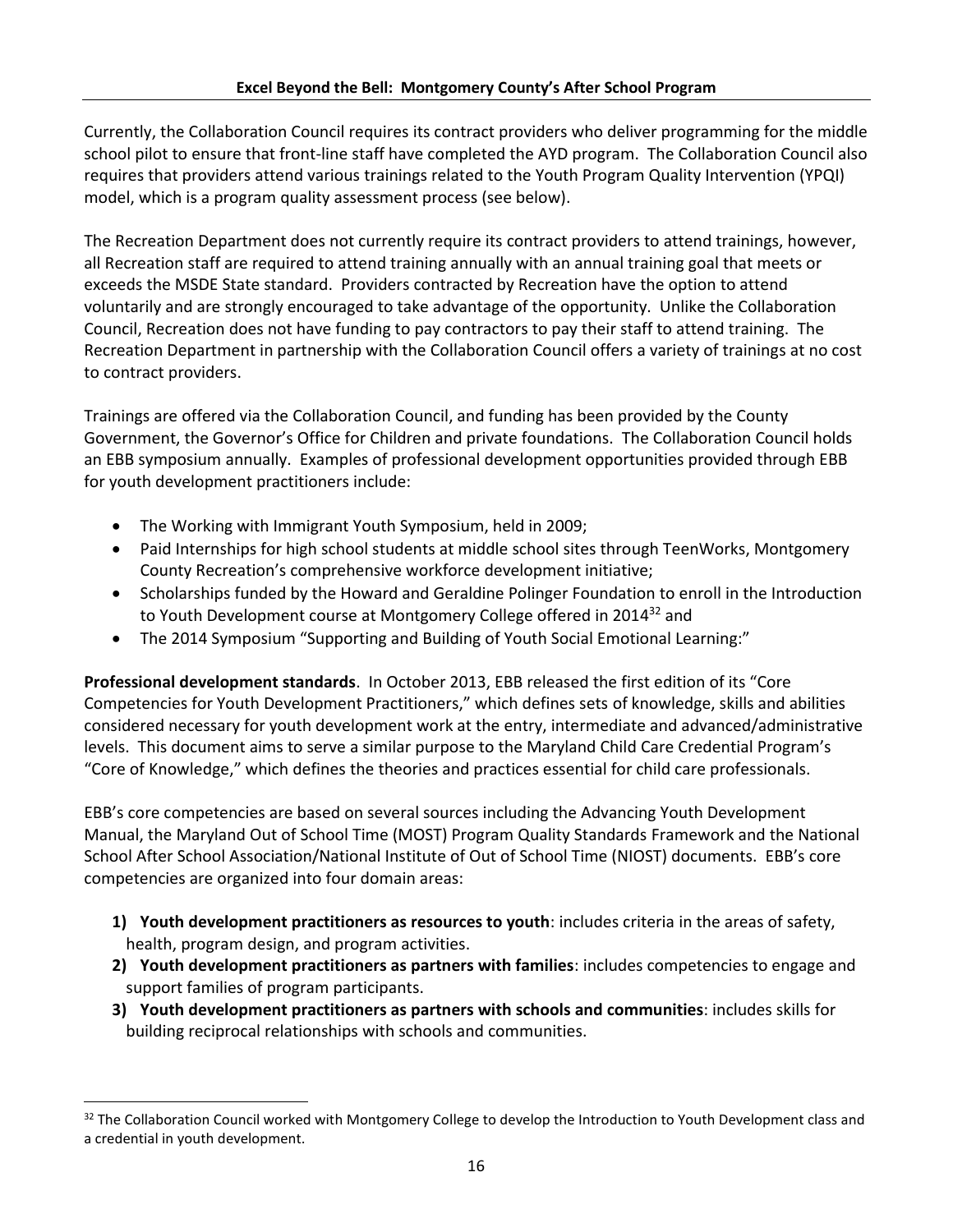Currently, the Collaboration Council requires its contract providers who deliver programming for the middle school pilot to ensure that front-line staff have completed the AYD program. The Collaboration Council also requires that providers attend various trainings related to the Youth Program Quality Intervention (YPQI) model, which is a program quality assessment process (see below).

The Recreation Department does not currently require its contract providers to attend trainings, however, all Recreation staff are required to attend training annually with an annual training goal that meets or exceeds the MSDE State standard. Providers contracted by Recreation have the option to attend voluntarily and are strongly encouraged to take advantage of the opportunity. Unlike the Collaboration Council, Recreation does not have funding to pay contractors to pay their staff to attend training. The Recreation Department in partnership with the Collaboration Council offers a variety of trainings at no cost to contract providers.

Trainings are offered via the Collaboration Council, and funding has been provided by the County Government, the Governor's Office for Children and private foundations. The Collaboration Council holds an EBB symposium annually. Examples of professional development opportunities provided through EBB for youth development practitioners include:

The Working with Immigrant Youth Symposium, held in 2009;

l

- Paid Internships for high school students at middle school sites through TeenWorks, Montgomery County Recreation's comprehensive workforce development initiative;
- Scholarships funded by the Howard and Geraldine Polinger Foundation to enroll in the Introduction to Youth Development course at Montgomery College offered in 2014<sup>32</sup> and
- The 2014 Symposium "Supporting and Building of Youth Social Emotional Learning:"

**Professional development standards**. In October 2013, EBB released the first edition of its "Core Competencies for Youth Development Practitioners," which defines sets of knowledge, skills and abilities considered necessary for youth development work at the entry, intermediate and advanced/administrative levels. This document aims to serve a similar purpose to the Maryland Child Care Credential Program's "Core of Knowledge," which defines the theories and practices essential for child care professionals.

EBB's core competencies are based on several sources including the Advancing Youth Development Manual, the Maryland Out of School Time (MOST) Program Quality Standards Framework and the National School After School Association/National Institute of Out of School Time (NIOST) documents. EBB's core competencies are organized into four domain areas:

- **1) Youth development practitioners as resources to youth**: includes criteria in the areas of safety, health, program design, and program activities.
- **2) Youth development practitioners as partners with families**: includes competencies to engage and support families of program participants.
- **3) Youth development practitioners as partners with schools and communities**: includes skills for building reciprocal relationships with schools and communities.

<sup>32</sup> The Collaboration Council worked with Montgomery College to develop the Introduction to Youth Development class and a credential in youth development.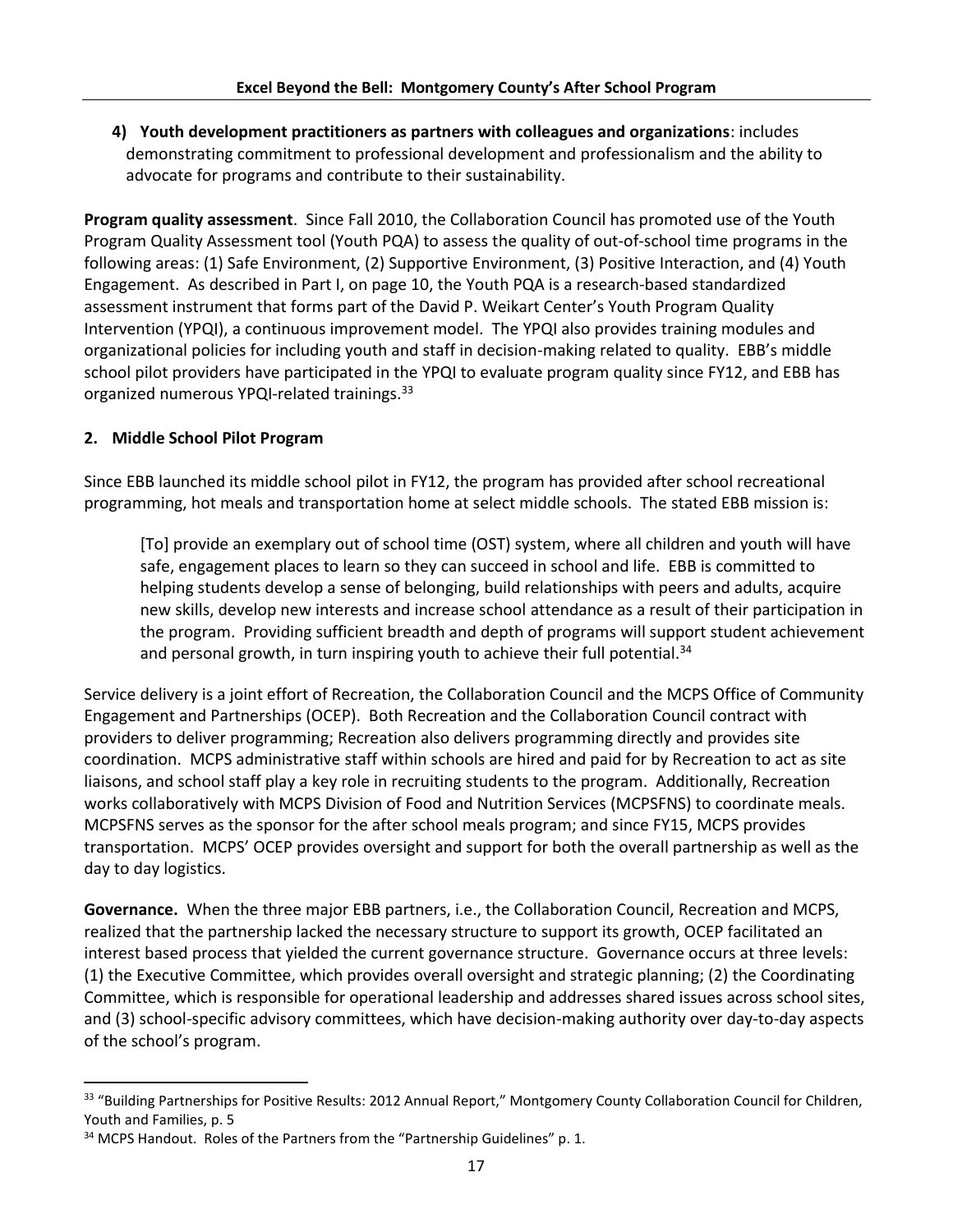**4) Youth development practitioners as partners with colleagues and organizations**: includes demonstrating commitment to professional development and professionalism and the ability to advocate for programs and contribute to their sustainability.

**Program quality assessment**. Since Fall 2010, the Collaboration Council has promoted use of the Youth Program Quality Assessment tool (Youth PQA) to assess the quality of out-of-school time programs in the following areas: (1) Safe Environment, (2) Supportive Environment, (3) Positive Interaction, and (4) Youth Engagement. As described in Part I, on page 10, the Youth PQA is a research-based standardized assessment instrument that forms part of the David P. Weikart Center's Youth Program Quality Intervention (YPQI), a continuous improvement model. The YPQI also provides training modules and organizational policies for including youth and staff in decision-making related to quality. EBB's middle school pilot providers have participated in the YPQI to evaluate program quality since FY12, and EBB has organized numerous YPQI-related trainings.<sup>33</sup>

# **2. Middle School Pilot Program**

 $\overline{\phantom{a}}$ 

Since EBB launched its middle school pilot in FY12, the program has provided after school recreational programming, hot meals and transportation home at select middle schools. The stated EBB mission is:

[To] provide an exemplary out of school time (OST) system, where all children and youth will have safe, engagement places to learn so they can succeed in school and life. EBB is committed to helping students develop a sense of belonging, build relationships with peers and adults, acquire new skills, develop new interests and increase school attendance as a result of their participation in the program. Providing sufficient breadth and depth of programs will support student achievement and personal growth, in turn inspiring youth to achieve their full potential.<sup>34</sup>

Service delivery is a joint effort of Recreation, the Collaboration Council and the MCPS Office of Community Engagement and Partnerships (OCEP). Both Recreation and the Collaboration Council contract with providers to deliver programming; Recreation also delivers programming directly and provides site coordination. MCPS administrative staff within schools are hired and paid for by Recreation to act as site liaisons, and school staff play a key role in recruiting students to the program. Additionally, Recreation works collaboratively with MCPS Division of Food and Nutrition Services (MCPSFNS) to coordinate meals. MCPSFNS serves as the sponsor for the after school meals program; and since FY15, MCPS provides transportation. MCPS' OCEP provides oversight and support for both the overall partnership as well as the day to day logistics.

**Governance.** When the three major EBB partners, i.e., the Collaboration Council, Recreation and MCPS, realized that the partnership lacked the necessary structure to support its growth, OCEP facilitated an interest based process that yielded the current governance structure. Governance occurs at three levels: (1) the Executive Committee, which provides overall oversight and strategic planning; (2) the Coordinating Committee, which is responsible for operational leadership and addresses shared issues across school sites, and (3) school-specific advisory committees, which have decision-making authority over day-to-day aspects of the school's program.

<sup>33 &</sup>quot;Building Partnerships for Positive Results: 2012 Annual Report," Montgomery County Collaboration Council for Children, Youth and Families, p. 5

<sup>&</sup>lt;sup>34</sup> MCPS Handout. Roles of the Partners from the "Partnership Guidelines" p. 1.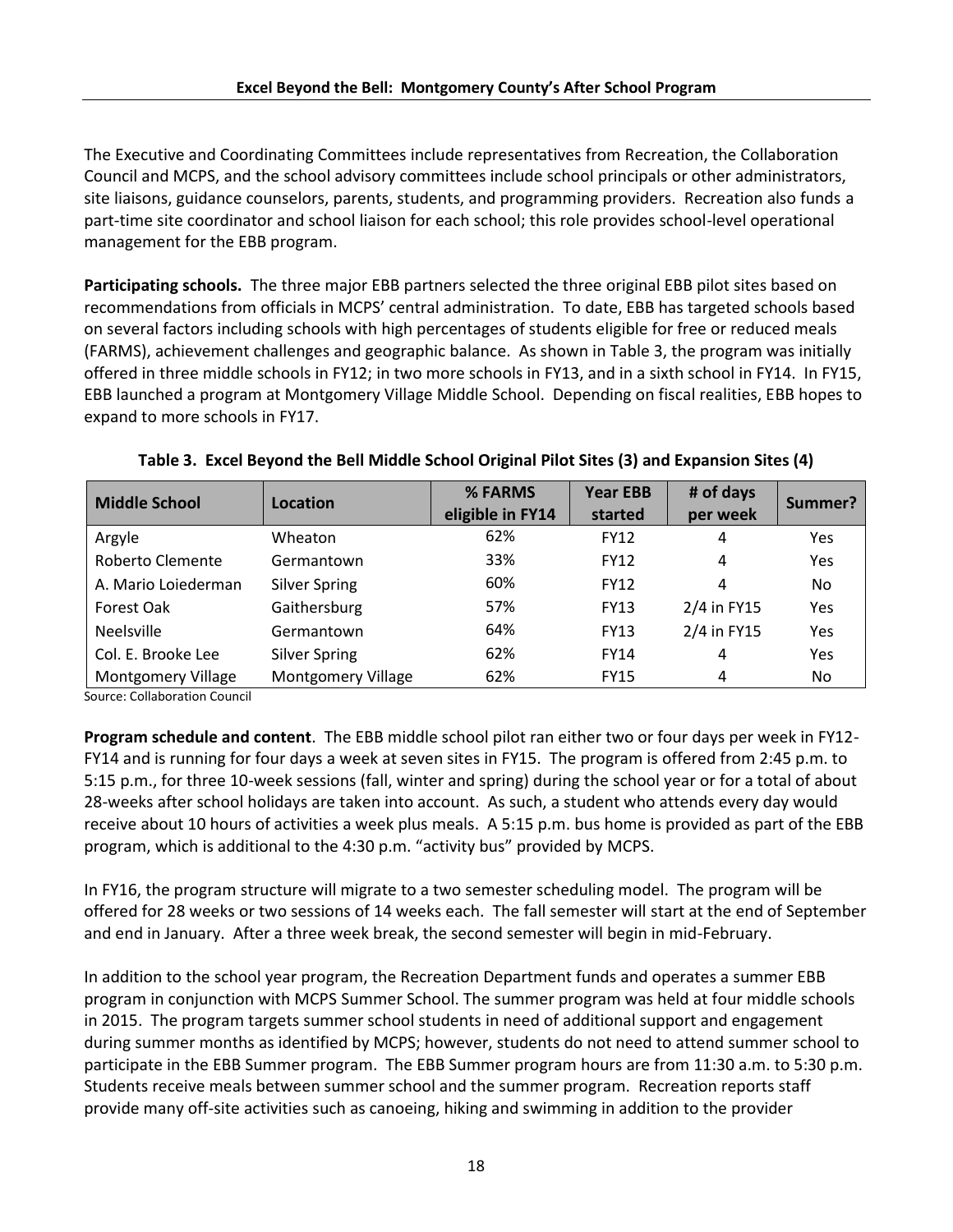The Executive and Coordinating Committees include representatives from Recreation, the Collaboration Council and MCPS, and the school advisory committees include school principals or other administrators, site liaisons, guidance counselors, parents, students, and programming providers. Recreation also funds a part-time site coordinator and school liaison for each school; this role provides school-level operational management for the EBB program.

**Participating schools.** The three major EBB partners selected the three original EBB pilot sites based on recommendations from officials in MCPS' central administration. To date, EBB has targeted schools based on several factors including schools with high percentages of students eligible for free or reduced meals (FARMS), achievement challenges and geographic balance. As shown in Table 3, the program was initially offered in three middle schools in FY12; in two more schools in FY13, and in a sixth school in FY14. In FY15, EBB launched a program at Montgomery Village Middle School. Depending on fiscal realities, EBB hopes to expand to more schools in FY17.

| <b>Middle School</b>      | Location             | % FARMS<br>eligible in FY14 | <b>Year EBB</b><br>started | # of days<br>per week | Summer? |
|---------------------------|----------------------|-----------------------------|----------------------------|-----------------------|---------|
| Argyle                    | Wheaton              | 62%                         | <b>FY12</b>                | 4                     | Yes     |
| Roberto Clemente          | Germantown           | 33%                         | <b>FY12</b>                | 4                     | Yes     |
| A. Mario Loiederman       | <b>Silver Spring</b> | 60%                         | <b>FY12</b>                | 4                     | No.     |
| Forest Oak                | Gaithersburg         | 57%                         | <b>FY13</b>                | 2/4 in FY15           | Yes     |
| <b>Neelsville</b>         | Germantown           | 64%                         | <b>FY13</b>                | 2/4 in FY15           | Yes     |
| Col. E. Brooke Lee        | <b>Silver Spring</b> | 62%                         | <b>FY14</b>                | 4                     | Yes     |
| <b>Montgomery Village</b> | Montgomery Village   | 62%                         | <b>FY15</b>                | 4                     | No.     |

#### **Table 3. Excel Beyond the Bell Middle School Original Pilot Sites (3) and Expansion Sites (4)**

Source: Collaboration Council

**Program schedule and content**. The EBB middle school pilot ran either two or four days per week in FY12- FY14 and is running for four days a week at seven sites in FY15. The program is offered from 2:45 p.m. to 5:15 p.m., for three 10-week sessions (fall, winter and spring) during the school year or for a total of about 28-weeks after school holidays are taken into account. As such, a student who attends every day would receive about 10 hours of activities a week plus meals. A 5:15 p.m. bus home is provided as part of the EBB program, which is additional to the 4:30 p.m. "activity bus" provided by MCPS.

In FY16, the program structure will migrate to a two semester scheduling model. The program will be offered for 28 weeks or two sessions of 14 weeks each. The fall semester will start at the end of September and end in January. After a three week break, the second semester will begin in mid-February.

In addition to the school year program, the Recreation Department funds and operates a summer EBB program in conjunction with MCPS Summer School. The summer program was held at four middle schools in 2015. The program targets summer school students in need of additional support and engagement during summer months as identified by MCPS; however, students do not need to attend summer school to participate in the EBB Summer program. The EBB Summer program hours are from 11:30 a.m. to 5:30 p.m. Students receive meals between summer school and the summer program. Recreation reports staff provide many off-site activities such as canoeing, hiking and swimming in addition to the provider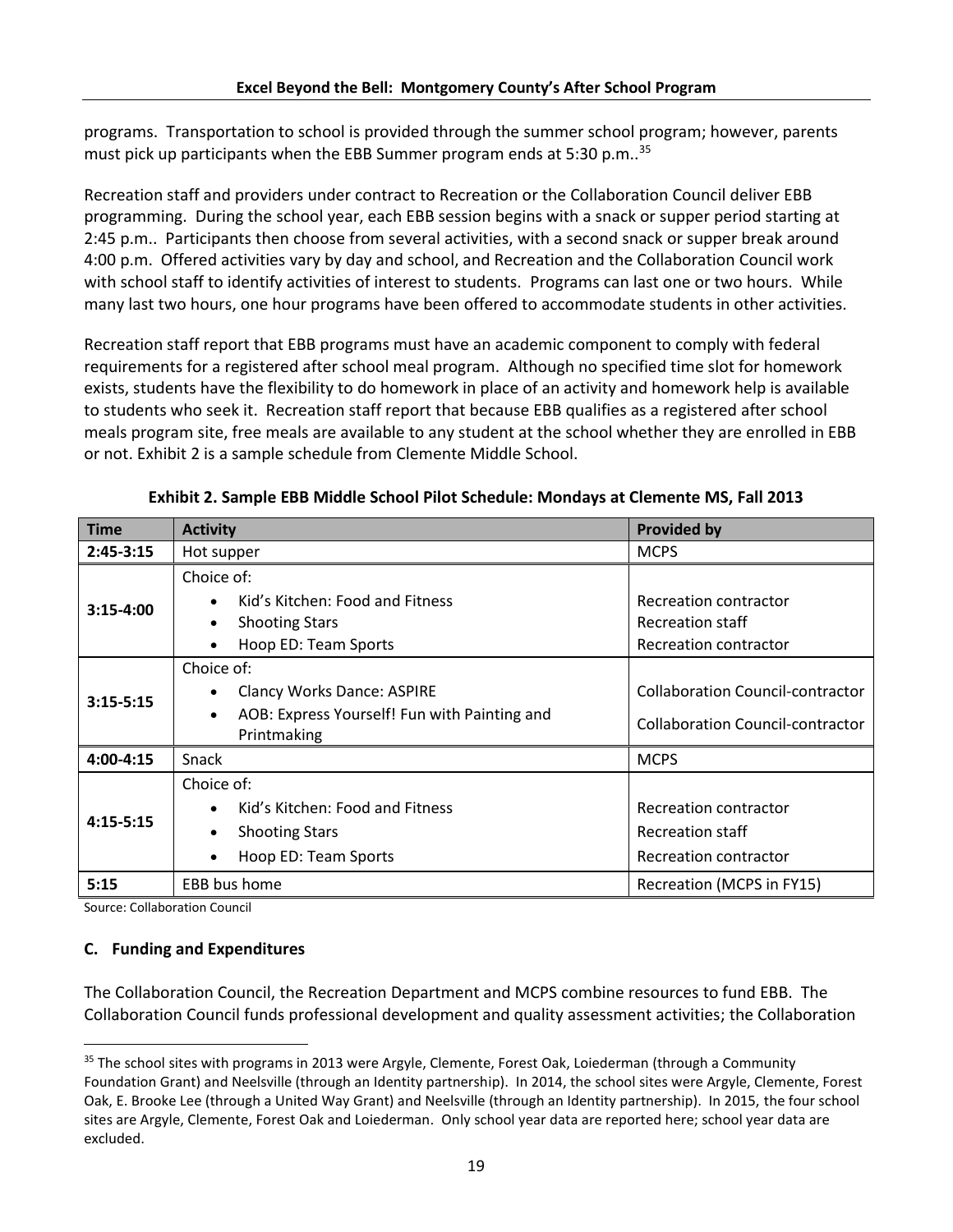programs. Transportation to school is provided through the summer school program; however, parents must pick up participants when the EBB Summer program ends at 5:30 p.m..<sup>35</sup>

Recreation staff and providers under contract to Recreation or the Collaboration Council deliver EBB programming. During the school year, each EBB session begins with a snack or supper period starting at 2:45 p.m.. Participants then choose from several activities, with a second snack or supper break around 4:00 p.m. Offered activities vary by day and school, and Recreation and the Collaboration Council work with school staff to identify activities of interest to students. Programs can last one or two hours. While many last two hours, one hour programs have been offered to accommodate students in other activities.

Recreation staff report that EBB programs must have an academic component to comply with federal requirements for a registered after school meal program. Although no specified time slot for homework exists, students have the flexibility to do homework in place of an activity and homework help is available to students who seek it. Recreation staff report that because EBB qualifies as a registered after school meals program site, free meals are available to any student at the school whether they are enrolled in EBB or not. Exhibit 2 is a sample schedule from Clemente Middle School.

| <b>Time</b>   | <b>Activity</b>                                                                                                             | <b>Provided by</b>                                                        |
|---------------|-----------------------------------------------------------------------------------------------------------------------------|---------------------------------------------------------------------------|
| $2:45 - 3:15$ | Hot supper                                                                                                                  | <b>MCPS</b>                                                               |
| $3:15-4:00$   | Choice of:<br>Kid's Kitchen: Food and Fitness<br><b>Shooting Stars</b>                                                      | Recreation contractor<br>Recreation staff                                 |
|               | Hoop ED: Team Sports<br>$\bullet$                                                                                           | Recreation contractor                                                     |
| $3:15 - 5:15$ | Choice of:<br><b>Clancy Works Dance: ASPIRE</b><br>AOB: Express Yourself! Fun with Painting and<br>$\bullet$<br>Printmaking | Collaboration Council-contractor<br>Collaboration Council-contractor      |
| 4:00-4:15     | Snack                                                                                                                       | <b>MCPS</b>                                                               |
| $4:15 - 5:15$ | Choice of:<br>Kid's Kitchen: Food and Fitness<br><b>Shooting Stars</b><br>Hoop ED: Team Sports                              | Recreation contractor<br><b>Recreation staff</b><br>Recreation contractor |
| 5:15          | EBB bus home                                                                                                                | Recreation (MCPS in FY15)                                                 |

**Exhibit 2. Sample EBB Middle School Pilot Schedule: Mondays at Clemente MS, Fall 2013**

Source: Collaboration Council

l

#### **C. Funding and Expenditures**

The Collaboration Council, the Recreation Department and MCPS combine resources to fund EBB. The Collaboration Council funds professional development and quality assessment activities; the Collaboration

<sup>&</sup>lt;sup>35</sup> The school sites with programs in 2013 were Argyle, Clemente, Forest Oak, Loiederman (through a Community Foundation Grant) and Neelsville (through an Identity partnership). In 2014, the school sites were Argyle, Clemente, Forest Oak, E. Brooke Lee (through a United Way Grant) and Neelsville (through an Identity partnership). In 2015, the four school sites are Argyle, Clemente, Forest Oak and Loiederman. Only school year data are reported here; school year data are excluded.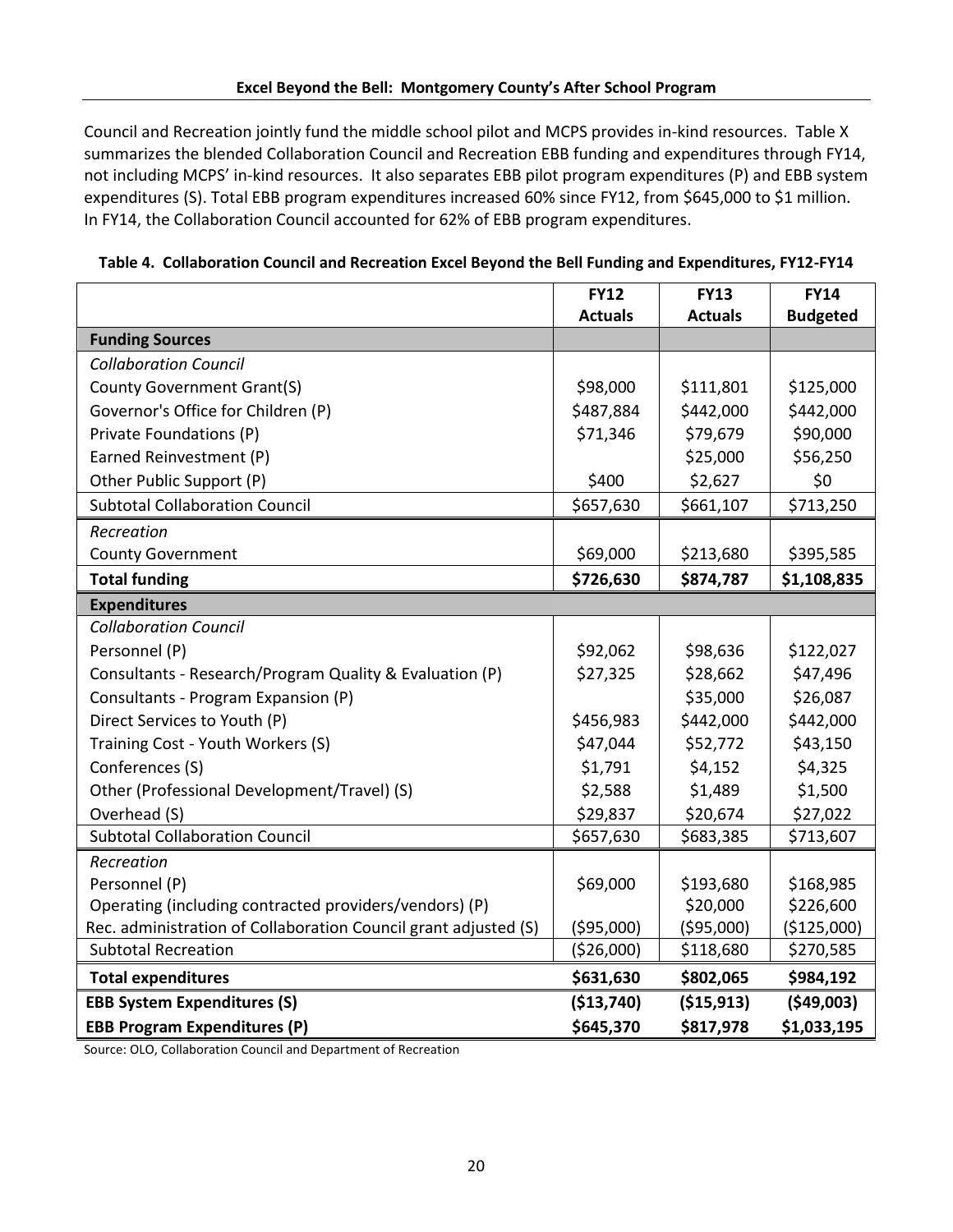Council and Recreation jointly fund the middle school pilot and MCPS provides in-kind resources. Table X summarizes the blended Collaboration Council and Recreation EBB funding and expenditures through FY14, not including MCPS' in-kind resources. It also separates EBB pilot program expenditures (P) and EBB system expenditures (S). Total EBB program expenditures increased 60% since FY12, from \$645,000 to \$1 million. In FY14, the Collaboration Council accounted for 62% of EBB program expenditures.

|                                                                 | <b>FY12</b>    | <b>FY13</b>    | <b>FY14</b>     |
|-----------------------------------------------------------------|----------------|----------------|-----------------|
|                                                                 | <b>Actuals</b> | <b>Actuals</b> | <b>Budgeted</b> |
| <b>Funding Sources</b>                                          |                |                |                 |
| <b>Collaboration Council</b>                                    |                |                |                 |
| County Government Grant(S)                                      | \$98,000       | \$111,801      | \$125,000       |
| Governor's Office for Children (P)                              | \$487,884      | \$442,000      | \$442,000       |
| Private Foundations (P)                                         | \$71,346       | \$79,679       | \$90,000        |
| Earned Reinvestment (P)                                         |                | \$25,000       | \$56,250        |
| Other Public Support (P)                                        | \$400          | \$2,627        | \$0             |
| <b>Subtotal Collaboration Council</b>                           | \$657,630      | \$661,107      | \$713,250       |
| Recreation                                                      |                |                |                 |
| <b>County Government</b>                                        | \$69,000       | \$213,680      | \$395,585       |
| <b>Total funding</b>                                            | \$726,630      | \$874,787      | \$1,108,835     |
| <b>Expenditures</b>                                             |                |                |                 |
| <b>Collaboration Council</b>                                    |                |                |                 |
| Personnel (P)                                                   | \$92,062       | \$98,636       | \$122,027       |
| Consultants - Research/Program Quality & Evaluation (P)         | \$27,325       | \$28,662       | \$47,496        |
| Consultants - Program Expansion (P)                             |                | \$35,000       | \$26,087        |
| Direct Services to Youth (P)                                    | \$456,983      | \$442,000      | \$442,000       |
| Training Cost - Youth Workers (S)                               | \$47,044       | \$52,772       | \$43,150        |
| Conferences (S)                                                 | \$1,791        | \$4,152        | \$4,325         |
| Other (Professional Development/Travel) (S)                     | \$2,588        | \$1,489        | \$1,500         |
| Overhead (S)                                                    | \$29,837       | \$20,674       | \$27,022        |
| <b>Subtotal Collaboration Council</b>                           | \$657,630      | \$683,385      | \$713,607       |
| Recreation                                                      |                |                |                 |
| Personnel (P)                                                   | \$69,000       | \$193,680      | \$168,985       |
| Operating (including contracted providers/vendors) (P)          |                | \$20,000       | \$226,600       |
| Rec. administration of Collaboration Council grant adjusted (S) | (595,000)      | (595,000)      | (\$125,000)     |
| <b>Subtotal Recreation</b>                                      | ( \$26,000)    | \$118,680      | \$270,585       |
| <b>Total expenditures</b>                                       | \$631,630      | \$802,065      | \$984,192       |
| <b>EBB System Expenditures (S)</b>                              | (\$13,740)     | ( \$15, 913)   | (549,003)       |
| <b>EBB Program Expenditures (P)</b>                             | \$645,370      | \$817,978      | \$1,033,195     |

**Table 4. Collaboration Council and Recreation Excel Beyond the Bell Funding and Expenditures, FY12-FY14**

Source: OLO, Collaboration Council and Department of Recreation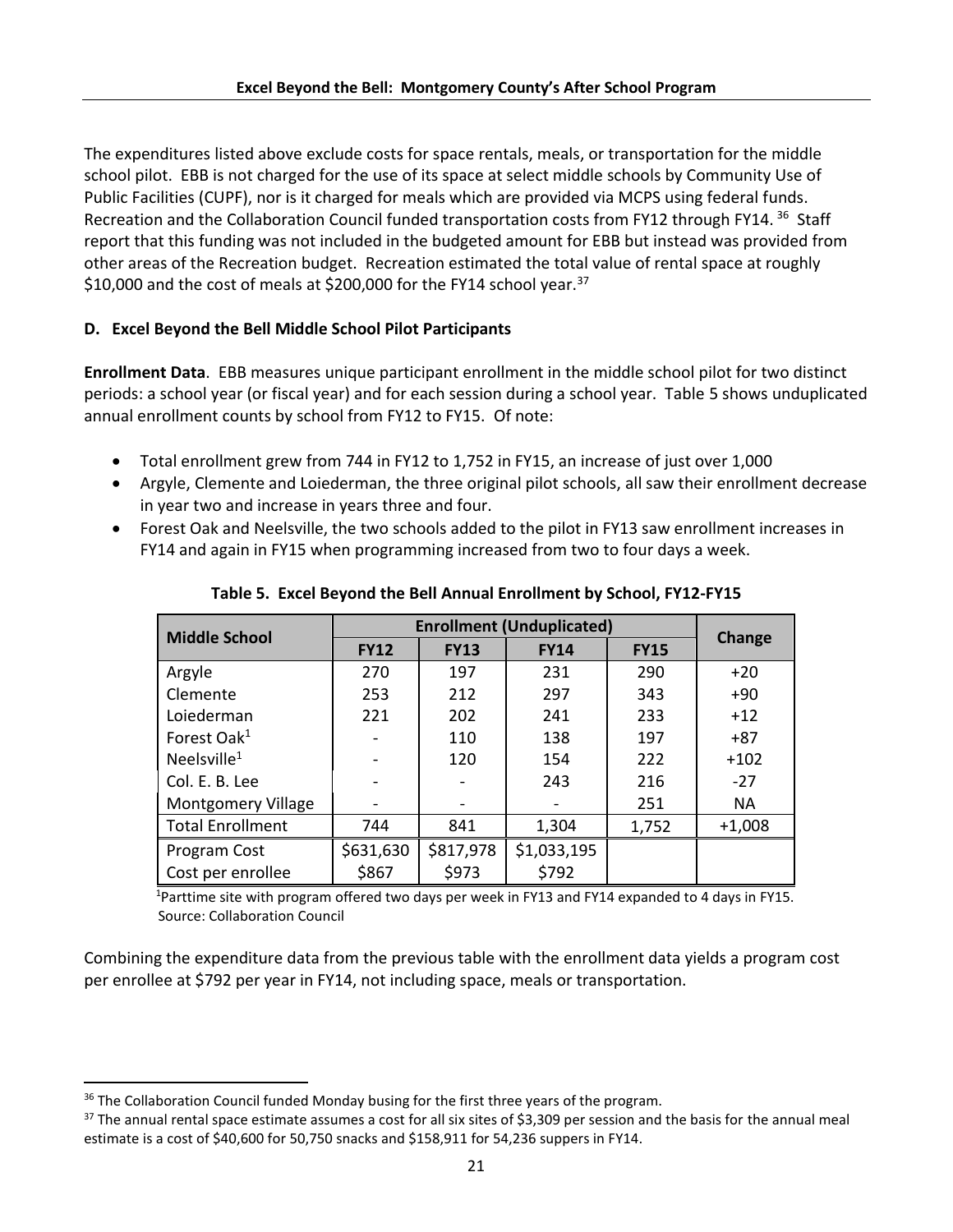The expenditures listed above exclude costs for space rentals, meals, or transportation for the middle school pilot. EBB is not charged for the use of its space at select middle schools by Community Use of Public Facilities (CUPF), nor is it charged for meals which are provided via MCPS using federal funds. Recreation and the Collaboration Council funded transportation costs from FY12 through FY14.<sup>36</sup> Staff report that this funding was not included in the budgeted amount for EBB but instead was provided from other areas of the Recreation budget. Recreation estimated the total value of rental space at roughly \$10,000 and the cost of meals at \$200,000 for the FY14 school year.<sup>37</sup>

# **D. Excel Beyond the Bell Middle School Pilot Participants**

**Enrollment Data**. EBB measures unique participant enrollment in the middle school pilot for two distinct periods: a school year (or fiscal year) and for each session during a school year. Table 5 shows unduplicated annual enrollment counts by school from FY12 to FY15. Of note:

- Total enrollment grew from 744 in FY12 to 1,752 in FY15, an increase of just over 1,000
- Argyle, Clemente and Loiederman, the three original pilot schools, all saw their enrollment decrease in year two and increase in years three and four.
- Forest Oak and Neelsville, the two schools added to the pilot in FY13 saw enrollment increases in FY14 and again in FY15 when programming increased from two to four days a week.

| <b>Middle School</b>      | <b>Enrollment (Unduplicated)</b>          | Change    |             |       |           |
|---------------------------|-------------------------------------------|-----------|-------------|-------|-----------|
|                           | <b>FY13</b><br><b>FY12</b><br><b>FY14</b> |           | <b>FY15</b> |       |           |
| Argyle                    | 270                                       | 197       | 231         | 290   | $+20$     |
| Clemente                  | 253                                       | 212       | 297         | 343   | $+90$     |
| Loiederman                | 221                                       | 202       | 241         | 233   | $+12$     |
| Forest Oak <sup>1</sup>   |                                           | 110       | 138         | 197   | $+87$     |
| Neelsville $1$            |                                           | 120       | 154         | 222   | $+102$    |
| Col. E. B. Lee            |                                           |           | 243         | 216   | $-27$     |
| <b>Montgomery Village</b> | $\qquad \qquad \blacksquare$              |           |             | 251   | <b>NA</b> |
| <b>Total Enrollment</b>   | 744                                       | 841       | 1,304       | 1,752 | $+1,008$  |
| Program Cost              | \$631,630                                 | \$817,978 | \$1,033,195 |       |           |
| Cost per enrollee         | \$867                                     | \$973     | \$792       |       |           |

**Table 5. Excel Beyond the Bell Annual Enrollment by School, FY12-FY15**

<sup>1</sup>Parttime site with program offered two days per week in FY13 and FY14 expanded to 4 days in FY15. Source: Collaboration Council

Combining the expenditure data from the previous table with the enrollment data yields a program cost per enrollee at \$792 per year in FY14, not including space, meals or transportation.

 $\overline{\phantom{a}}$ <sup>36</sup> The Collaboration Council funded Monday busing for the first three years of the program.

 $37$  The annual rental space estimate assumes a cost for all six sites of \$3,309 per session and the basis for the annual meal estimate is a cost of \$40,600 for 50,750 snacks and \$158,911 for 54,236 suppers in FY14.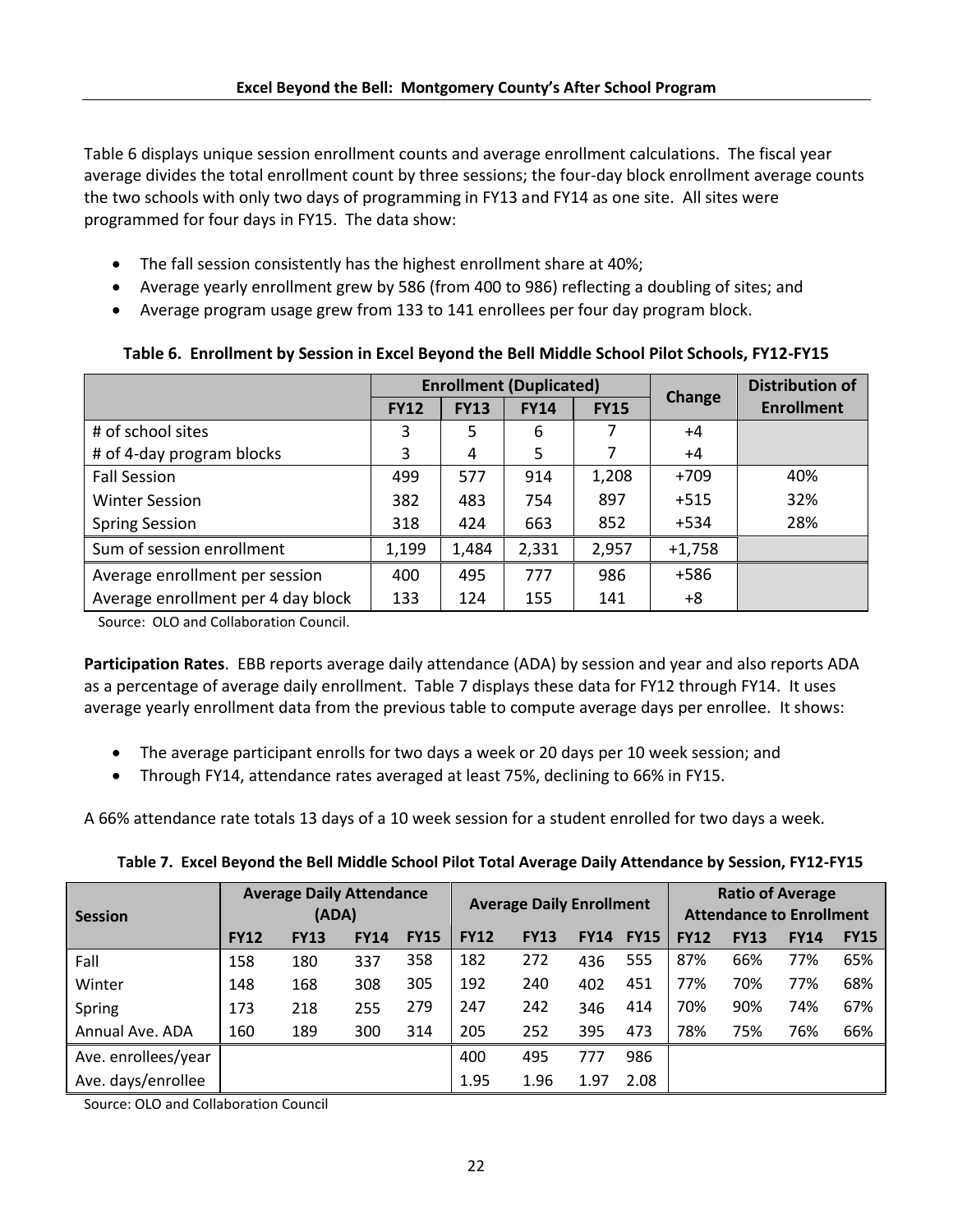Table 6 displays unique session enrollment counts and average enrollment calculations. The fiscal year average divides the total enrollment count by three sessions; the four-day block enrollment average counts the two schools with only two days of programming in FY13 and FY14 as one site. All sites were programmed for four days in FY15. The data show:

- The fall session consistently has the highest enrollment share at 40%;
- Average yearly enrollment grew by 586 (from 400 to 986) reflecting a doubling of sites; and
- Average program usage grew from 133 to 141 enrollees per four day program block.

|                                    |             |             | <b>Enrollment (Duplicated)</b> | <b>Change</b> | <b>Distribution of</b> |                   |
|------------------------------------|-------------|-------------|--------------------------------|---------------|------------------------|-------------------|
|                                    | <b>FY12</b> | <b>FY13</b> | <b>FY14</b>                    | <b>FY15</b>   |                        | <b>Enrollment</b> |
| # of school sites                  | 3           | 5           | 6                              |               | +4                     |                   |
| # of 4-day program blocks          | 3           | 4           | 5                              |               | +4                     |                   |
| <b>Fall Session</b>                | 499         | 577         | 914                            | 1,208         | $+709$                 | 40%               |
| <b>Winter Session</b>              | 382         | 483         | 754                            | 897           | $+515$                 | 32%               |
| <b>Spring Session</b>              | 318         | 424         | 663                            | 852           | $+534$                 | 28%               |
| Sum of session enrollment          | 1,199       | 1,484       | 2,331                          | 2,957         | $+1,758$               |                   |
| Average enrollment per session     | 400         | 495         | 777                            | 986           | $+586$                 |                   |
| Average enrollment per 4 day block | 133         | 124         | 155                            | 141           | +8                     |                   |

# **Table 6. Enrollment by Session in Excel Beyond the Bell Middle School Pilot Schools, FY12-FY15**

Source: OLO and Collaboration Council.

**Participation Rates**. EBB reports average daily attendance (ADA) by session and year and also reports ADA as a percentage of average daily enrollment. Table 7 displays these data for FY12 through FY14. It uses average yearly enrollment data from the previous table to compute average days per enrollee. It shows:

- The average participant enrolls for two days a week or 20 days per 10 week session; and
- Through FY14, attendance rates averaged at least 75%, declining to 66% in FY15.

A 66% attendance rate totals 13 days of a 10 week session for a student enrolled for two days a week.

| Session             |             | <b>Ratio of Average</b><br><b>Average Daily Attendance</b><br><b>Average Daily Enrollment</b><br><b>Attendance to Enrollment</b><br>(ADA) |             |             |             |             |             |             |             |             |             |             |
|---------------------|-------------|-------------------------------------------------------------------------------------------------------------------------------------------|-------------|-------------|-------------|-------------|-------------|-------------|-------------|-------------|-------------|-------------|
|                     | <b>FY12</b> | <b>FY13</b>                                                                                                                               | <b>FY14</b> | <b>FY15</b> | <b>FY12</b> | <b>FY13</b> | <b>FY14</b> | <b>FY15</b> | <b>FY12</b> | <b>FY13</b> | <b>FY14</b> | <b>FY15</b> |
| Fall                | 158         | 180                                                                                                                                       | 337         | 358         | 182         | 272         | 436         | 555         | 87%         | 66%         | 77%         | 65%         |
| Winter              | 148         | 168                                                                                                                                       | 308         | 305         | 192         | 240         | 402         | 451         | 77%         | 70%         | 77%         | 68%         |
| Spring              | 173         | 218                                                                                                                                       | 255         | 279         | 247         | 242         | 346         | 414         | 70%         | 90%         | 74%         | 67%         |
| Annual Ave. ADA     | 160         | 189                                                                                                                                       | 300         | 314         | 205         | 252         | 395         | 473         | 78%         | 75%         | 76%         | 66%         |
| Ave. enrollees/year |             |                                                                                                                                           |             |             | 400         | 495         | 777         | 986         |             |             |             |             |
| Ave. days/enrollee  |             |                                                                                                                                           |             |             | 1.95        | 1.96        | 1.97        | 2.08        |             |             |             |             |

Source: OLO and Collaboration Council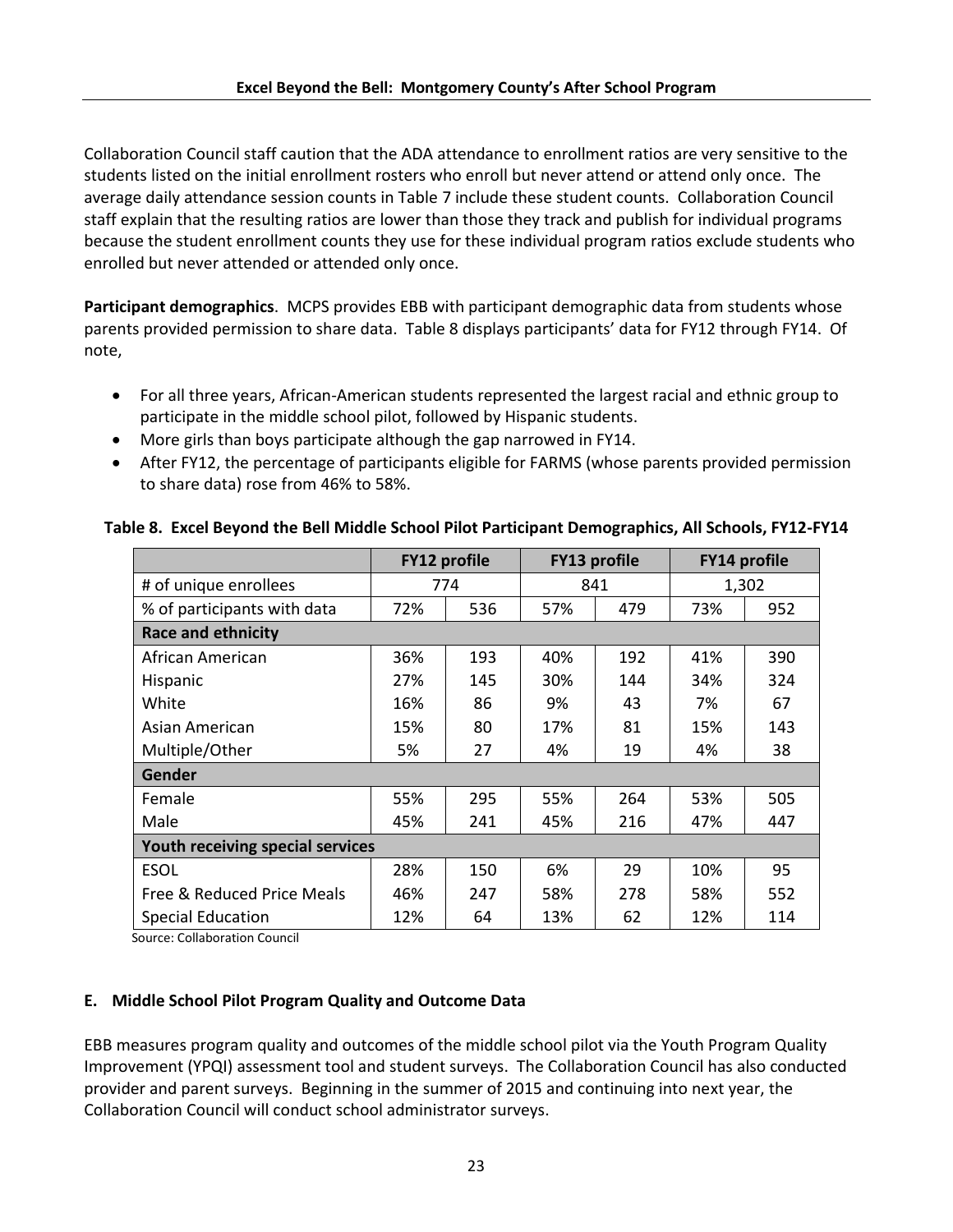Collaboration Council staff caution that the ADA attendance to enrollment ratios are very sensitive to the students listed on the initial enrollment rosters who enroll but never attend or attend only once. The average daily attendance session counts in Table 7 include these student counts. Collaboration Council staff explain that the resulting ratios are lower than those they track and publish for individual programs because the student enrollment counts they use for these individual program ratios exclude students who enrolled but never attended or attended only once.

**Participant demographics**. MCPS provides EBB with participant demographic data from students whose parents provided permission to share data. Table 8 displays participants' data for FY12 through FY14. Of note,

- For all three years, African-American students represented the largest racial and ethnic group to participate in the middle school pilot, followed by Hispanic students.
- More girls than boys participate although the gap narrowed in FY14.
- After FY12, the percentage of participants eligible for FARMS (whose parents provided permission to share data) rose from 46% to 58%.

|                             | <b>FY12 profile</b>              |     | <b>FY13 profile</b> |     | <b>FY14 profile</b> |       |
|-----------------------------|----------------------------------|-----|---------------------|-----|---------------------|-------|
| # of unique enrollees       |                                  | 774 |                     | 841 |                     | 1,302 |
| % of participants with data | 72%                              | 536 | 57%                 | 479 | 73%                 | 952   |
| <b>Race and ethnicity</b>   |                                  |     |                     |     |                     |       |
| African American            | 36%                              | 193 | 40%                 | 192 | 41%                 | 390   |
| Hispanic                    | 27%                              | 145 | 30%                 | 144 | 34%                 | 324   |
| White                       | 16%                              | 86  | 9%                  | 43  | 7%                  | 67    |
| Asian American              | 15%                              | 80  | 17%                 | 81  | 15%                 | 143   |
| Multiple/Other              | 5%                               | 27  | 4%                  | 19  | 4%                  | 38    |
| Gender                      |                                  |     |                     |     |                     |       |
| Female                      | 55%                              | 295 | 55%                 | 264 | 53%                 | 505   |
| Male                        | 45%                              | 241 | 45%                 | 216 | 47%                 | 447   |
|                             | Youth receiving special services |     |                     |     |                     |       |
| <b>ESOL</b>                 | 28%                              | 150 | 6%                  | 29  | 10%                 | 95    |
| Free & Reduced Price Meals  | 46%                              | 247 | 58%                 | 278 | 58%                 | 552   |
| Special Education           | 12%                              | 64  | 13%                 | 62  | 12%                 | 114   |

**Table 8. Excel Beyond the Bell Middle School Pilot Participant Demographics, All Schools, FY12-FY14**

Source: Collaboration Council

# **E. Middle School Pilot Program Quality and Outcome Data**

EBB measures program quality and outcomes of the middle school pilot via the Youth Program Quality Improvement (YPQI) assessment tool and student surveys. The Collaboration Council has also conducted provider and parent surveys. Beginning in the summer of 2015 and continuing into next year, the Collaboration Council will conduct school administrator surveys.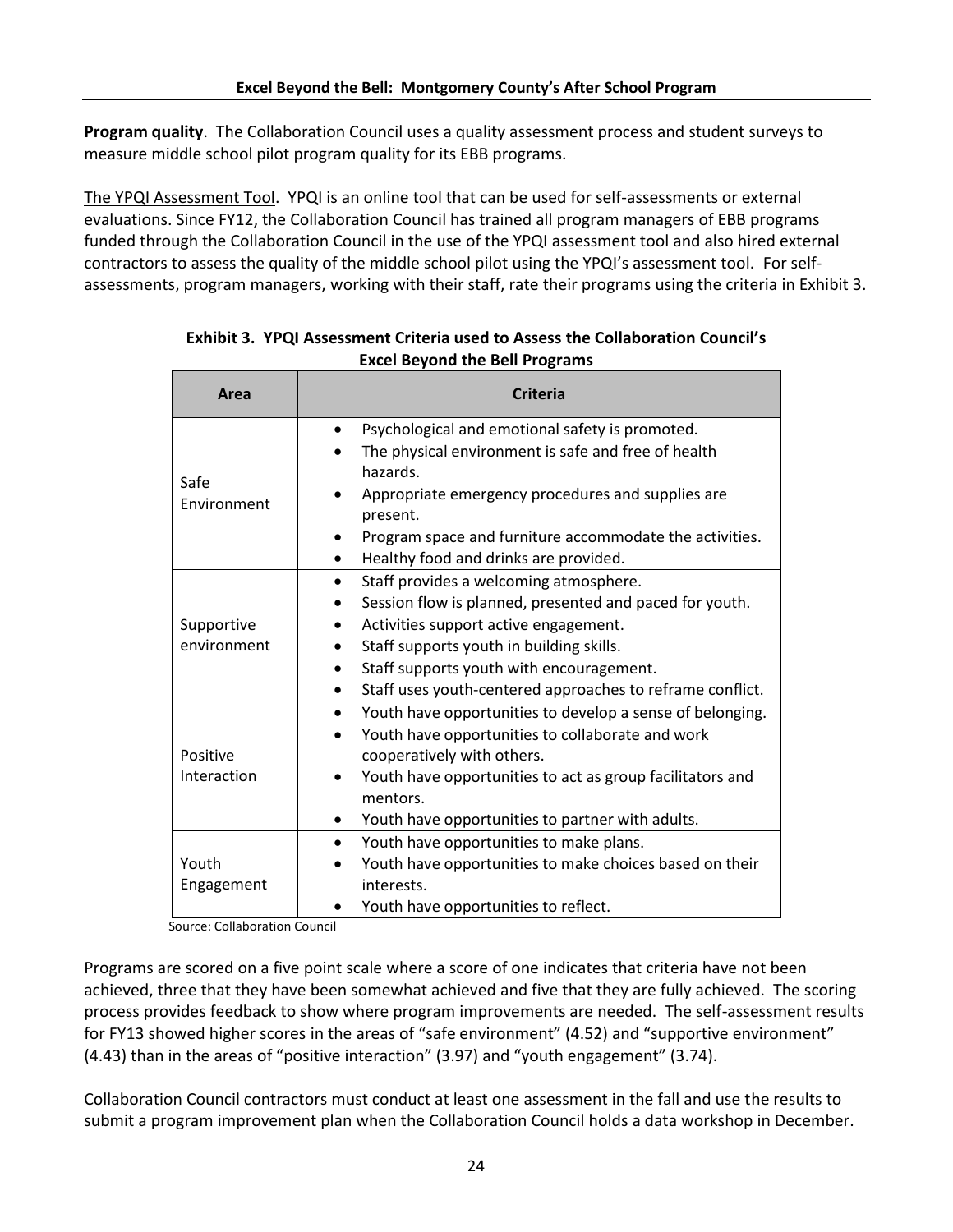**Program quality**. The Collaboration Council uses a quality assessment process and student surveys to measure middle school pilot program quality for its EBB programs.

The YPQI Assessment Tool. YPQI is an online tool that can be used for self-assessments or external evaluations. Since FY12, the Collaboration Council has trained all program managers of EBB programs funded through the Collaboration Council in the use of the YPQI assessment tool and also hired external contractors to assess the quality of the middle school pilot using the YPQI's assessment tool. For selfassessments, program managers, working with their staff, rate their programs using the criteria in Exhibit 3.

| Area                      | <b>Criteria</b>                                                                                                                                                                                                                                                                                                           |
|---------------------------|---------------------------------------------------------------------------------------------------------------------------------------------------------------------------------------------------------------------------------------------------------------------------------------------------------------------------|
| Safe<br>Environment       | Psychological and emotional safety is promoted.<br>$\bullet$<br>The physical environment is safe and free of health<br>hazards.<br>Appropriate emergency procedures and supplies are<br>present.<br>Program space and furniture accommodate the activities.<br>Healthy food and drinks are provided.                      |
| Supportive<br>environment | Staff provides a welcoming atmosphere.<br>$\bullet$<br>Session flow is planned, presented and paced for youth.<br>Activities support active engagement.<br>Staff supports youth in building skills.<br>Staff supports youth with encouragement.<br>Staff uses youth-centered approaches to reframe conflict.<br>$\bullet$ |
| Positive<br>Interaction   | Youth have opportunities to develop a sense of belonging.<br>$\bullet$<br>Youth have opportunities to collaborate and work<br>cooperatively with others.<br>Youth have opportunities to act as group facilitators and<br>mentors.<br>Youth have opportunities to partner with adults.                                     |
| Youth<br>Engagement       | Youth have opportunities to make plans.<br>$\bullet$<br>Youth have opportunities to make choices based on their<br>interests.<br>Youth have opportunities to reflect.                                                                                                                                                     |

**Exhibit 3. YPQI Assessment Criteria used to Assess the Collaboration Council's Excel Beyond the Bell Programs**

Source: Collaboration Council

Programs are scored on a five point scale where a score of one indicates that criteria have not been achieved, three that they have been somewhat achieved and five that they are fully achieved. The scoring process provides feedback to show where program improvements are needed. The self-assessment results for FY13 showed higher scores in the areas of "safe environment" (4.52) and "supportive environment" (4.43) than in the areas of "positive interaction" (3.97) and "youth engagement" (3.74).

Collaboration Council contractors must conduct at least one assessment in the fall and use the results to submit a program improvement plan when the Collaboration Council holds a data workshop in December.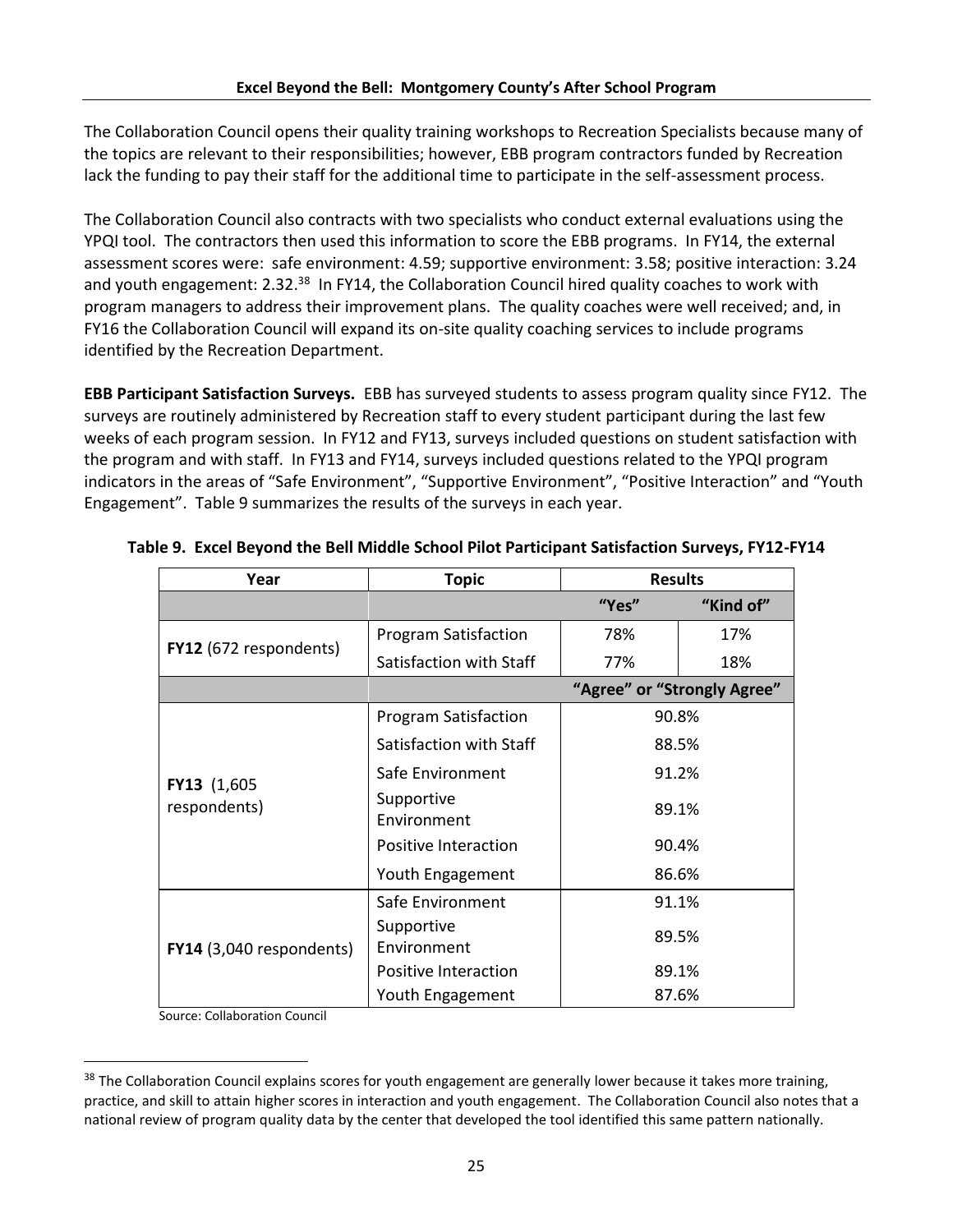The Collaboration Council opens their quality training workshops to Recreation Specialists because many of the topics are relevant to their responsibilities; however, EBB program contractors funded by Recreation lack the funding to pay their staff for the additional time to participate in the self-assessment process.

The Collaboration Council also contracts with two specialists who conduct external evaluations using the YPQI tool. The contractors then used this information to score the EBB programs. In FY14, the external assessment scores were: safe environment: 4.59; supportive environment: 3.58; positive interaction: 3.24 and youth engagement: 2.32.<sup>38</sup> In FY14, the Collaboration Council hired quality coaches to work with program managers to address their improvement plans. The quality coaches were well received; and, in FY16 the Collaboration Council will expand its on-site quality coaching services to include programs identified by the Recreation Department.

**EBB Participant Satisfaction Surveys.** EBB has surveyed students to assess program quality since FY12. The surveys are routinely administered by Recreation staff to every student participant during the last few weeks of each program session. In FY12 and FY13, surveys included questions on student satisfaction with the program and with staff. In FY13 and FY14, surveys included questions related to the YPQI program indicators in the areas of "Safe Environment", "Supportive Environment", "Positive Interaction" and "Youth Engagement". Table 9 summarizes the results of the surveys in each year.

| Year                          | <b>Topic</b>                | <b>Results</b> |           |  |  |
|-------------------------------|-----------------------------|----------------|-----------|--|--|
|                               |                             | "Yes"          | "Kind of" |  |  |
|                               | <b>Program Satisfaction</b> | 78%            | 17%       |  |  |
| <b>FY12</b> (672 respondents) | Satisfaction with Staff     | 77%            | 18%       |  |  |
|                               | "Agree" or "Strongly Agree" |                |           |  |  |
|                               | <b>Program Satisfaction</b> | 90.8%          |           |  |  |
|                               | Satisfaction with Staff     | 88.5%          |           |  |  |
| FY13 (1,605)                  | Safe Environment            |                | 91.2%     |  |  |
| respondents)                  | Supportive<br>Environment   | 89.1%          |           |  |  |
|                               | Positive Interaction        | 90.4%          |           |  |  |
|                               | Youth Engagement            | 86.6%          |           |  |  |
|                               | Safe Environment            | 91.1%          |           |  |  |
| FY14 (3,040 respondents)      | Supportive<br>Environment   | 89.5%          |           |  |  |
|                               | Positive Interaction        | 89.1%          |           |  |  |
|                               | Youth Engagement            | 87.6%          |           |  |  |

#### **Table 9. Excel Beyond the Bell Middle School Pilot Participant Satisfaction Surveys, FY12-FY14**

Source: Collaboration Council

 $\overline{\phantom{a}}$ 

<sup>&</sup>lt;sup>38</sup> The Collaboration Council explains scores for youth engagement are generally lower because it takes more training, practice, and skill to attain higher scores in interaction and youth engagement. The Collaboration Council also notes that a national review of program quality data by the center that developed the tool identified this same pattern nationally.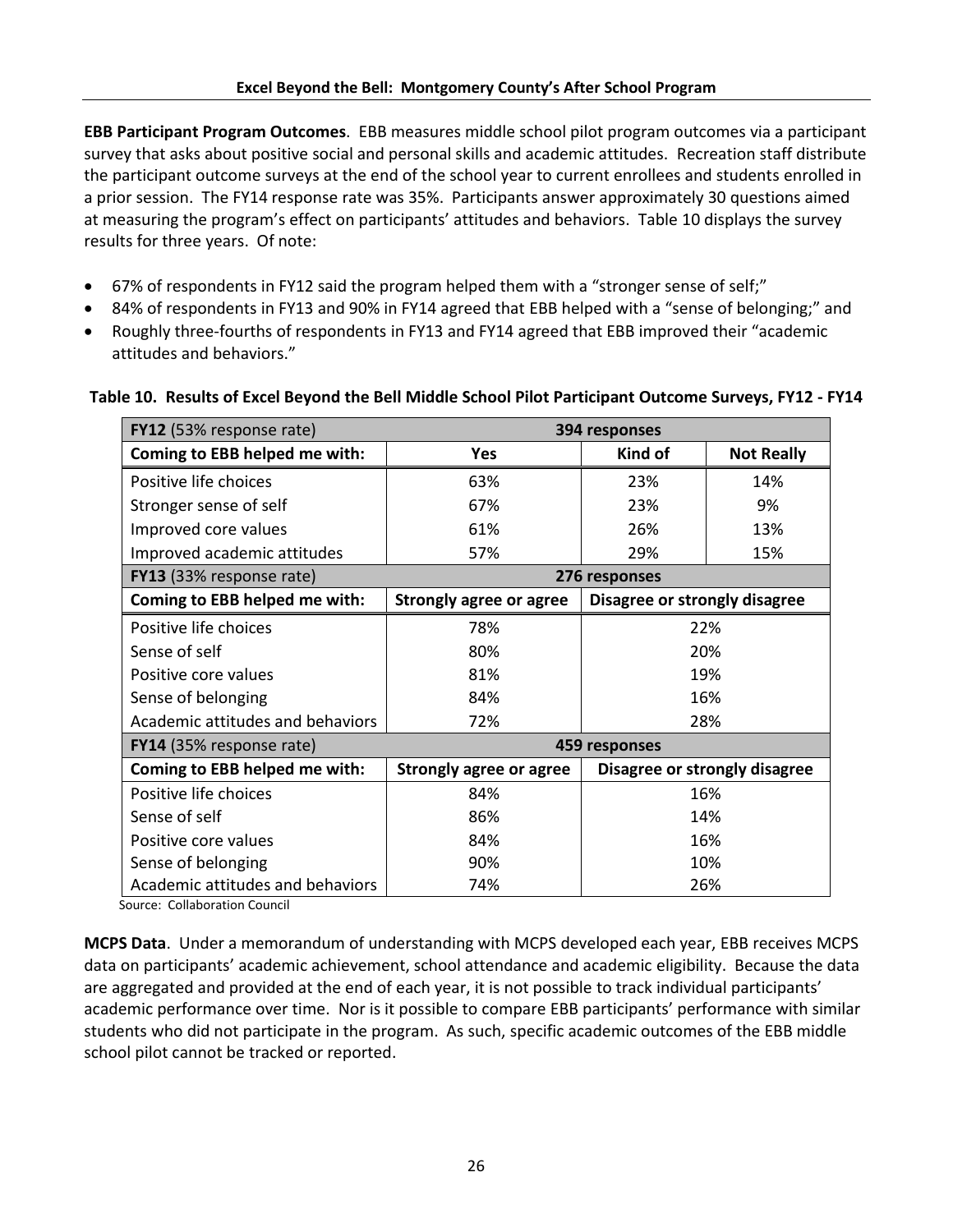**EBB Participant Program Outcomes**. EBB measures middle school pilot program outcomes via a participant survey that asks about positive social and personal skills and academic attitudes. Recreation staff distribute the participant outcome surveys at the end of the school year to current enrollees and students enrolled in a prior session. The FY14 response rate was 35%. Participants answer approximately 30 questions aimed at measuring the program's effect on participants' attitudes and behaviors. Table 10 displays the survey results for three years. Of note:

- 67% of respondents in FY12 said the program helped them with a "stronger sense of self;"
- 84% of respondents in FY13 and 90% in FY14 agreed that EBB helped with a "sense of belonging;" and
- Roughly three-fourths of respondents in FY13 and FY14 agreed that EBB improved their "academic attitudes and behaviors."

| FY12 (53% response rate)<br>394 responses        |                                |                               |                               |  |  |
|--------------------------------------------------|--------------------------------|-------------------------------|-------------------------------|--|--|
| Coming to EBB helped me with:                    | Yes                            | Kind of                       | <b>Not Really</b>             |  |  |
| Positive life choices                            | 63%                            | 23%                           | 14%                           |  |  |
| Stronger sense of self                           | 67%                            | 23%                           | 9%                            |  |  |
| Improved core values                             | 61%                            | 26%                           | 13%                           |  |  |
| Improved academic attitudes                      | 57%                            | 29%                           | 15%                           |  |  |
| <b>FY13</b> (33% response rate)<br>276 responses |                                |                               |                               |  |  |
| Coming to EBB helped me with:                    | Strongly agree or agree        | Disagree or strongly disagree |                               |  |  |
| Positive life choices                            | 78%                            |                               | 22%                           |  |  |
| Sense of self                                    | 80%                            | 20%                           |                               |  |  |
| Positive core values                             | 81%                            | 19%                           |                               |  |  |
| Sense of belonging                               | 84%                            | 16%                           |                               |  |  |
| Academic attitudes and behaviors                 | 72%                            |                               | 28%                           |  |  |
| FY14 (35% response rate)                         |                                | 459 responses                 |                               |  |  |
| Coming to EBB helped me with:                    | <b>Strongly agree or agree</b> |                               | Disagree or strongly disagree |  |  |
| Positive life choices                            | 84%                            | 16%                           |                               |  |  |
| Sense of self                                    | 86%                            | 14%                           |                               |  |  |
| Positive core values                             | 84%                            | 16%                           |                               |  |  |
| Sense of belonging                               | 90%                            |                               | 10%                           |  |  |
| Academic attitudes and behaviors                 | 74%                            |                               | 26%                           |  |  |

#### **Table 10. Results of Excel Beyond the Bell Middle School Pilot Participant Outcome Surveys, FY12 - FY14**

Source: Collaboration Council

**MCPS Data**. Under a memorandum of understanding with MCPS developed each year, EBB receives MCPS data on participants' academic achievement, school attendance and academic eligibility. Because the data are aggregated and provided at the end of each year, it is not possible to track individual participants' academic performance over time. Nor is it possible to compare EBB participants' performance with similar students who did not participate in the program. As such, specific academic outcomes of the EBB middle school pilot cannot be tracked or reported.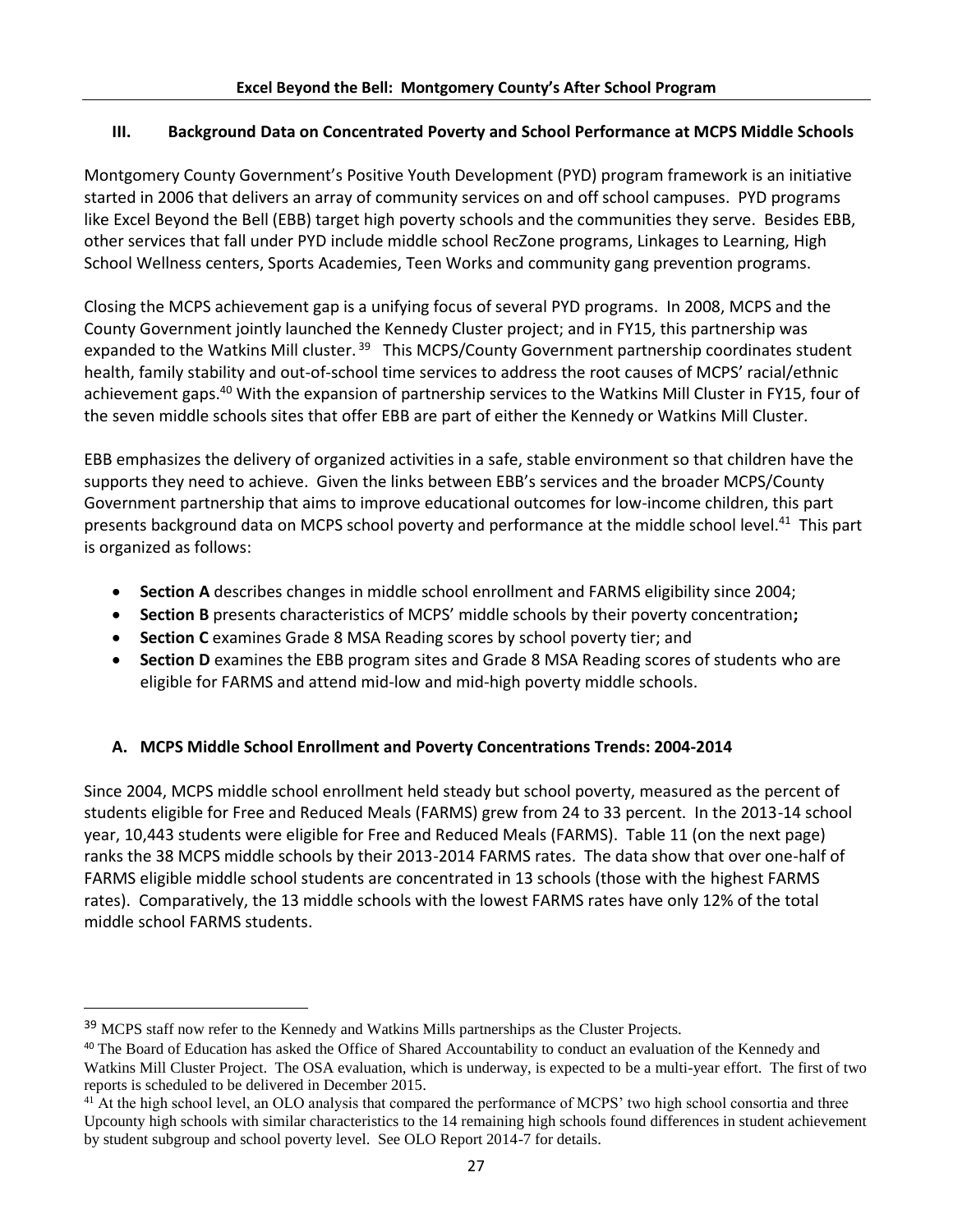# **III. Background Data on Concentrated Poverty and School Performance at MCPS Middle Schools**

Montgomery County Government's Positive Youth Development (PYD) program framework is an initiative started in 2006 that delivers an array of community services on and off school campuses. PYD programs like Excel Beyond the Bell (EBB) target high poverty schools and the communities they serve. Besides EBB, other services that fall under PYD include middle school RecZone programs, Linkages to Learning, High School Wellness centers, Sports Academies, Teen Works and community gang prevention programs.

Closing the MCPS achievement gap is a unifying focus of several PYD programs. In 2008, MCPS and the County Government jointly launched the Kennedy Cluster project; and in FY15, this partnership was expanded to the Watkins Mill cluster.<sup>39</sup> This MCPS/County Government partnership coordinates student health, family stability and out-of-school time services to address the root causes of MCPS' racial/ethnic achievement gaps.<sup>40</sup> With the expansion of partnership services to the Watkins Mill Cluster in FY15, four of the seven middle schools sites that offer EBB are part of either the Kennedy or Watkins Mill Cluster.

EBB emphasizes the delivery of organized activities in a safe, stable environment so that children have the supports they need to achieve. Given the links between EBB's services and the broader MCPS/County Government partnership that aims to improve educational outcomes for low-income children, this part presents background data on MCPS school poverty and performance at the middle school level.<sup>41</sup> This part is organized as follows:

- **Section A** describes changes in middle school enrollment and FARMS eligibility since 2004;
- **Section B** presents characteristics of MCPS' middle schools by their poverty concentration**;**
- **Section C** examines Grade 8 MSA Reading scores by school poverty tier; and
- **Section D** examines the EBB program sites and Grade 8 MSA Reading scores of students who are eligible for FARMS and attend mid-low and mid-high poverty middle schools.

# **A. MCPS Middle School Enrollment and Poverty Concentrations Trends: 2004-2014**

Since 2004, MCPS middle school enrollment held steady but school poverty, measured as the percent of students eligible for Free and Reduced Meals (FARMS) grew from 24 to 33 percent. In the 2013-14 school year, 10,443 students were eligible for Free and Reduced Meals (FARMS). Table 11 (on the next page) ranks the 38 MCPS middle schools by their 2013-2014 FARMS rates. The data show that over one-half of FARMS eligible middle school students are concentrated in 13 schools (those with the highest FARMS rates). Comparatively, the 13 middle schools with the lowest FARMS rates have only 12% of the total middle school FARMS students.

l

<sup>&</sup>lt;sup>39</sup> MCPS staff now refer to the Kennedy and Watkins Mills partnerships as the Cluster Projects.

<sup>&</sup>lt;sup>40</sup> The Board of Education has asked the Office of Shared Accountability to conduct an evaluation of the Kennedy and Watkins Mill Cluster Project. The OSA evaluation, which is underway, is expected to be a multi-year effort. The first of two reports is scheduled to be delivered in December 2015.

<sup>&</sup>lt;sup>41</sup> At the high school level, an OLO analysis that compared the performance of MCPS' two high school consortia and three Upcounty high schools with similar characteristics to the 14 remaining high schools found differences in student achievement by student subgroup and school poverty level. See OLO Report 2014-7 for details.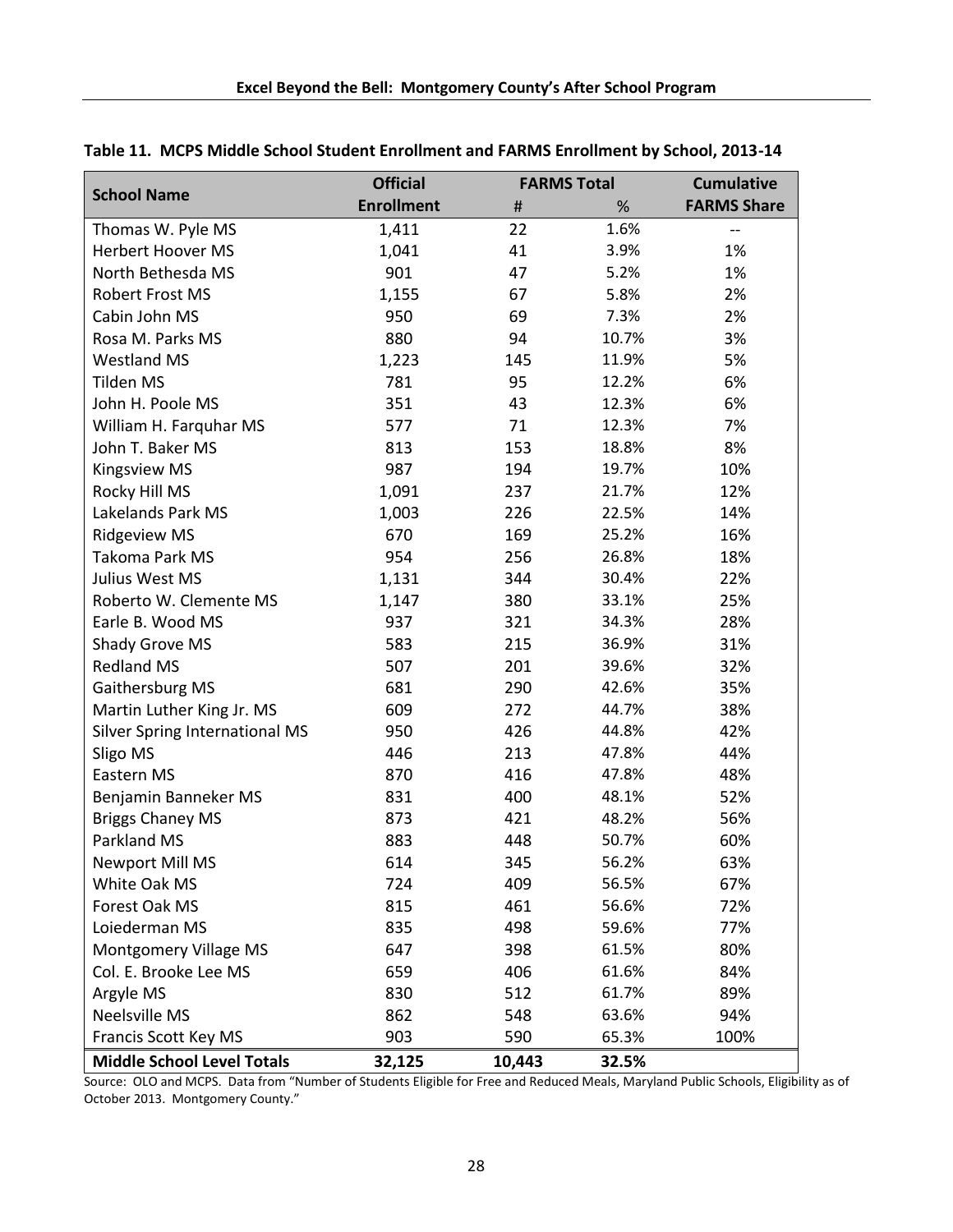|                                       | <b>Official</b><br><b>FARMS Total</b> |                               |       | <b>Cumulative</b>  |
|---------------------------------------|---------------------------------------|-------------------------------|-------|--------------------|
| <b>School Name</b>                    | <b>Enrollment</b>                     | $\sharp\hspace{-0.8em}\sharp$ | %     | <b>FARMS Share</b> |
| Thomas W. Pyle MS                     | 1,411                                 | 22                            | 1.6%  | --                 |
| <b>Herbert Hoover MS</b>              | 1,041                                 | 41                            | 3.9%  | 1%                 |
| North Bethesda MS                     | 901                                   | 47                            | 5.2%  | 1%                 |
| <b>Robert Frost MS</b>                | 1,155                                 | 67                            | 5.8%  | 2%                 |
| Cabin John MS                         | 950                                   | 69                            | 7.3%  | 2%                 |
| Rosa M. Parks MS                      | 880                                   | 94                            | 10.7% | 3%                 |
| <b>Westland MS</b>                    | 1,223                                 | 145                           | 11.9% | 5%                 |
| <b>Tilden MS</b>                      | 781                                   | 95                            | 12.2% | 6%                 |
| John H. Poole MS                      | 351                                   | 43                            | 12.3% | 6%                 |
| William H. Farquhar MS                | 577                                   | 71                            | 12.3% | 7%                 |
| John T. Baker MS                      | 813                                   | 153                           | 18.8% | 8%                 |
| <b>Kingsview MS</b>                   | 987                                   | 194                           | 19.7% | 10%                |
| Rocky Hill MS                         | 1,091                                 | 237                           | 21.7% | 12%                |
| Lakelands Park MS                     | 1,003                                 | 226                           | 22.5% | 14%                |
| <b>Ridgeview MS</b>                   | 670                                   | 169                           | 25.2% | 16%                |
| Takoma Park MS                        | 954                                   | 256                           | 26.8% | 18%                |
| Julius West MS                        | 1,131                                 | 344                           | 30.4% | 22%                |
| Roberto W. Clemente MS                | 1,147                                 | 380                           | 33.1% | 25%                |
| Earle B. Wood MS                      | 937                                   | 321                           | 34.3% | 28%                |
| <b>Shady Grove MS</b>                 | 583                                   | 215                           | 36.9% | 31%                |
| <b>Redland MS</b>                     | 507                                   | 201                           | 39.6% | 32%                |
| Gaithersburg MS                       | 681                                   | 290                           | 42.6% | 35%                |
| Martin Luther King Jr. MS             | 609                                   | 272                           | 44.7% | 38%                |
| <b>Silver Spring International MS</b> | 950                                   | 426                           | 44.8% | 42%                |
| Sligo MS                              | 446                                   | 213                           | 47.8% | 44%                |
| Eastern MS                            | 870                                   | 416                           | 47.8% | 48%                |
| Benjamin Banneker MS                  | 831                                   | 400                           | 48.1% | 52%                |
| <b>Briggs Chaney MS</b>               | 873                                   | 421                           | 48.2% | 56%                |
| Parkland MS                           | 883                                   | 448                           | 50.7% | 60%                |
| Newport Mill MS                       | 614                                   | 345                           | 56.2% | 63%                |
| White Oak MS                          | 724                                   | 409                           | 56.5% | 67%                |
| Forest Oak MS                         | 815                                   | 461                           | 56.6% | 72%                |
| Loiederman MS                         | 835                                   | 498                           | 59.6% | 77%                |
| Montgomery Village MS                 | 647                                   | 398                           | 61.5% | 80%                |
| Col. E. Brooke Lee MS                 | 659                                   | 406                           | 61.6% | 84%                |
| Argyle MS                             | 830                                   | 512                           | 61.7% | 89%                |
| <b>Neelsville MS</b>                  | 862                                   | 548                           | 63.6% | 94%                |
| Francis Scott Key MS                  | 903                                   | 590                           | 65.3% | 100%               |
| <b>Middle School Level Totals</b>     | 32,125                                | 10,443                        | 32.5% |                    |

# **Table 11. MCPS Middle School Student Enrollment and FARMS Enrollment by School, 2013-14**

Source: OLO and MCPS. Data from "Number of Students Eligible for Free and Reduced Meals, Maryland Public Schools, Eligibility as of October 2013. Montgomery County."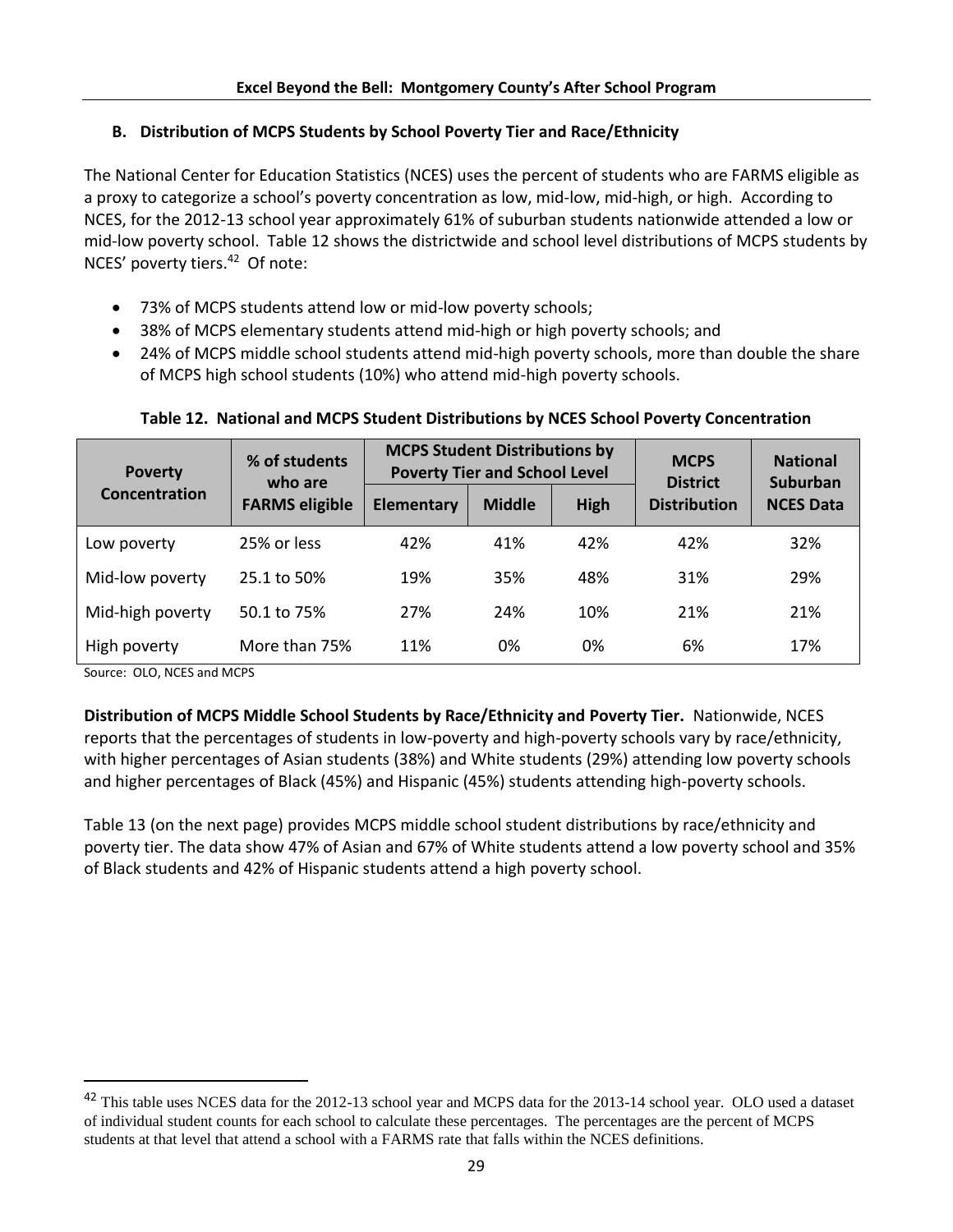# **B. Distribution of MCPS Students by School Poverty Tier and Race/Ethnicity**

The National Center for Education Statistics (NCES) uses the percent of students who are FARMS eligible as a proxy to categorize a school's poverty concentration as low, mid-low, mid-high, or high. According to NCES, for the 2012-13 school year approximately 61% of suburban students nationwide attended a low or mid-low poverty school. Table 12 shows the districtwide and school level distributions of MCPS students by NCES' poverty tiers.<sup>42</sup> Of note:

- 73% of MCPS students attend low or mid-low poverty schools;
- 38% of MCPS elementary students attend mid-high or high poverty schools; and
- 24% of MCPS middle school students attend mid-high poverty schools, more than double the share of MCPS high school students (10%) who attend mid-high poverty schools.

| <b>Poverty</b>   | % of students<br>who are | <b>MCPS Student Distributions by</b> | <b>Poverty Tier and School Level</b> | <b>MCPS</b><br><b>District</b> | <b>National</b><br><b>Suburban</b> |                  |  |
|------------------|--------------------------|--------------------------------------|--------------------------------------|--------------------------------|------------------------------------|------------------|--|
| Concentration    | <b>FARMS eligible</b>    | Elementary                           | <b>Middle</b>                        | High                           | <b>Distribution</b>                | <b>NCES Data</b> |  |
| Low poverty      | 25% or less              | 42%                                  | 41%                                  | 42%                            | 42%                                | 32%              |  |
| Mid-low poverty  | 25.1 to 50%              | 19%                                  | 35%                                  | 48%                            | 31%                                | 29%              |  |
| Mid-high poverty | 50.1 to 75%              | 27%                                  | 24%                                  | 10%                            | 21%                                | 21%              |  |
| High poverty     | More than 75%            | 11%                                  | 0%                                   | 0%                             | 6%                                 | 17%              |  |

#### **Table 12. National and MCPS Student Distributions by NCES School Poverty Concentration**

Source: OLO, NCES and MCPS

 $\overline{\phantom{a}}$ 

**Distribution of MCPS Middle School Students by Race/Ethnicity and Poverty Tier.** Nationwide, NCES reports that the percentages of students in low-poverty and high-poverty schools vary by race/ethnicity, with higher percentages of Asian students (38%) and White students (29%) attending low poverty schools and higher percentages of Black (45%) and Hispanic (45%) students attending high-poverty schools.

Table 13 (on the next page) provides MCPS middle school student distributions by race/ethnicity and poverty tier. The data show 47% of Asian and 67% of White students attend a low poverty school and 35% of Black students and 42% of Hispanic students attend a high poverty school.

<sup>&</sup>lt;sup>42</sup> This table uses NCES data for the 2012-13 school year and MCPS data for the 2013-14 school year. OLO used a dataset of individual student counts for each school to calculate these percentages. The percentages are the percent of MCPS students at that level that attend a school with a FARMS rate that falls within the NCES definitions.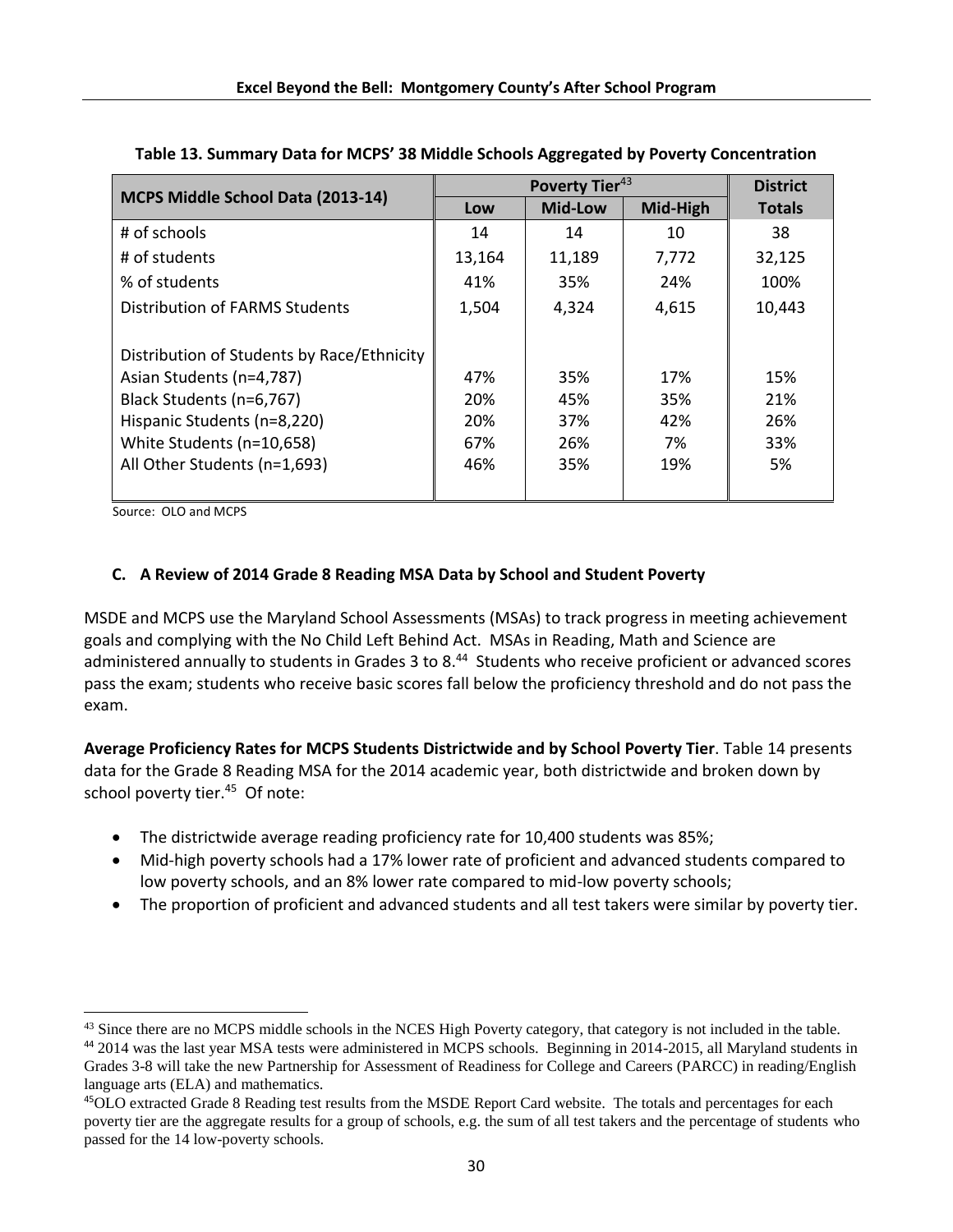|                                            |        | <b>District</b> |          |               |
|--------------------------------------------|--------|-----------------|----------|---------------|
| MCPS Middle School Data (2013-14)          | Low    | <b>Mid-Low</b>  | Mid-High | <b>Totals</b> |
| # of schools                               | 14     | 14              | 10       | 38            |
| # of students                              | 13,164 | 11,189          | 7,772    | 32,125        |
| % of students                              | 41%    | 35%             | 24%      | 100%          |
| Distribution of FARMS Students             | 1,504  | 4,324           | 4,615    | 10,443        |
|                                            |        |                 |          |               |
| Distribution of Students by Race/Ethnicity |        |                 |          |               |
| Asian Students (n=4,787)                   | 47%    | 35%             | 17%      | 15%           |
| Black Students (n=6,767)                   | 20%    | 45%             | 35%      | 21%           |
| Hispanic Students (n=8,220)                | 20%    | 37%             | 42%      | 26%           |
| White Students (n=10,658)                  | 67%    | 26%             | 7%       | 33%           |
| All Other Students (n=1,693)               | 46%    | 35%             | 19%      | 5%            |
|                                            |        |                 |          |               |

**Table 13. Summary Data for MCPS' 38 Middle Schools Aggregated by Poverty Concentration**

Source: OLO and MCPS

 $\overline{a}$ 

# **C. A Review of 2014 Grade 8 Reading MSA Data by School and Student Poverty**

MSDE and MCPS use the Maryland School Assessments (MSAs) to track progress in meeting achievement goals and complying with the No Child Left Behind Act. MSAs in Reading, Math and Science are administered annually to students in Grades 3 to 8.<sup>44</sup> Students who receive proficient or advanced scores pass the exam; students who receive basic scores fall below the proficiency threshold and do not pass the exam.

**Average Proficiency Rates for MCPS Students Districtwide and by School Poverty Tier**. Table 14 presents data for the Grade 8 Reading MSA for the 2014 academic year, both districtwide and broken down by school poverty tier.<sup>45</sup> Of note:

- The districtwide average reading proficiency rate for 10,400 students was 85%;
- Mid-high poverty schools had a 17% lower rate of proficient and advanced students compared to low poverty schools, and an 8% lower rate compared to mid-low poverty schools;
- The proportion of proficient and advanced students and all test takers were similar by poverty tier.

<sup>&</sup>lt;sup>43</sup> Since there are no MCPS middle schools in the NCES High Poverty category, that category is not included in the table.

<sup>44</sup> 2014 was the last year MSA tests were administered in MCPS schools. Beginning in 2014-2015, all Maryland students in Grades 3-8 will take the new Partnership for Assessment of Readiness for College and Careers (PARCC) in reading/English language arts (ELA) and mathematics.

<sup>45</sup>OLO extracted Grade 8 Reading test results from the MSDE Report Card website. The totals and percentages for each poverty tier are the aggregate results for a group of schools, e.g. the sum of all test takers and the percentage of students who passed for the 14 low-poverty schools.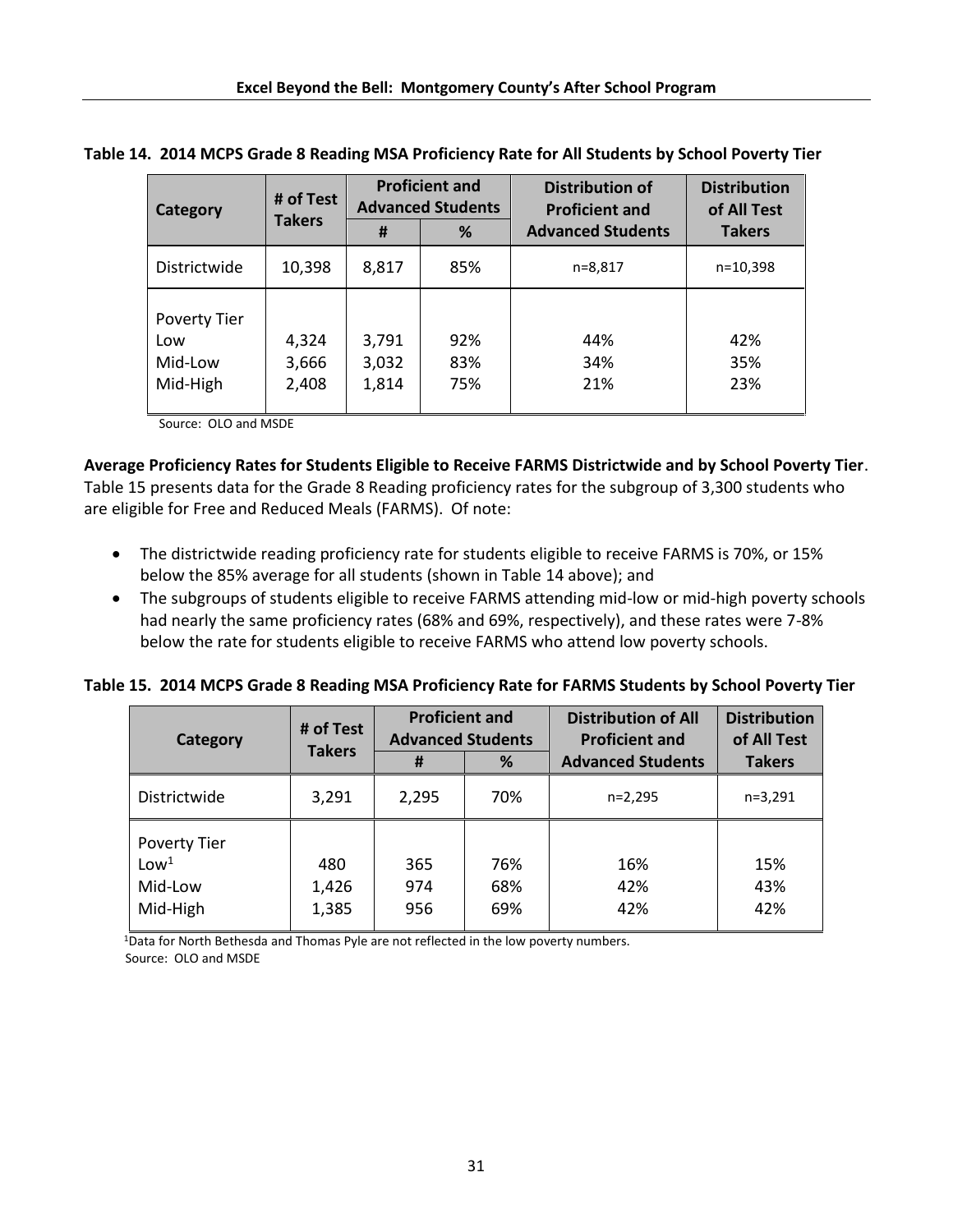| Category                                   | # of Test               | <b>Proficient and</b><br><b>Advanced Students</b> |                   | <b>Distribution of</b><br><b>Proficient and</b> | <b>Distribution</b><br>of All Test |
|--------------------------------------------|-------------------------|---------------------------------------------------|-------------------|-------------------------------------------------|------------------------------------|
|                                            | <b>Takers</b>           | #                                                 | %                 | <b>Advanced Students</b>                        | <b>Takers</b>                      |
| Districtwide                               | 10,398                  | 8,817                                             | 85%               | n=8,817                                         | $n=10,398$                         |
| Poverty Tier<br>Low<br>Mid-Low<br>Mid-High | 4,324<br>3,666<br>2,408 | 3,791<br>3,032<br>1,814                           | 92%<br>83%<br>75% | 44%<br>34%<br>21%                               | 42%<br>35%<br>23%                  |

**Table 14. 2014 MCPS Grade 8 Reading MSA Proficiency Rate for All Students by School Poverty Tier** 

Source: OLO and MSDE

**Average Proficiency Rates for Students Eligible to Receive FARMS Districtwide and by School Poverty Tier**.

Table 15 presents data for the Grade 8 Reading proficiency rates for the subgroup of 3,300 students who are eligible for Free and Reduced Meals (FARMS). Of note:

- The districtwide reading proficiency rate for students eligible to receive FARMS is 70%, or 15% below the 85% average for all students (shown in Table 14 above); and
- The subgroups of students eligible to receive FARMS attending mid-low or mid-high poverty schools had nearly the same proficiency rates (68% and 69%, respectively), and these rates were 7-8% below the rate for students eligible to receive FARMS who attend low poverty schools.

**Table 15. 2014 MCPS Grade 8 Reading MSA Proficiency Rate for FARMS Students by School Poverty Tier** 

| Category                                                       | # of Test<br><b>Takers</b> | <b>Proficient and</b><br><b>Advanced Students</b> |                   | <b>Distribution of All</b><br><b>Proficient and</b> | <b>Distribution</b><br>of All Test |
|----------------------------------------------------------------|----------------------------|---------------------------------------------------|-------------------|-----------------------------------------------------|------------------------------------|
|                                                                |                            | #                                                 | %                 | <b>Advanced Students</b>                            | <b>Takers</b>                      |
| Districtwide                                                   | 3,291                      | 2,295                                             | 70%               | $n=2,295$                                           | $n=3,291$                          |
| <b>Poverty Tier</b><br>Low <sup>1</sup><br>Mid-Low<br>Mid-High | 480<br>1,426<br>1,385      | 365<br>974<br>956                                 | 76%<br>68%<br>69% | 16%<br>42%<br>42%                                   | 15%<br>43%<br>42%                  |

<sup>1</sup>Data for North Bethesda and Thomas Pyle are not reflected in the low poverty numbers. Source: OLO and MSDE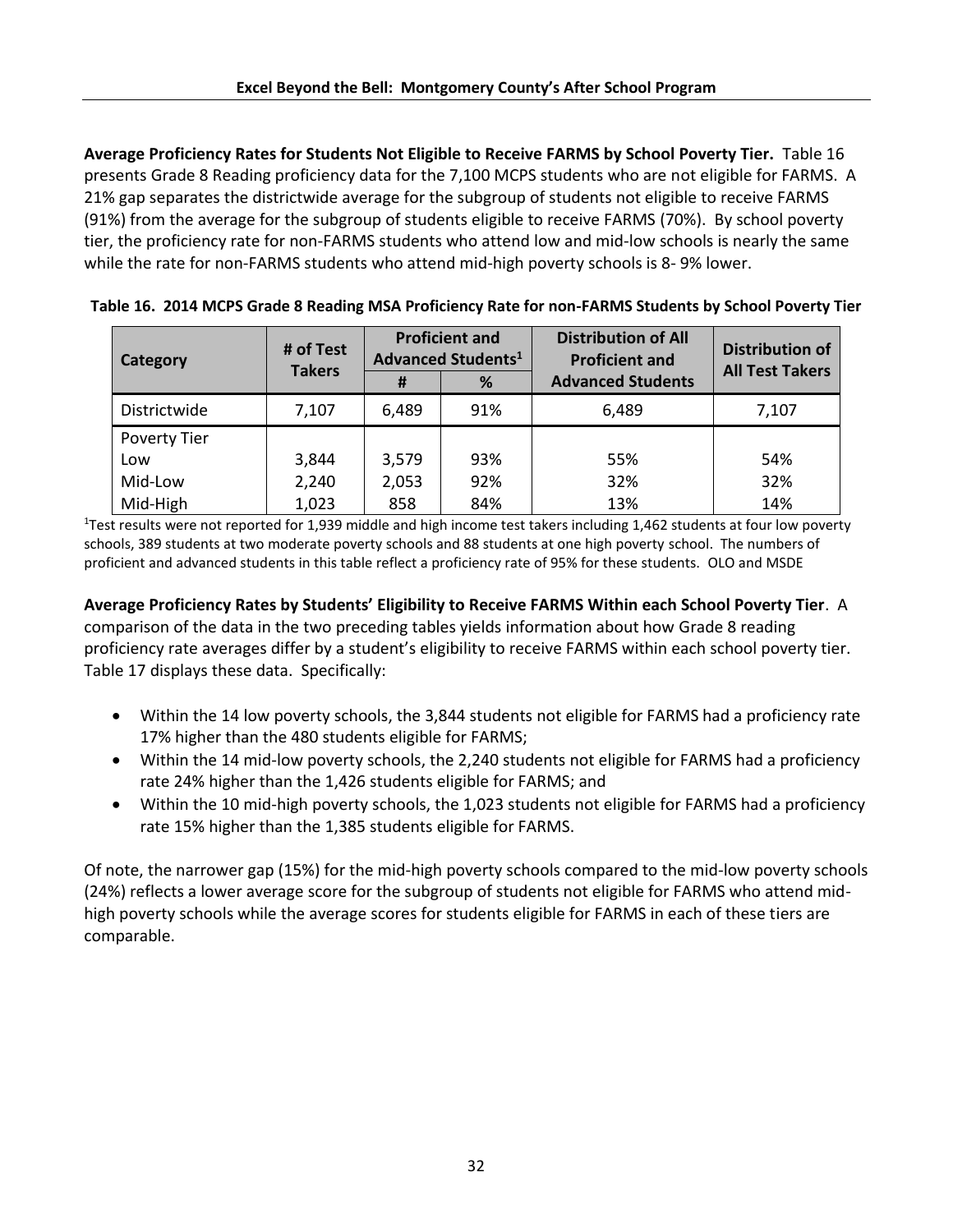**Average Proficiency Rates for Students Not Eligible to Receive FARMS by School Poverty Tier.** Table 16 presents Grade 8 Reading proficiency data for the 7,100 MCPS students who are not eligible for FARMS. A 21% gap separates the districtwide average for the subgroup of students not eligible to receive FARMS (91%) from the average for the subgroup of students eligible to receive FARMS (70%). By school poverty tier, the proficiency rate for non-FARMS students who attend low and mid-low schools is nearly the same while the rate for non-FARMS students who attend mid-high poverty schools is 8- 9% lower.

| Category            | # of Test<br><b>Takers</b> | <b>Proficient and</b><br><b>Advanced Students<sup>1</sup></b> |     | <b>Distribution of All</b><br><b>Proficient and</b> | <b>Distribution of</b><br><b>All Test Takers</b> |  |
|---------------------|----------------------------|---------------------------------------------------------------|-----|-----------------------------------------------------|--------------------------------------------------|--|
|                     |                            | #                                                             | %   | <b>Advanced Students</b>                            |                                                  |  |
| Districtwide        | 7,107                      | 6,489                                                         | 91% | 6,489                                               | 7,107                                            |  |
| <b>Poverty Tier</b> |                            |                                                               |     |                                                     |                                                  |  |
| Low                 | 3,844                      | 3,579                                                         | 93% | 55%                                                 | 54%                                              |  |
| Mid-Low             | 2,240                      | 2,053                                                         | 92% | 32%                                                 | 32%                                              |  |
| Mid-High            | 1,023                      | 858                                                           | 84% | 13%                                                 | 14%                                              |  |

**Table 16. 2014 MCPS Grade 8 Reading MSA Proficiency Rate for non-FARMS Students by School Poverty Tier**

<sup>1</sup>Test results were not reported for 1,939 middle and high income test takers including 1,462 students at four low poverty schools, 389 students at two moderate poverty schools and 88 students at one high poverty school. The numbers of proficient and advanced students in this table reflect a proficiency rate of 95% for these students. OLO and MSDE

**Average Proficiency Rates by Students' Eligibility to Receive FARMS Within each School Poverty Tier**. A comparison of the data in the two preceding tables yields information about how Grade 8 reading proficiency rate averages differ by a student's eligibility to receive FARMS within each school poverty tier. Table 17 displays these data. Specifically:

- Within the 14 low poverty schools, the 3,844 students not eligible for FARMS had a proficiency rate 17% higher than the 480 students eligible for FARMS;
- Within the 14 mid-low poverty schools, the 2,240 students not eligible for FARMS had a proficiency rate 24% higher than the 1,426 students eligible for FARMS; and
- Within the 10 mid-high poverty schools, the 1,023 students not eligible for FARMS had a proficiency rate 15% higher than the 1,385 students eligible for FARMS.

Of note, the narrower gap (15%) for the mid-high poverty schools compared to the mid-low poverty schools (24%) reflects a lower average score for the subgroup of students not eligible for FARMS who attend midhigh poverty schools while the average scores for students eligible for FARMS in each of these tiers are comparable.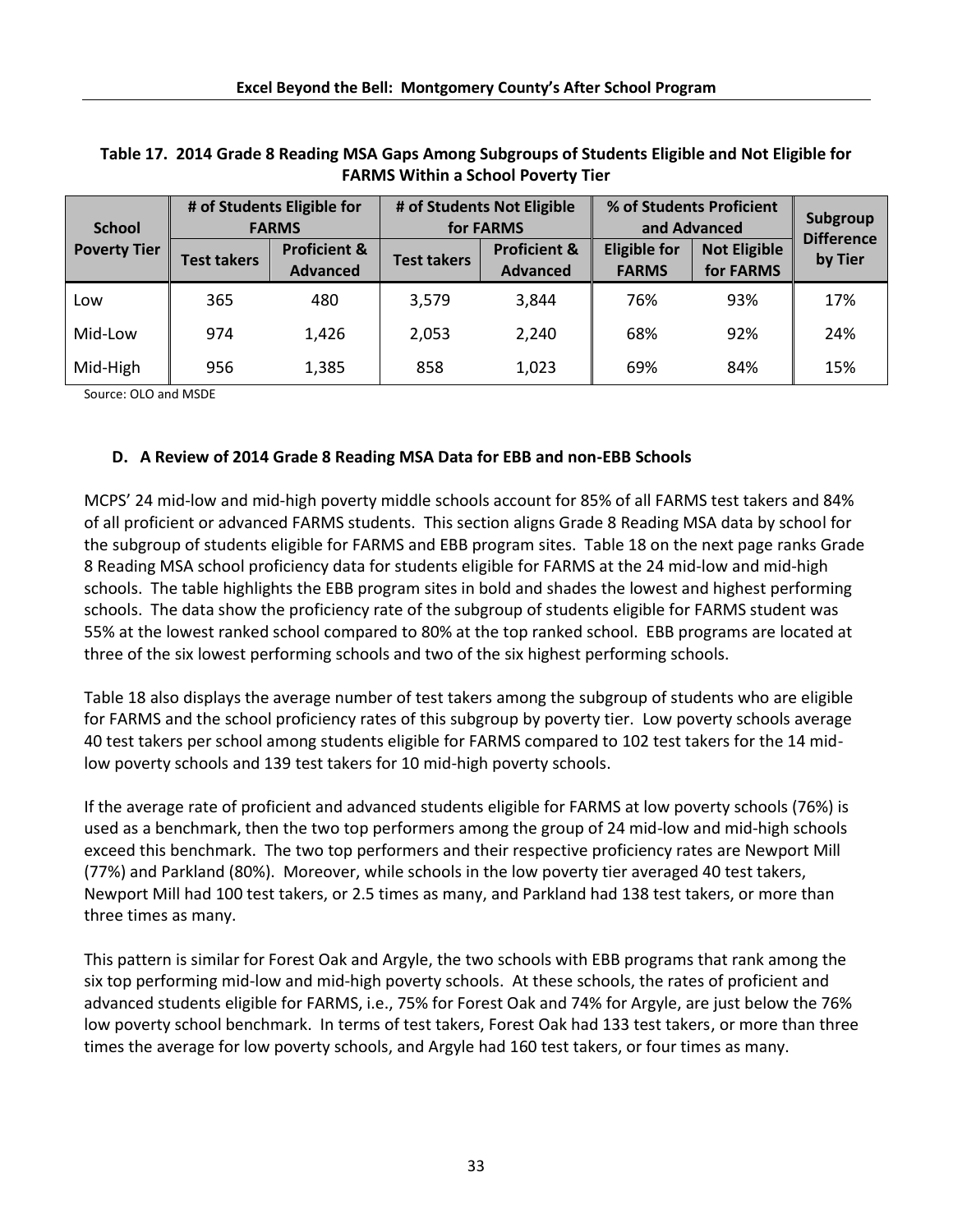| <b>School</b>       | # of Students Eligible for<br># of Students Not Eligible<br>for FARMS<br><b>FARMS</b> |                                            | % of Students Proficient<br>and Advanced |                                            |                                     | Subgroup                         |                              |
|---------------------|---------------------------------------------------------------------------------------|--------------------------------------------|------------------------------------------|--------------------------------------------|-------------------------------------|----------------------------------|------------------------------|
| <b>Poverty Tier</b> | <b>Test takers</b>                                                                    | <b>Proficient &amp;</b><br><b>Advanced</b> | <b>Test takers</b>                       | <b>Proficient &amp;</b><br><b>Advanced</b> | <b>Eligible for</b><br><b>FARMS</b> | <b>Not Eligible</b><br>for FARMS | <b>Difference</b><br>by Tier |
| Low                 | 365                                                                                   | 480                                        | 3,579                                    | 3,844                                      | 76%                                 | 93%                              | 17%                          |
| Mid-Low             | 974                                                                                   | 1,426                                      | 2,053                                    | 2,240                                      | 68%                                 | 92%                              | 24%                          |
| Mid-High            | 956                                                                                   | 1,385                                      | 858                                      | 1,023                                      | 69%                                 | 84%                              | 15%                          |

# **Table 17. 2014 Grade 8 Reading MSA Gaps Among Subgroups of Students Eligible and Not Eligible for FARMS Within a School Poverty Tier**

Source: OLO and MSDE

# **D. A Review of 2014 Grade 8 Reading MSA Data for EBB and non-EBB Schools**

MCPS' 24 mid-low and mid-high poverty middle schools account for 85% of all FARMS test takers and 84% of all proficient or advanced FARMS students. This section aligns Grade 8 Reading MSA data by school for the subgroup of students eligible for FARMS and EBB program sites. Table 18 on the next page ranks Grade 8 Reading MSA school proficiency data for students eligible for FARMS at the 24 mid-low and mid-high schools. The table highlights the EBB program sites in bold and shades the lowest and highest performing schools. The data show the proficiency rate of the subgroup of students eligible for FARMS student was 55% at the lowest ranked school compared to 80% at the top ranked school. EBB programs are located at three of the six lowest performing schools and two of the six highest performing schools.

Table 18 also displays the average number of test takers among the subgroup of students who are eligible for FARMS and the school proficiency rates of this subgroup by poverty tier. Low poverty schools average 40 test takers per school among students eligible for FARMS compared to 102 test takers for the 14 midlow poverty schools and 139 test takers for 10 mid-high poverty schools.

If the average rate of proficient and advanced students eligible for FARMS at low poverty schools (76%) is used as a benchmark, then the two top performers among the group of 24 mid-low and mid-high schools exceed this benchmark. The two top performers and their respective proficiency rates are Newport Mill (77%) and Parkland (80%). Moreover, while schools in the low poverty tier averaged 40 test takers, Newport Mill had 100 test takers, or 2.5 times as many, and Parkland had 138 test takers, or more than three times as many.

This pattern is similar for Forest Oak and Argyle, the two schools with EBB programs that rank among the six top performing mid-low and mid-high poverty schools. At these schools, the rates of proficient and advanced students eligible for FARMS, i.e., 75% for Forest Oak and 74% for Argyle, are just below the 76% low poverty school benchmark. In terms of test takers, Forest Oak had 133 test takers, or more than three times the average for low poverty schools, and Argyle had 160 test takers, or four times as many.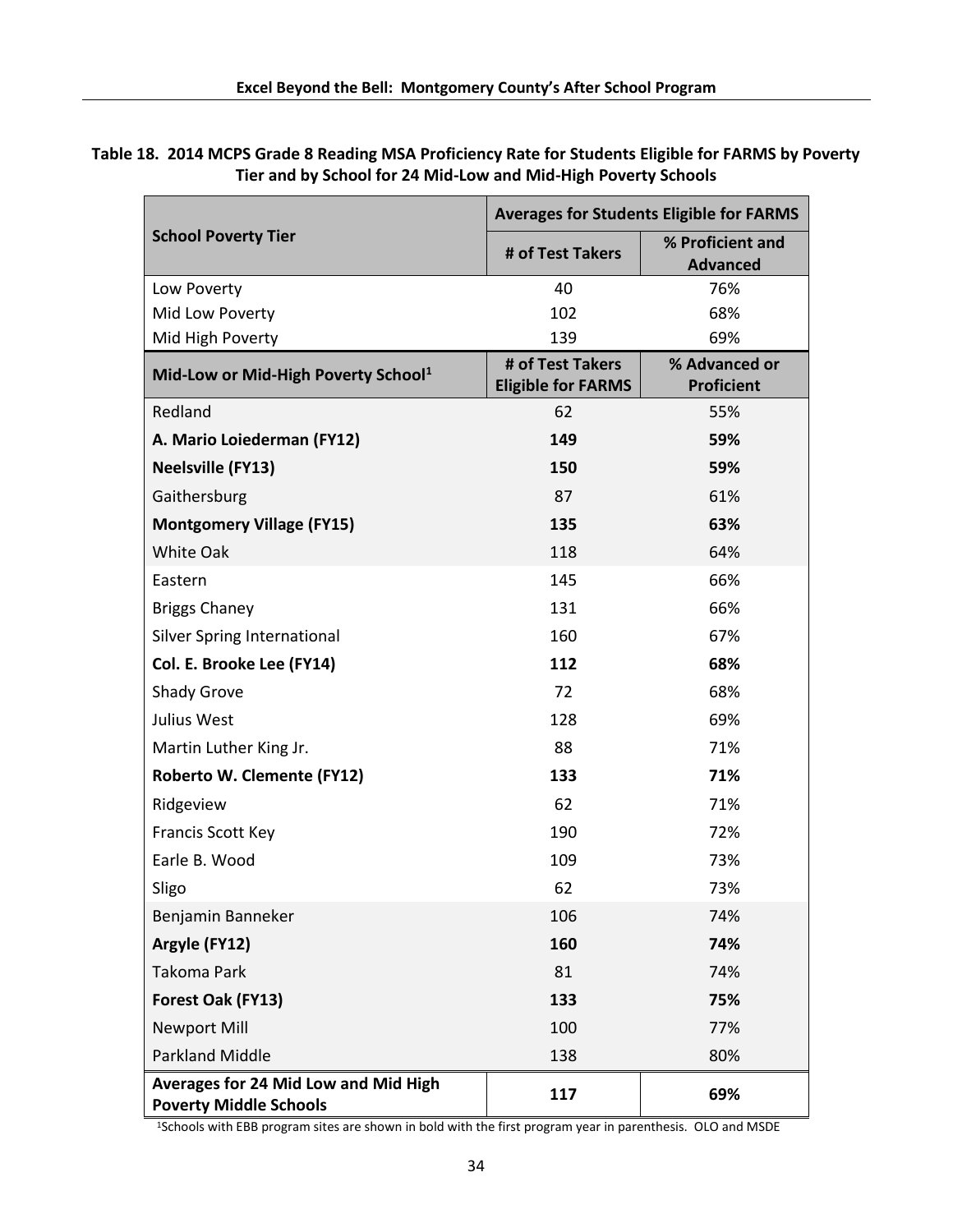**Table 18. 2014 MCPS Grade 8 Reading MSA Proficiency Rate for Students Eligible for FARMS by Poverty Tier and by School for 24 Mid-Low and Mid-High Poverty Schools**

|                                                                       | <b>Averages for Students Eligible for FARMS</b> |                                     |  |  |
|-----------------------------------------------------------------------|-------------------------------------------------|-------------------------------------|--|--|
| <b>School Poverty Tier</b>                                            | # of Test Takers                                | % Proficient and<br><b>Advanced</b> |  |  |
| Low Poverty                                                           | 40                                              | 76%                                 |  |  |
| Mid Low Poverty                                                       | 102                                             | 68%                                 |  |  |
| Mid High Poverty                                                      | 139                                             | 69%                                 |  |  |
| Mid-Low or Mid-High Poverty School <sup>1</sup>                       | # of Test Takers<br><b>Eligible for FARMS</b>   | % Advanced or<br><b>Proficient</b>  |  |  |
| Redland                                                               | 62                                              | 55%                                 |  |  |
| A. Mario Loiederman (FY12)                                            | 149                                             | 59%                                 |  |  |
| <b>Neelsville (FY13)</b>                                              | 150                                             | 59%                                 |  |  |
| Gaithersburg                                                          | 87                                              | 61%                                 |  |  |
| <b>Montgomery Village (FY15)</b>                                      | 135                                             | 63%                                 |  |  |
| White Oak                                                             | 118                                             | 64%                                 |  |  |
| Eastern                                                               | 145                                             | 66%                                 |  |  |
| <b>Briggs Chaney</b>                                                  | 131                                             | 66%                                 |  |  |
| <b>Silver Spring International</b>                                    | 160                                             | 67%                                 |  |  |
| Col. E. Brooke Lee (FY14)                                             | 112                                             | 68%                                 |  |  |
| Shady Grove                                                           | 72                                              | 68%                                 |  |  |
| Julius West                                                           | 128                                             | 69%                                 |  |  |
| Martin Luther King Jr.                                                | 88                                              | 71%                                 |  |  |
| Roberto W. Clemente (FY12)                                            | 133                                             | 71%                                 |  |  |
| Ridgeview                                                             | 62                                              | 71%                                 |  |  |
| <b>Francis Scott Key</b>                                              | 190                                             | 72%                                 |  |  |
| Earle B. Wood                                                         | 109                                             | 73%                                 |  |  |
| Sligo                                                                 | 62                                              | 73%                                 |  |  |
| Benjamin Banneker                                                     | 106                                             | 74%                                 |  |  |
| Argyle (FY12)                                                         | 160                                             | 74%                                 |  |  |
| <b>Takoma Park</b>                                                    | 81                                              | 74%                                 |  |  |
| Forest Oak (FY13)                                                     | 133                                             | 75%                                 |  |  |
| <b>Newport Mill</b>                                                   | 100                                             | 77%                                 |  |  |
| <b>Parkland Middle</b>                                                | 138                                             | 80%                                 |  |  |
| Averages for 24 Mid Low and Mid High<br><b>Poverty Middle Schools</b> | 117                                             | 69%                                 |  |  |

1Schools with EBB program sites are shown in bold with the first program year in parenthesis. OLO and MSDE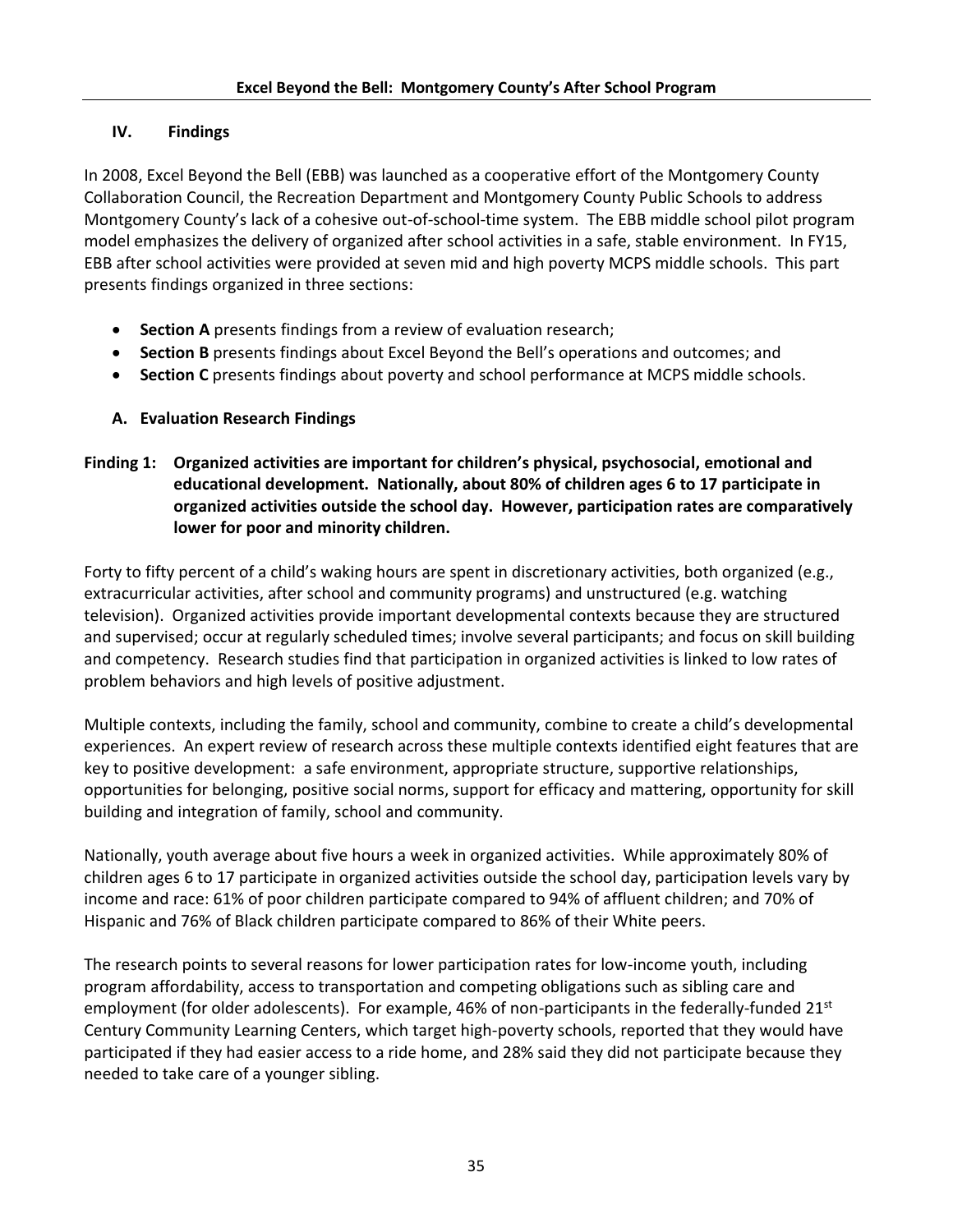# **IV. Findings**

In 2008, Excel Beyond the Bell (EBB) was launched as a cooperative effort of the Montgomery County Collaboration Council, the Recreation Department and Montgomery County Public Schools to address Montgomery County's lack of a cohesive out-of-school-time system. The EBB middle school pilot program model emphasizes the delivery of organized after school activities in a safe, stable environment. In FY15, EBB after school activities were provided at seven mid and high poverty MCPS middle schools. This part presents findings organized in three sections:

- **Section A** presents findings from a review of evaluation research;
- **Section B** presents findings about Excel Beyond the Bell's operations and outcomes; and
- **Section C** presents findings about poverty and school performance at MCPS middle schools.
- **A. Evaluation Research Findings**
- **Finding 1: Organized activities are important for children's physical, psychosocial, emotional and educational development. Nationally, about 80% of children ages 6 to 17 participate in organized activities outside the school day. However, participation rates are comparatively lower for poor and minority children.**

Forty to fifty percent of a child's waking hours are spent in discretionary activities, both organized (e.g., extracurricular activities, after school and community programs) and unstructured (e.g. watching television). Organized activities provide important developmental contexts because they are structured and supervised; occur at regularly scheduled times; involve several participants; and focus on skill building and competency. Research studies find that participation in organized activities is linked to low rates of problem behaviors and high levels of positive adjustment.

Multiple contexts, including the family, school and community, combine to create a child's developmental experiences. An expert review of research across these multiple contexts identified eight features that are key to positive development: a safe environment, appropriate structure, supportive relationships, opportunities for belonging, positive social norms, support for efficacy and mattering, opportunity for skill building and integration of family, school and community.

Nationally, youth average about five hours a week in organized activities. While approximately 80% of children ages 6 to 17 participate in organized activities outside the school day, participation levels vary by income and race: 61% of poor children participate compared to 94% of affluent children; and 70% of Hispanic and 76% of Black children participate compared to 86% of their White peers.

The research points to several reasons for lower participation rates for low-income youth, including program affordability, access to transportation and competing obligations such as sibling care and employment (for older adolescents). For example, 46% of non-participants in the federally-funded  $21^{st}$ Century Community Learning Centers, which target high-poverty schools, reported that they would have participated if they had easier access to a ride home, and 28% said they did not participate because they needed to take care of a younger sibling.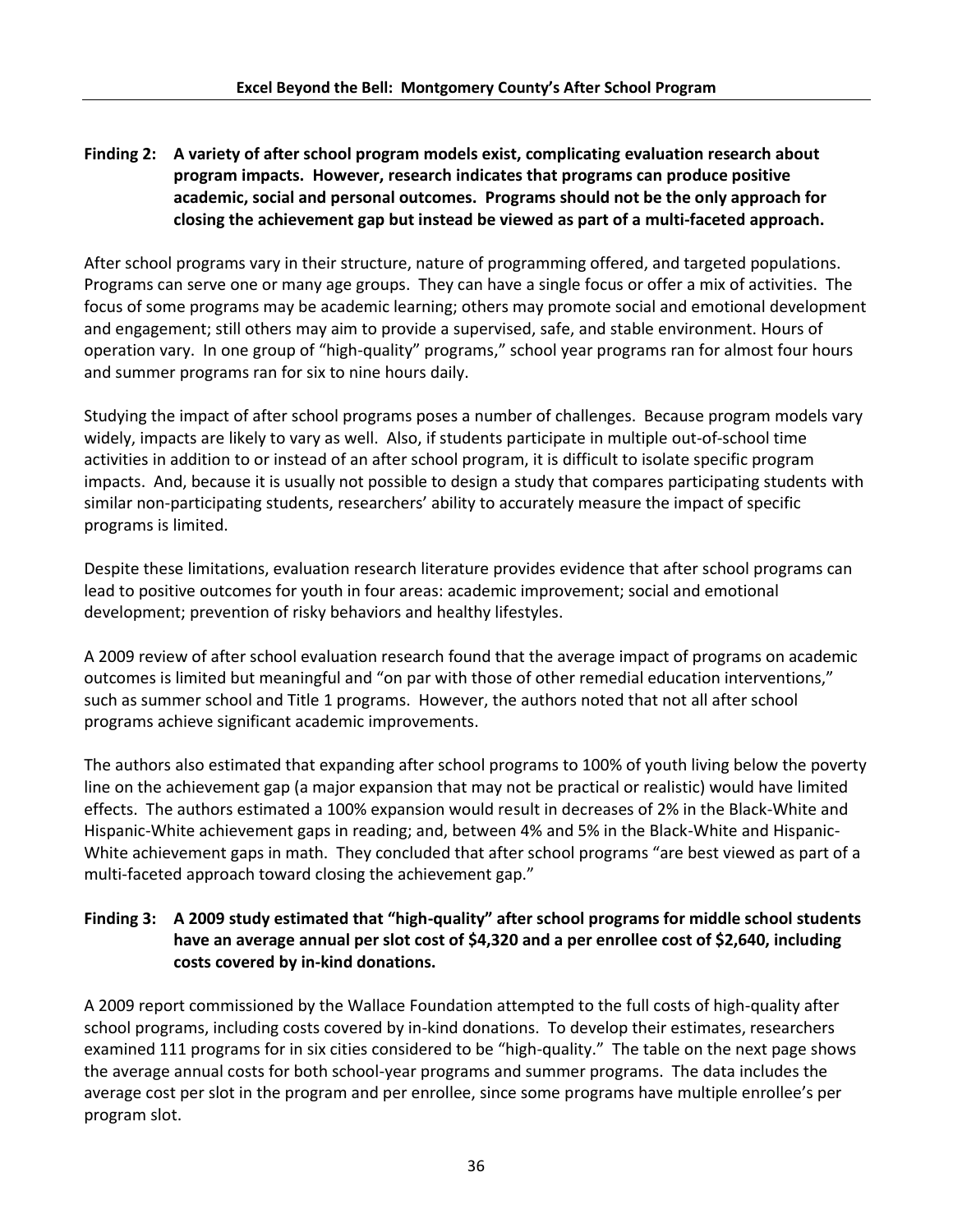# **Finding 2: A variety of after school program models exist, complicating evaluation research about program impacts. However, research indicates that programs can produce positive academic, social and personal outcomes. Programs should not be the only approach for closing the achievement gap but instead be viewed as part of a multi-faceted approach.**

After school programs vary in their structure, nature of programming offered, and targeted populations. Programs can serve one or many age groups. They can have a single focus or offer a mix of activities. The focus of some programs may be academic learning; others may promote social and emotional development and engagement; still others may aim to provide a supervised, safe, and stable environment. Hours of operation vary. In one group of "high-quality" programs," school year programs ran for almost four hours and summer programs ran for six to nine hours daily.

Studying the impact of after school programs poses a number of challenges. Because program models vary widely, impacts are likely to vary as well. Also, if students participate in multiple out-of-school time activities in addition to or instead of an after school program, it is difficult to isolate specific program impacts. And, because it is usually not possible to design a study that compares participating students with similar non-participating students, researchers' ability to accurately measure the impact of specific programs is limited.

Despite these limitations, evaluation research literature provides evidence that after school programs can lead to positive outcomes for youth in four areas: academic improvement; social and emotional development; prevention of risky behaviors and healthy lifestyles.

A 2009 review of after school evaluation research found that the average impact of programs on academic outcomes is limited but meaningful and "on par with those of other remedial education interventions," such as summer school and Title 1 programs. However, the authors noted that not all after school programs achieve significant academic improvements.

The authors also estimated that expanding after school programs to 100% of youth living below the poverty line on the achievement gap (a major expansion that may not be practical or realistic) would have limited effects. The authors estimated a 100% expansion would result in decreases of 2% in the Black-White and Hispanic-White achievement gaps in reading; and, between 4% and 5% in the Black-White and Hispanic-White achievement gaps in math. They concluded that after school programs "are best viewed as part of a multi-faceted approach toward closing the achievement gap."

# **Finding 3: A 2009 study estimated that "high-quality" after school programs for middle school students have an average annual per slot cost of \$4,320 and a per enrollee cost of \$2,640, including costs covered by in-kind donations.**

A 2009 report commissioned by the Wallace Foundation attempted to the full costs of high-quality after school programs, including costs covered by in-kind donations. To develop their estimates, researchers examined 111 programs for in six cities considered to be "high-quality." The table on the next page shows the average annual costs for both school-year programs and summer programs. The data includes the average cost per slot in the program and per enrollee, since some programs have multiple enrollee's per program slot.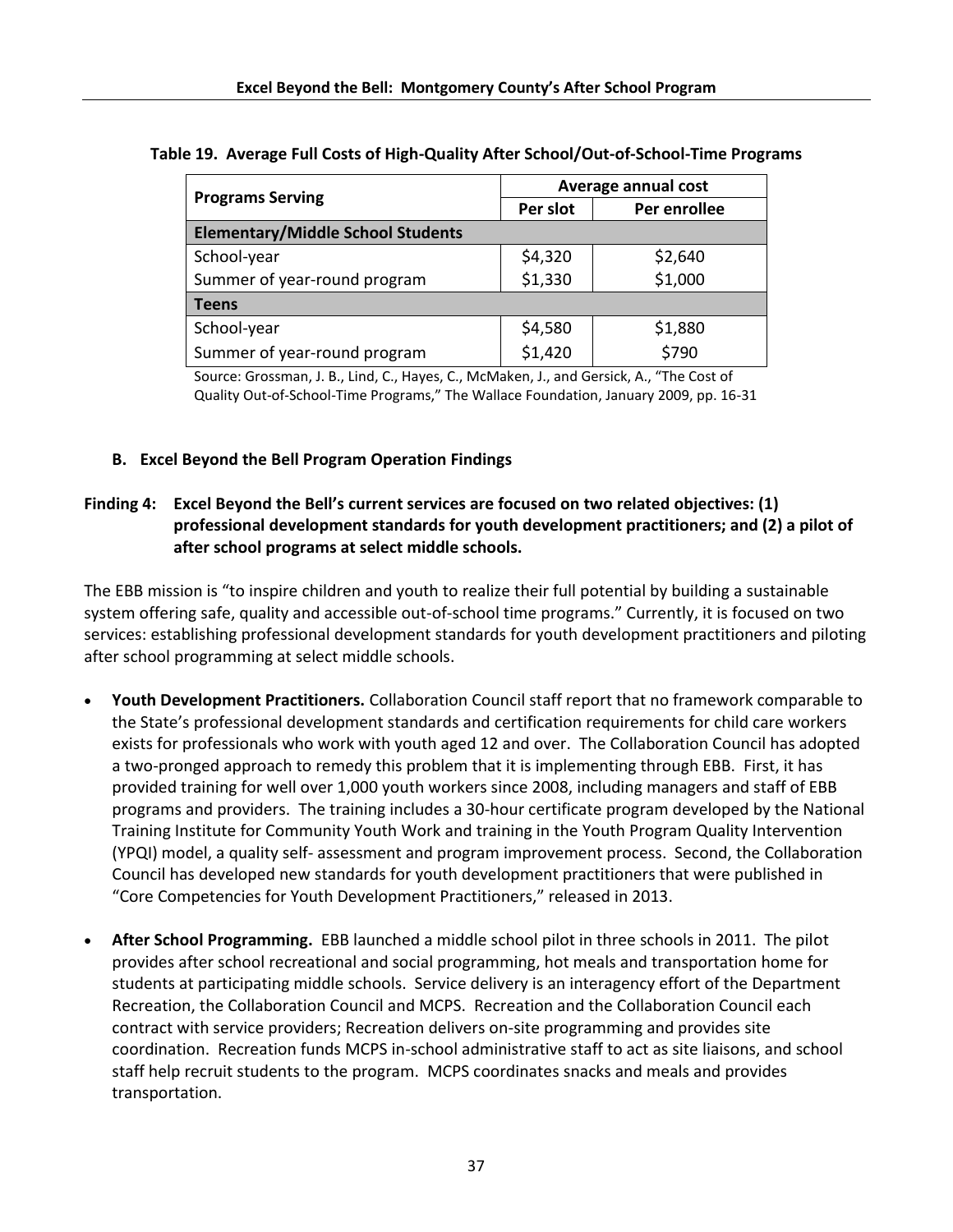|                                          | Average annual cost |              |  |  |  |  |
|------------------------------------------|---------------------|--------------|--|--|--|--|
| <b>Programs Serving</b>                  | Per slot            | Per enrollee |  |  |  |  |
| <b>Elementary/Middle School Students</b> |                     |              |  |  |  |  |
| School-year                              | \$4,320<br>\$1,330  | \$2,640      |  |  |  |  |
| Summer of year-round program             |                     | \$1,000      |  |  |  |  |
| <b>Teens</b>                             |                     |              |  |  |  |  |
| School-year                              |                     | \$1,880      |  |  |  |  |
| Summer of year-round program             | \$4,580<br>\$1,420  | \$790        |  |  |  |  |

#### **Table 19. Average Full Costs of High-Quality After School/Out-of-School-Time Programs**

Source: Grossman, J. B., Lind, C., Hayes, C., McMaken, J., and Gersick, A., "The Cost of Quality Out-of-School-Time Programs," The Wallace Foundation, January 2009, pp. 16-31

#### **B. Excel Beyond the Bell Program Operation Findings**

### **Finding 4: Excel Beyond the Bell's current services are focused on two related objectives: (1) professional development standards for youth development practitioners; and (2) a pilot of after school programs at select middle schools.**

The EBB mission is "to inspire children and youth to realize their full potential by building a sustainable system offering safe, quality and accessible out-of-school time programs." Currently, it is focused on two services: establishing professional development standards for youth development practitioners and piloting after school programming at select middle schools.

- **Youth Development Practitioners.** Collaboration Council staff report that no framework comparable to the State's professional development standards and certification requirements for child care workers exists for professionals who work with youth aged 12 and over. The Collaboration Council has adopted a two-pronged approach to remedy this problem that it is implementing through EBB. First, it has provided training for well over 1,000 youth workers since 2008, including managers and staff of EBB programs and providers. The training includes a 30-hour certificate program developed by the National Training Institute for Community Youth Work and training in the Youth Program Quality Intervention (YPQI) model, a quality self- assessment and program improvement process. Second, the Collaboration Council has developed new standards for youth development practitioners that were published in "Core Competencies for Youth Development Practitioners," released in 2013.
- **After School Programming.** EBB launched a middle school pilot in three schools in 2011. The pilot provides after school recreational and social programming, hot meals and transportation home for students at participating middle schools. Service delivery is an interagency effort of the Department Recreation, the Collaboration Council and MCPS. Recreation and the Collaboration Council each contract with service providers; Recreation delivers on-site programming and provides site coordination. Recreation funds MCPS in-school administrative staff to act as site liaisons, and school staff help recruit students to the program. MCPS coordinates snacks and meals and provides transportation.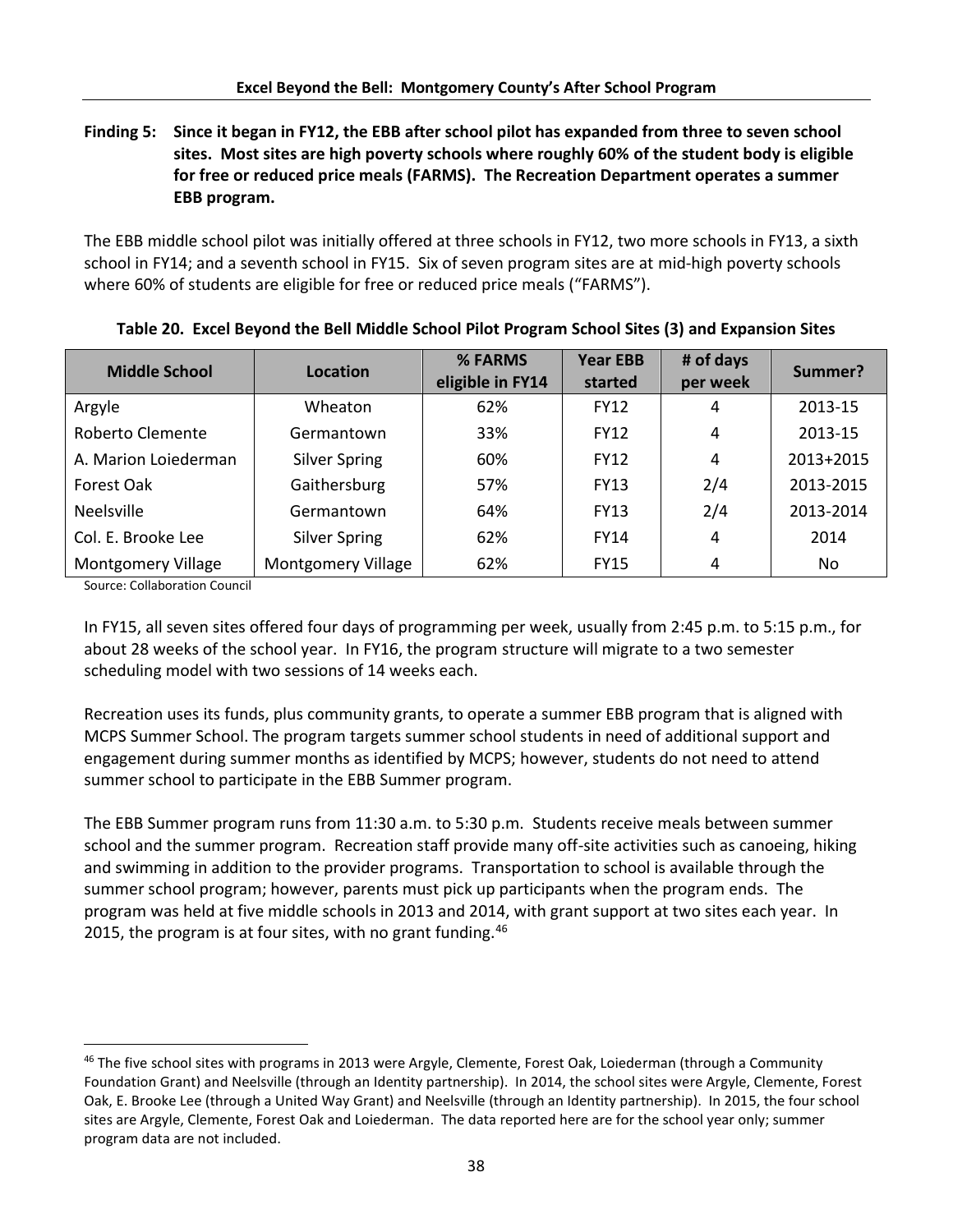# **Finding 5: Since it began in FY12, the EBB after school pilot has expanded from three to seven school sites. Most sites are high poverty schools where roughly 60% of the student body is eligible for free or reduced price meals (FARMS). The Recreation Department operates a summer EBB program.**

The EBB middle school pilot was initially offered at three schools in FY12, two more schools in FY13, a sixth school in FY14; and a seventh school in FY15. Six of seven program sites are at mid-high poverty schools where 60% of students are eligible for free or reduced price meals ("FARMS").

| <b>Middle School</b>      | Location                  | % FARMS<br>eligible in FY14 | <b>Year EBB</b><br>started | # of days<br>per week | Summer?   |
|---------------------------|---------------------------|-----------------------------|----------------------------|-----------------------|-----------|
| Argyle                    | Wheaton                   | 62%                         | <b>FY12</b>                | 4                     | 2013-15   |
| <b>Roberto Clemente</b>   | Germantown                | 33%                         | <b>FY12</b>                | 4                     | 2013-15   |
| A. Marion Loiederman      | <b>Silver Spring</b>      | 60%                         | <b>FY12</b>                | 4                     | 2013+2015 |
| Forest Oak                | Gaithersburg              | 57%                         | <b>FY13</b>                | 2/4                   | 2013-2015 |
| <b>Neelsville</b>         | Germantown                | 64%                         | <b>FY13</b>                | 2/4                   | 2013-2014 |
| Col. E. Brooke Lee        | <b>Silver Spring</b>      | 62%                         | <b>FY14</b>                | 4                     | 2014      |
| <b>Montgomery Village</b> | <b>Montgomery Village</b> | 62%                         | <b>FY15</b>                | 4                     | No.       |

|  |  | Table 20. Excel Beyond the Bell Middle School Pilot Program School Sites (3) and Expansion Sites |  |  |  |
|--|--|--------------------------------------------------------------------------------------------------|--|--|--|
|--|--|--------------------------------------------------------------------------------------------------|--|--|--|

Source: Collaboration Council

l

In FY15, all seven sites offered four days of programming per week, usually from 2:45 p.m. to 5:15 p.m., for about 28 weeks of the school year. In FY16, the program structure will migrate to a two semester scheduling model with two sessions of 14 weeks each.

Recreation uses its funds, plus community grants, to operate a summer EBB program that is aligned with MCPS Summer School. The program targets summer school students in need of additional support and engagement during summer months as identified by MCPS; however, students do not need to attend summer school to participate in the EBB Summer program.

The EBB Summer program runs from 11:30 a.m. to 5:30 p.m. Students receive meals between summer school and the summer program. Recreation staff provide many off-site activities such as canoeing, hiking and swimming in addition to the provider programs. Transportation to school is available through the summer school program; however, parents must pick up participants when the program ends. The program was held at five middle schools in 2013 and 2014, with grant support at two sites each year. In 2015, the program is at four sites, with no grant funding.<sup>46</sup>

 $46$  The five school sites with programs in 2013 were Argyle, Clemente, Forest Oak, Loiederman (through a Community Foundation Grant) and Neelsville (through an Identity partnership). In 2014, the school sites were Argyle, Clemente, Forest Oak, E. Brooke Lee (through a United Way Grant) and Neelsville (through an Identity partnership). In 2015, the four school sites are Argyle, Clemente, Forest Oak and Loiederman. The data reported here are for the school year only; summer program data are not included.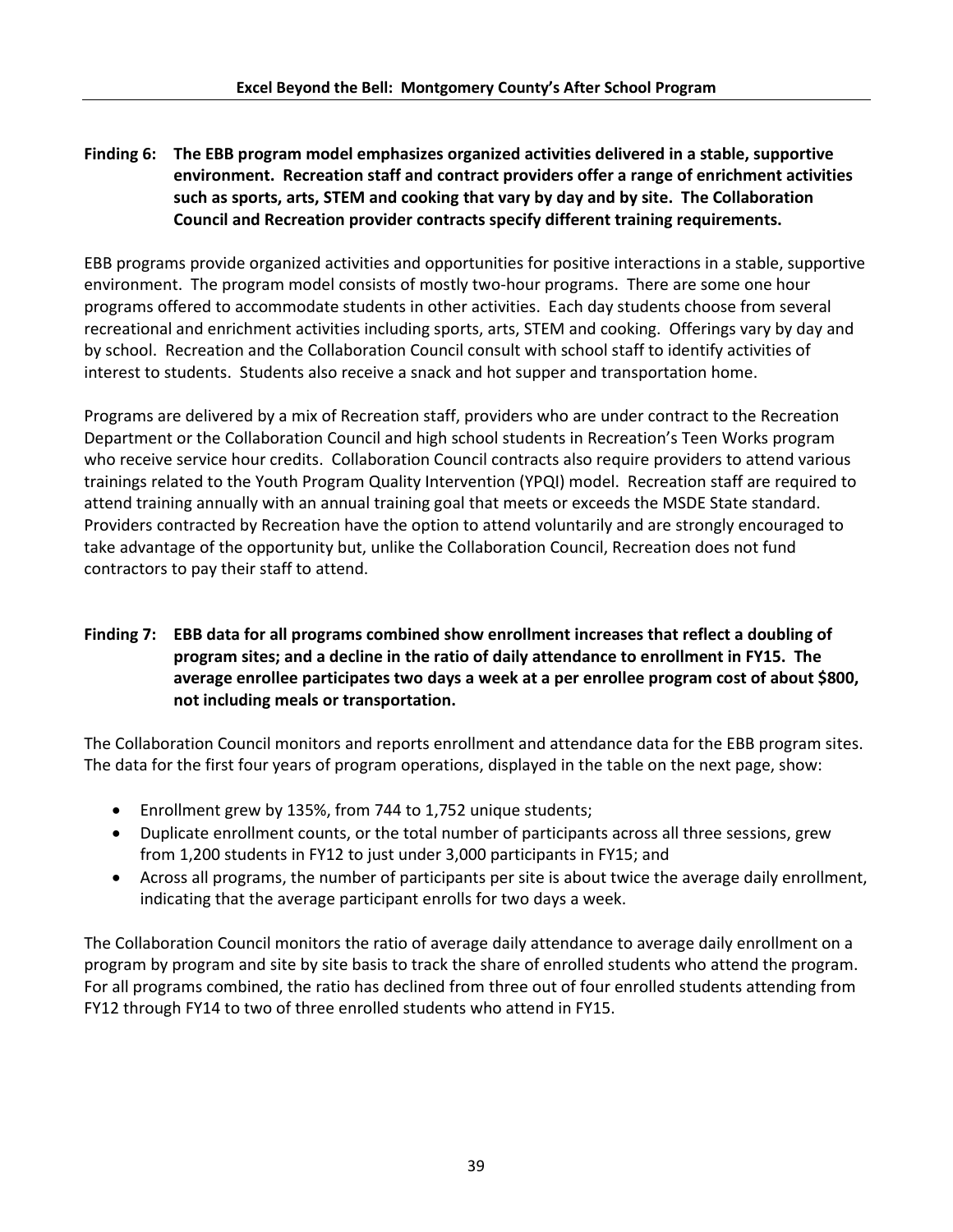# **Finding 6: The EBB program model emphasizes organized activities delivered in a stable, supportive environment. Recreation staff and contract providers offer a range of enrichment activities such as sports, arts, STEM and cooking that vary by day and by site. The Collaboration Council and Recreation provider contracts specify different training requirements.**

EBB programs provide organized activities and opportunities for positive interactions in a stable, supportive environment. The program model consists of mostly two-hour programs. There are some one hour programs offered to accommodate students in other activities. Each day students choose from several recreational and enrichment activities including sports, arts, STEM and cooking. Offerings vary by day and by school. Recreation and the Collaboration Council consult with school staff to identify activities of interest to students. Students also receive a snack and hot supper and transportation home.

Programs are delivered by a mix of Recreation staff, providers who are under contract to the Recreation Department or the Collaboration Council and high school students in Recreation's Teen Works program who receive service hour credits. Collaboration Council contracts also require providers to attend various trainings related to the Youth Program Quality Intervention (YPQI) model. Recreation staff are required to attend training annually with an annual training goal that meets or exceeds the MSDE State standard. Providers contracted by Recreation have the option to attend voluntarily and are strongly encouraged to take advantage of the opportunity but, unlike the Collaboration Council, Recreation does not fund contractors to pay their staff to attend.

### **Finding 7: EBB data for all programs combined show enrollment increases that reflect a doubling of program sites; and a decline in the ratio of daily attendance to enrollment in FY15. The average enrollee participates two days a week at a per enrollee program cost of about \$800, not including meals or transportation.**

The Collaboration Council monitors and reports enrollment and attendance data for the EBB program sites. The data for the first four years of program operations, displayed in the table on the next page, show:

- Enrollment grew by 135%, from 744 to 1,752 unique students;
- Duplicate enrollment counts, or the total number of participants across all three sessions, grew from 1,200 students in FY12 to just under 3,000 participants in FY15; and
- Across all programs, the number of participants per site is about twice the average daily enrollment, indicating that the average participant enrolls for two days a week.

The Collaboration Council monitors the ratio of average daily attendance to average daily enrollment on a program by program and site by site basis to track the share of enrolled students who attend the program. For all programs combined, the ratio has declined from three out of four enrolled students attending from FY12 through FY14 to two of three enrolled students who attend in FY15.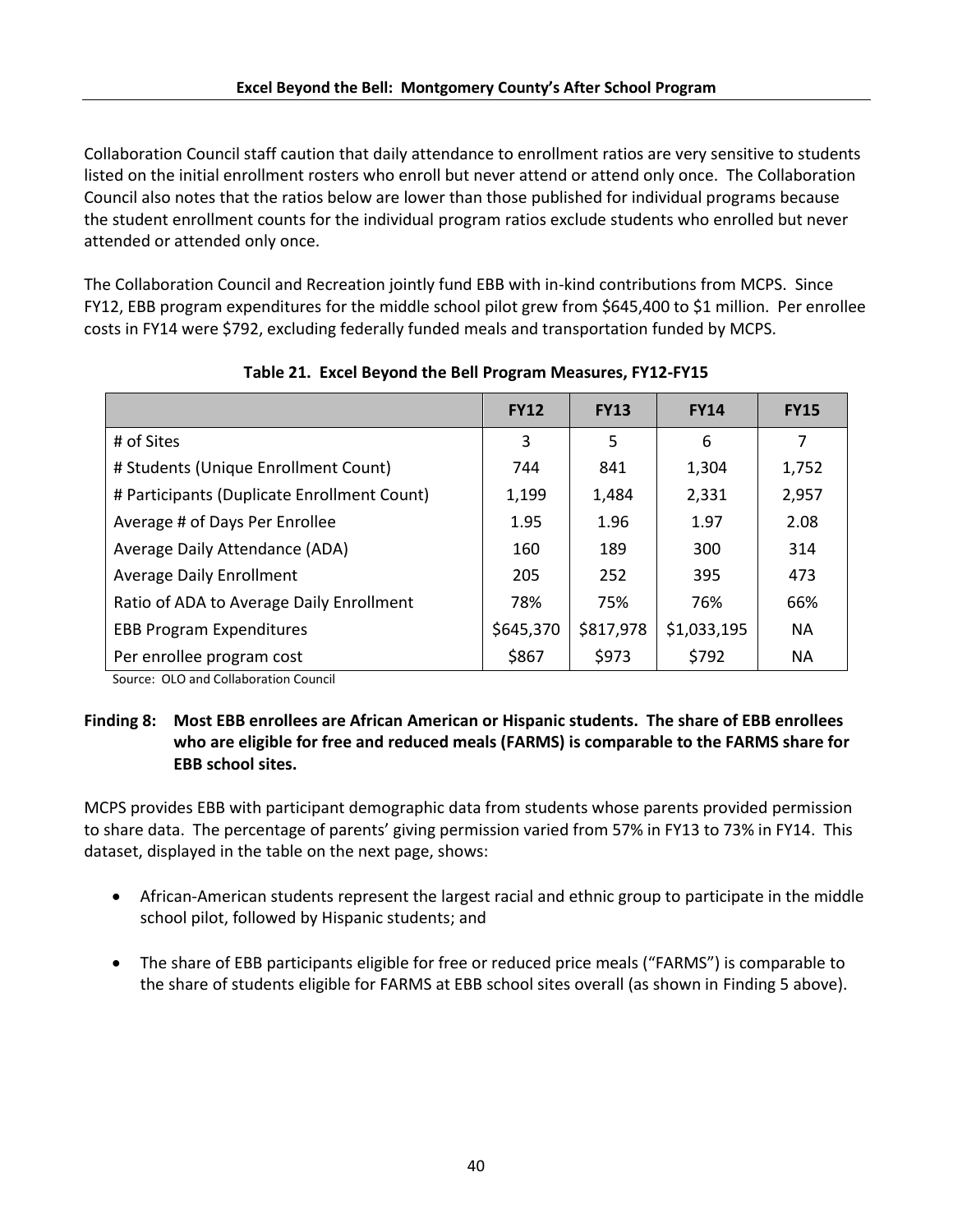Collaboration Council staff caution that daily attendance to enrollment ratios are very sensitive to students listed on the initial enrollment rosters who enroll but never attend or attend only once. The Collaboration Council also notes that the ratios below are lower than those published for individual programs because the student enrollment counts for the individual program ratios exclude students who enrolled but never attended or attended only once.

The Collaboration Council and Recreation jointly fund EBB with in-kind contributions from MCPS. Since FY12, EBB program expenditures for the middle school pilot grew from \$645,400 to \$1 million. Per enrollee costs in FY14 were \$792, excluding federally funded meals and transportation funded by MCPS.

|                                             | <b>FY12</b> | <b>FY13</b> | <b>FY14</b> | <b>FY15</b> |
|---------------------------------------------|-------------|-------------|-------------|-------------|
| # of Sites                                  | 3           | 5           | 6           | 7           |
| # Students (Unique Enrollment Count)        | 744         | 841         | 1,304       | 1,752       |
| # Participants (Duplicate Enrollment Count) | 1,199       | 1,484       | 2,331       | 2,957       |
| Average # of Days Per Enrollee              | 1.95        | 1.96        | 1.97        | 2.08        |
| Average Daily Attendance (ADA)              | 160         | 189         | 300         | 314         |
| <b>Average Daily Enrollment</b>             | 205         | 252         | 395         | 473         |
| Ratio of ADA to Average Daily Enrollment    | 78%         | 75%         | 76%         | 66%         |
| <b>EBB Program Expenditures</b>             | \$645,370   | \$817,978   | \$1,033,195 | <b>NA</b>   |
| Per enrollee program cost                   | \$867       | \$973       | \$792       | <b>NA</b>   |

# **Table 21. Excel Beyond the Bell Program Measures, FY12-FY15**

Source: OLO and Collaboration Council

# **Finding 8: Most EBB enrollees are African American or Hispanic students. The share of EBB enrollees who are eligible for free and reduced meals (FARMS) is comparable to the FARMS share for EBB school sites.**

MCPS provides EBB with participant demographic data from students whose parents provided permission to share data. The percentage of parents' giving permission varied from 57% in FY13 to 73% in FY14. This dataset, displayed in the table on the next page, shows:

- African-American students represent the largest racial and ethnic group to participate in the middle school pilot, followed by Hispanic students; and
- The share of EBB participants eligible for free or reduced price meals ("FARMS") is comparable to the share of students eligible for FARMS at EBB school sites overall (as shown in Finding 5 above).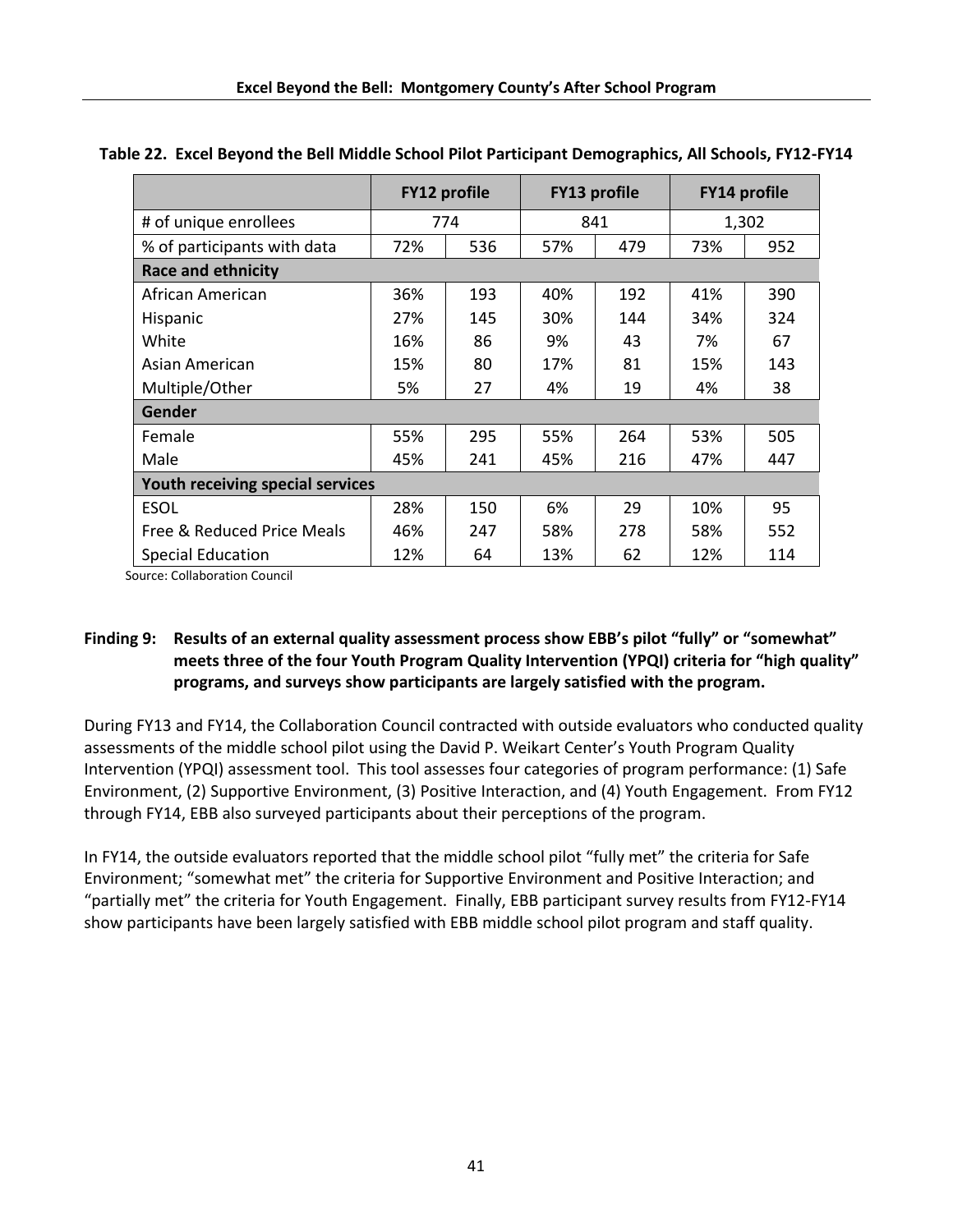|                                  | <b>FY12 profile</b> |     | <b>FY13 profile</b> |     | <b>FY14 profile</b> |     |
|----------------------------------|---------------------|-----|---------------------|-----|---------------------|-----|
| # of unique enrollees            | 774                 |     | 841                 |     | 1,302               |     |
| % of participants with data      | 72%                 | 536 | 57%                 | 479 | 73%                 | 952 |
| <b>Race and ethnicity</b>        |                     |     |                     |     |                     |     |
| African American                 | 36%                 | 193 | 40%                 | 192 | 41%                 | 390 |
| Hispanic                         | 27%                 | 145 | 30%                 | 144 | 34%                 | 324 |
| White                            | 16%                 | 86  | 9%                  | 43  | 7%                  | 67  |
| Asian American                   | 15%                 | 80  | 17%                 | 81  | 15%                 | 143 |
| Multiple/Other                   | 5%                  | 27  | 4%                  | 19  | 4%                  | 38  |
| <b>Gender</b>                    |                     |     |                     |     |                     |     |
| Female                           | 55%                 | 295 | 55%                 | 264 | 53%                 | 505 |
| Male                             | 45%                 | 241 | 45%                 | 216 | 47%                 | 447 |
| Youth receiving special services |                     |     |                     |     |                     |     |
| <b>ESOL</b>                      | 28%                 | 150 | 6%                  | 29  | 10%                 | 95  |
| Free & Reduced Price Meals       | 46%                 | 247 | 58%                 | 278 | 58%                 | 552 |
| <b>Special Education</b>         | 12%                 | 64  | 13%                 | 62  | 12%                 | 114 |

#### **Table 22. Excel Beyond the Bell Middle School Pilot Participant Demographics, All Schools, FY12-FY14**

Source: Collaboration Council

# **Finding 9: Results of an external quality assessment process show EBB's pilot "fully" or "somewhat" meets three of the four Youth Program Quality Intervention (YPQI) criteria for "high quality" programs, and surveys show participants are largely satisfied with the program.**

During FY13 and FY14, the Collaboration Council contracted with outside evaluators who conducted quality assessments of the middle school pilot using the David P. Weikart Center's Youth Program Quality Intervention (YPQI) assessment tool. This tool assesses four categories of program performance: (1) Safe Environment, (2) Supportive Environment, (3) Positive Interaction, and (4) Youth Engagement. From FY12 through FY14, EBB also surveyed participants about their perceptions of the program.

In FY14, the outside evaluators reported that the middle school pilot "fully met" the criteria for Safe Environment; "somewhat met" the criteria for Supportive Environment and Positive Interaction; and "partially met" the criteria for Youth Engagement. Finally, EBB participant survey results from FY12-FY14 show participants have been largely satisfied with EBB middle school pilot program and staff quality.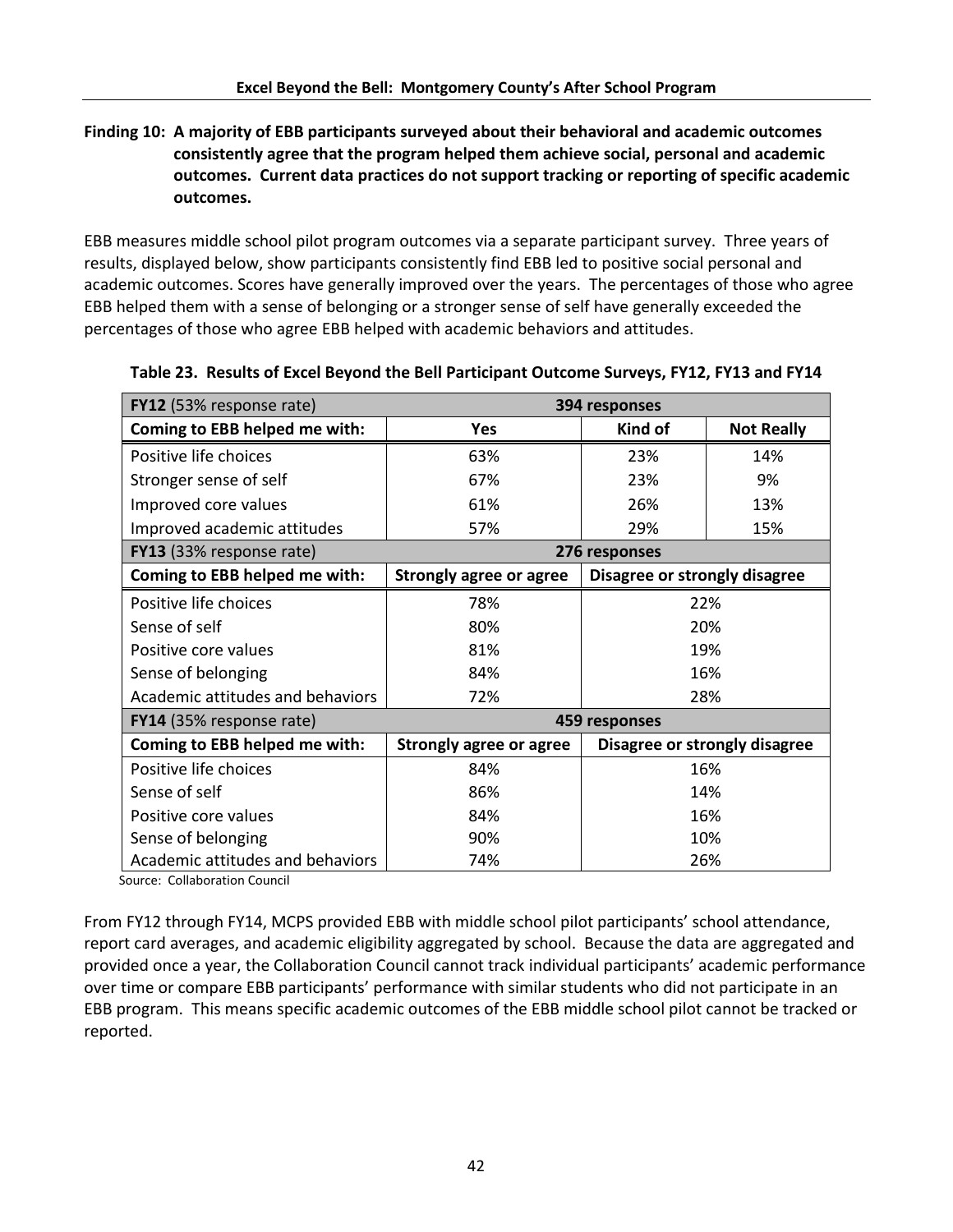# **Finding 10: A majority of EBB participants surveyed about their behavioral and academic outcomes consistently agree that the program helped them achieve social, personal and academic outcomes. Current data practices do not support tracking or reporting of specific academic outcomes.**

EBB measures middle school pilot program outcomes via a separate participant survey. Three years of results, displayed below, show participants consistently find EBB led to positive social personal and academic outcomes. Scores have generally improved over the years. The percentages of those who agree EBB helped them with a sense of belonging or a stronger sense of self have generally exceeded the percentages of those who agree EBB helped with academic behaviors and attitudes.

| <b>FY12</b> (53% response rate)  | 394 responses                  |                               |                               |  |
|----------------------------------|--------------------------------|-------------------------------|-------------------------------|--|
| Coming to EBB helped me with:    | <b>Yes</b>                     | Kind of                       | <b>Not Really</b>             |  |
| Positive life choices            | 63%                            | 23%                           | 14%                           |  |
| Stronger sense of self           | 67%                            | 23%                           | 9%                            |  |
| Improved core values             | 61%                            | 26%<br>13%                    |                               |  |
| Improved academic attitudes      | 57%                            | 29%<br>15%                    |                               |  |
| FY13 (33% response rate)         |                                | 276 responses                 |                               |  |
| Coming to EBB helped me with:    | <b>Strongly agree or agree</b> | Disagree or strongly disagree |                               |  |
| Positive life choices            | 78%                            | 22%                           |                               |  |
| Sense of self                    | 80%                            | 20%                           |                               |  |
| Positive core values             | 81%                            | 19%                           |                               |  |
| Sense of belonging               | 84%                            | 16%                           |                               |  |
| Academic attitudes and behaviors | 72%                            | 28%                           |                               |  |
| <b>FY14</b> (35% response rate)  |                                | 459 responses                 |                               |  |
| Coming to EBB helped me with:    | <b>Strongly agree or agree</b> |                               | Disagree or strongly disagree |  |
| Positive life choices            | 84%                            | 16%                           |                               |  |
| Sense of self                    | 86%                            | 14%                           |                               |  |
| Positive core values             | 84%                            | 16%                           |                               |  |
| Sense of belonging               | 90%                            | 10%                           |                               |  |
| Academic attitudes and behaviors | 74%                            | 26%                           |                               |  |

**Table 23. Results of Excel Beyond the Bell Participant Outcome Surveys, FY12, FY13 and FY14**

Source: Collaboration Council

From FY12 through FY14, MCPS provided EBB with middle school pilot participants' school attendance, report card averages, and academic eligibility aggregated by school. Because the data are aggregated and provided once a year, the Collaboration Council cannot track individual participants' academic performance over time or compare EBB participants' performance with similar students who did not participate in an EBB program. This means specific academic outcomes of the EBB middle school pilot cannot be tracked or reported.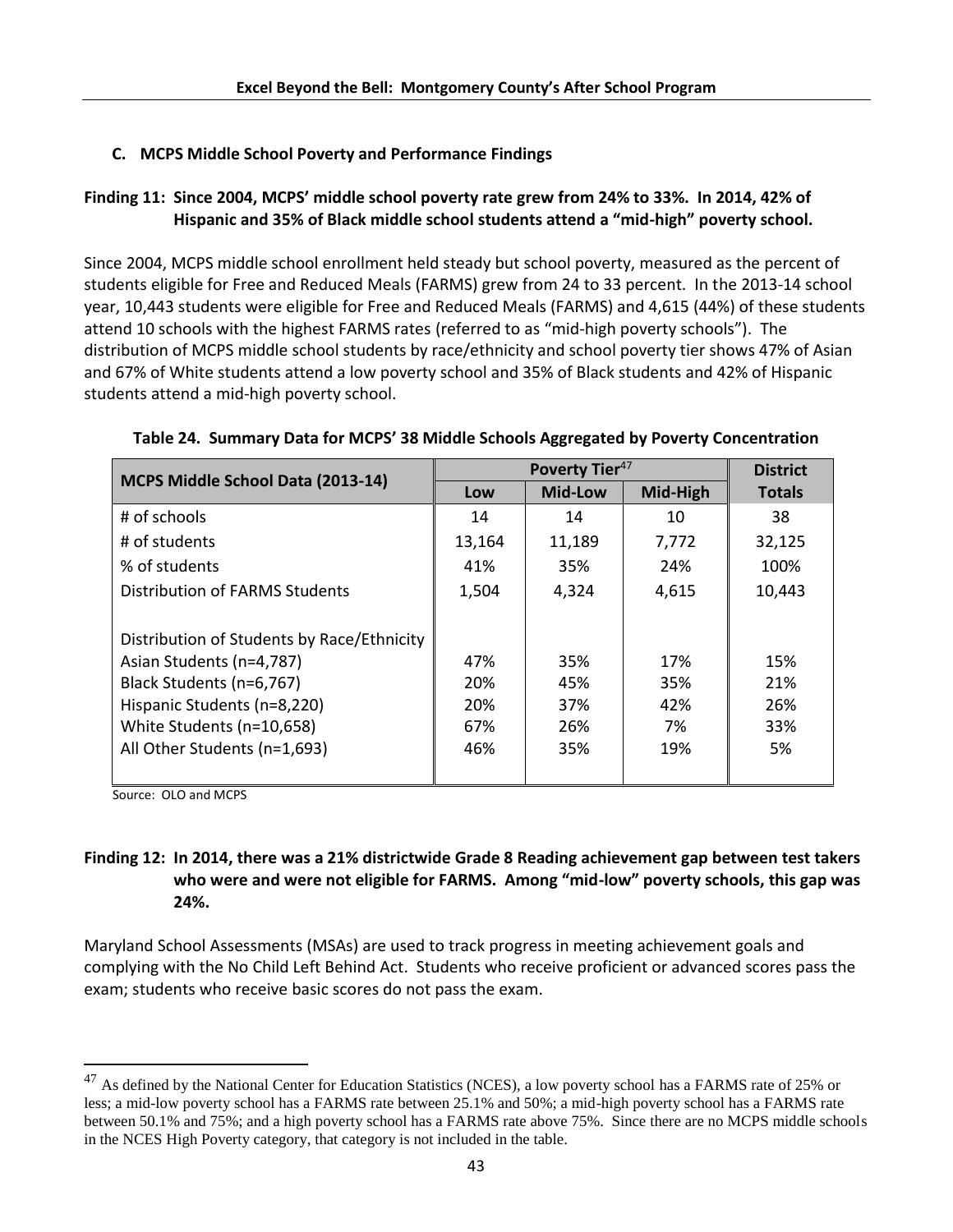# **C. MCPS Middle School Poverty and Performance Findings**

# **Finding 11: Since 2004, MCPS' middle school poverty rate grew from 24% to 33%. In 2014, 42% of Hispanic and 35% of Black middle school students attend a "mid-high" poverty school.**

Since 2004, MCPS middle school enrollment held steady but school poverty, measured as the percent of students eligible for Free and Reduced Meals (FARMS) grew from 24 to 33 percent. In the 2013-14 school year, 10,443 students were eligible for Free and Reduced Meals (FARMS) and 4,615 (44%) of these students attend 10 schools with the highest FARMS rates (referred to as "mid-high poverty schools"). The distribution of MCPS middle school students by race/ethnicity and school poverty tier shows 47% of Asian and 67% of White students attend a low poverty school and 35% of Black students and 42% of Hispanic students attend a mid-high poverty school.

|                                            |        | <b>District</b> |          |               |
|--------------------------------------------|--------|-----------------|----------|---------------|
| MCPS Middle School Data (2013-14)          | Low    | <b>Mid-Low</b>  | Mid-High | <b>Totals</b> |
| # of schools                               | 14     | 14              | 10       | 38            |
| # of students                              | 13,164 | 11,189          | 7,772    | 32,125        |
| % of students                              | 41%    | 35%             | 24%      | 100%          |
| <b>Distribution of FARMS Students</b>      | 1,504  | 4,324           | 4,615    | 10,443        |
|                                            |        |                 |          |               |
| Distribution of Students by Race/Ethnicity |        |                 |          |               |
| Asian Students (n=4,787)                   | 47%    | 35%             | 17%      | 15%           |
| Black Students (n=6,767)                   | 20%    | 45%             | 35%      | 21%           |
| Hispanic Students (n=8,220)                | 20%    | 37%             | 42%      | 26%           |
| White Students (n=10,658)                  | 67%    | 26%             | 7%       | 33%           |
| All Other Students (n=1,693)               | 46%    | 35%             | 19%      | 5%            |
|                                            |        |                 |          |               |

#### **Table 24. Summary Data for MCPS' 38 Middle Schools Aggregated by Poverty Concentration**

Source: OLO and MCPS

 $\overline{\phantom{a}}$ 

# **Finding 12: In 2014, there was a 21% districtwide Grade 8 Reading achievement gap between test takers who were and were not eligible for FARMS. Among "mid-low" poverty schools, this gap was 24%.**

Maryland School Assessments (MSAs) are used to track progress in meeting achievement goals and complying with the No Child Left Behind Act. Students who receive proficient or advanced scores pass the exam; students who receive basic scores do not pass the exam.

<sup>&</sup>lt;sup>47</sup> As defined by the National Center for Education Statistics (NCES), a low poverty school has a FARMS rate of 25% or less; a mid-low poverty school has a FARMS rate between 25.1% and 50%; a mid-high poverty school has a FARMS rate between 50.1% and 75%; and a high poverty school has a FARMS rate above 75%. Since there are no MCPS middle schools in the NCES High Poverty category, that category is not included in the table.